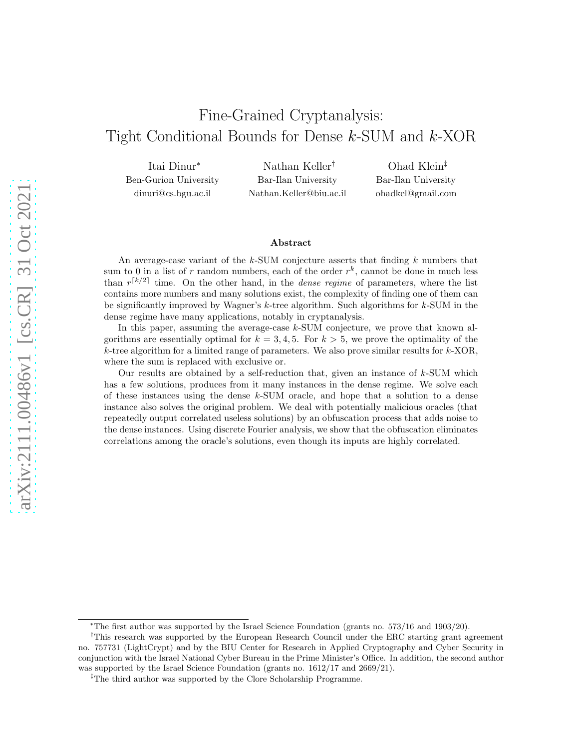# Fine-Grained Cryptanalysis: Tight Conditional Bounds for Dense k-SUM and k-XOR

Itai Dinur<sup>∗</sup> Ben-Gurion University dinuri@cs.bgu.ac.il

Nathan Keller† Bar-Ilan University Nathan.Keller@biu.ac.il

Ohad Klein‡ Bar-Ilan University ohadkel@gmail.com

#### Abstract

An average-case variant of the  $k$ -SUM conjecture asserts that finding  $k$  numbers that sum to 0 in a list of r random numbers, each of the order  $r^k$ , cannot be done in much less than  $r^{[k/2]}$  time. On the other hand, in the *dense regime* of parameters, where the list contains more numbers and many solutions exist, the complexity of finding one of them can be significantly improved by Wagner's k-tree algorithm. Such algorithms for k-SUM in the dense regime have many applications, notably in cryptanalysis.

In this paper, assuming the average-case  $k$ -SUM conjecture, we prove that known algorithms are essentially optimal for  $k = 3, 4, 5$ . For  $k > 5$ , we prove the optimality of the  $k$ -tree algorithm for a limited range of parameters. We also prove similar results for  $k$ -XOR, where the sum is replaced with exclusive or.

Our results are obtained by a self-reduction that, given an instance of  $k$ -SUM which has a few solutions, produces from it many instances in the dense regime. We solve each of these instances using the dense k-SUM oracle, and hope that a solution to a dense instance also solves the original problem. We deal with potentially malicious oracles (that repeatedly output correlated useless solutions) by an obfuscation process that adds noise to the dense instances. Using discrete Fourier analysis, we show that the obfuscation eliminates correlations among the oracle's solutions, even though its inputs are highly correlated.

<sup>∗</sup>The first author was supported by the Israel Science Foundation (grants no. 573/16 and 1903/20).

<sup>†</sup>This research was supported by the European Research Council under the ERC starting grant agreement no. 757731 (LightCrypt) and by the BIU Center for Research in Applied Cryptography and Cyber Security in conjunction with the Israel National Cyber Bureau in the Prime Minister's Office. In addition, the second author was supported by the Israel Science Foundation (grants no.  $1612/17$  and  $2669/21$ ).

<sup>&</sup>lt;sup>‡</sup>The third author was supported by the Clore Scholarship Programme.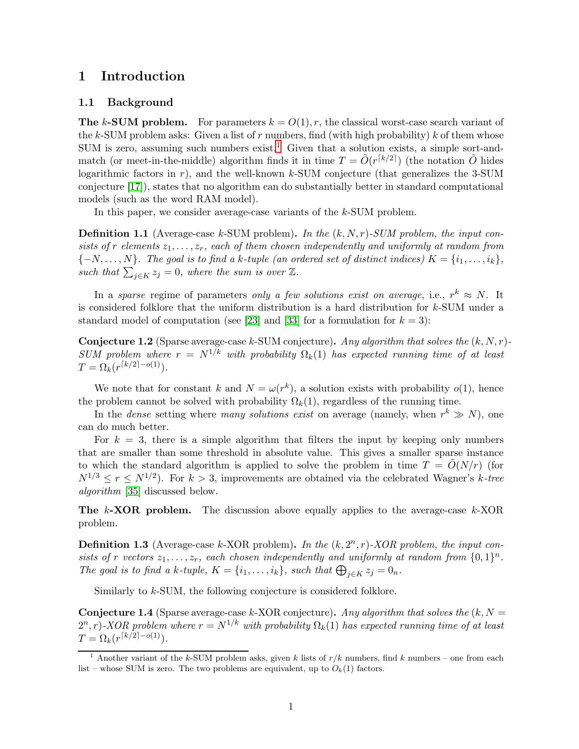### 1 Introduction

### 1.1 Background

**The k-SUM problem.** For parameters  $k = O(1)$ , r, the classical worst-case search variant of the k-SUM problem asks: Given a list of  $r$  numbers, find (with high probability)  $k$  of them whose SUM is zero, assuming such numbers exist.<sup>[1](#page-1-0)</sup> Given that a solution exists, a simple sort-andmatch (or meet-in-the-middle) algorithm finds it in time  $T = \tilde{O}(r^{\lceil k/2 \rceil})$  (the notation  $\tilde{O}$  hides logarithmic factors in  $r$ ), and the well-known  $k$ -SUM conjecture (that generalizes the 3-SUM conjecture [\[17\]](#page-39-0)), states that no algorithm can do substantially better in standard computational models (such as the word RAM model).

In this paper, we consider average-case variants of the k-SUM problem.

**Definition 1.1** (Average-case k-SUM problem). In the  $(k, N, r)$ -SUM problem, the input consists of r elements  $z_1, \ldots, z_r$ , each of them chosen independently and uniformly at random from  ${-N, \ldots, N}$ . The goal is to find a k-tuple (an ordered set of distinct indices)  $K = \{i_1, \ldots, i_k\}$ , such that  $\sum_{j\in K} z_j = 0$ , where the sum is over  $\mathbb{Z}$ .

In a sparse regime of parameters only a few solutions exist on average, i.e.,  $r^k \approx N$ . It is considered folklore that the uniform distribution is a hard distribution for k-SUM under a standard model of computation (see [\[23\]](#page-39-1) and [\[33\]](#page-40-0) for a formulation for  $k = 3$ ):

<span id="page-1-1"></span>**Conjecture 1.2** (Sparse average-case k-SUM conjecture). Any algorithm that solves the  $(k, N, r)$ -SUM problem where  $r = N^{1/k}$  with probability  $\Omega_k(1)$  has expected running time of at least  $T = \Omega_k(r^{\lceil k/2 \rceil - o(1)})$ .

We note that for constant k and  $N = \omega(r^k)$ , a solution exists with probability  $o(1)$ , hence the problem cannot be solved with probability  $\Omega_k(1)$ , regardless of the running time.

In the *dense* setting where *many solutions exist* on average (namely, when  $r^k \gg N$ ), one can do much better.

For  $k = 3$ , there is a simple algorithm that filters the input by keeping only numbers that are smaller than some threshold in absolute value. This gives a smaller sparse instance to which the standard algorithm is applied to solve the problem in time  $T = \tilde{O}(N/r)$  (for  $N^{1/3} \leq r \leq N^{1/2}$ . For  $k > 3$ , improvements are obtained via the celebrated Wagner's k-tree algorithm [\[35\]](#page-40-1) discussed below.

The k-XOR problem. The discussion above equally applies to the average-case k-XOR problem.

<span id="page-1-3"></span>**Definition 1.3** (Average-case k-XOR problem). In the  $(k, 2<sup>n</sup>, r)$ -XOR problem, the input consists of r vectors  $z_1, \ldots, z_r$ , each chosen independently and uniformly at random from  $\{0,1\}^n$ . The goal is to find a k-tuple,  $K = \{i_1, \ldots, i_k\}$ , such that  $\bigoplus_{j \in K} z_j = 0_n$ .

Similarly to k-SUM, the following conjecture is considered folklore.

<span id="page-1-2"></span>**Conjecture 1.4** (Sparse average-case k-XOR conjecture). Any algorithm that solves the  $(k, N =$  $(2^n, r)$ -XOR problem where  $r = N^{1/k}$  with probability  $\Omega_k(1)$  has expected running time of at least  $T = \Omega_k(r^{\lceil k/2 \rceil - o(1)})$ .

<span id="page-1-0"></span><sup>&</sup>lt;sup>1</sup> Another variant of the k-SUM problem asks, given k lists of  $r/k$  numbers, find k numbers – one from each list – whose SUM is zero. The two problems are equivalent, up to  $O_k(1)$  factors.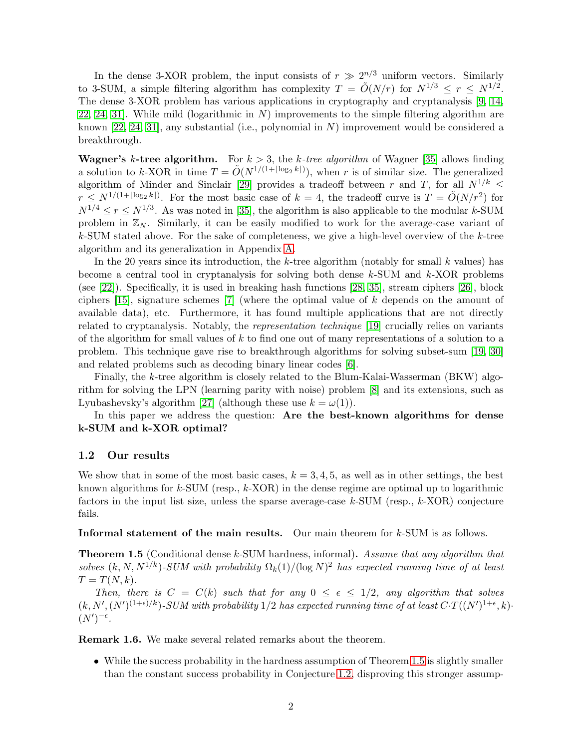In the dense 3-XOR problem, the input consists of  $r \gg 2^{n/3}$  uniform vectors. Similarly to 3-SUM, a simple filtering algorithm has complexity  $T = \tilde{O}(N/r)$  for  $N^{1/3} \le r \le N^{1/2}$ . The dense 3-XOR problem has various applications in cryptography and cryptanalysis [\[9,](#page-38-0) [14,](#page-38-1) [22,](#page-39-2) [24,](#page-39-3) 31. While mild (logarithmic in  $N$ ) improvements to the simple filtering algorithm are known  $[22, 24, 31]$  $[22, 24, 31]$  $[22, 24, 31]$ , any substantial (i.e., polynomial in N) improvement would be considered a breakthrough.

**Wagner's k-tree algorithm.** For  $k > 3$ , the k-tree algorithm of Wagner [\[35\]](#page-40-1) allows finding a solution to k-XOR in time  $T = \tilde{O}(N^{1/(1 + \lfloor \log_2 k \rfloor)})$ , when r is of similar size. The generalized algorithm of Minder and Sinclair [\[29\]](#page-39-4) provides a tradeoff between r and T, for all  $N^{1/k}$  <  $r \leq N^{1/(1 + \lfloor \log_2 k \rfloor)}$ . For the most basic case of  $k = 4$ , the tradeoff curve is  $T = \tilde{O}(N/r^2)$  for  $N^{1/4} \le r \le N^{1/3}$ . As was noted in [\[35\]](#page-40-1), the algorithm is also applicable to the modular k-SUM problem in  $\mathbb{Z}_N$ . Similarly, it can be easily modified to work for the average-case variant of  $k$ -SUM stated above. For the sake of completeness, we give a high-level overview of the  $k$ -tree algorithm and its generalization in Appendix [A.](#page-40-3)

In the 20 years since its introduction, the k-tree algorithm (notably for small k values) has become a central tool in cryptanalysis for solving both dense  $k$ -SUM and  $k$ -XOR problems (see [\[22\]](#page-39-2)). Specifically, it is used in breaking hash functions [\[28,](#page-39-5) [35\]](#page-40-1), stream ciphers [\[26\]](#page-39-6), block ciphers [\[15\]](#page-39-7), signature schemes [\[7\]](#page-38-2) (where the optimal value of k depends on the amount of available data), etc. Furthermore, it has found multiple applications that are not directly related to cryptanalysis. Notably, the representation technique [\[19\]](#page-39-8) crucially relies on variants of the algorithm for small values of  $k$  to find one out of many representations of a solution to a problem. This technique gave rise to breakthrough algorithms for solving subset-sum [\[19,](#page-39-8) [30\]](#page-40-4) and related problems such as decoding binary linear codes [\[6\]](#page-38-3).

Finally, the k-tree algorithm is closely related to the Blum-Kalai-Wasserman (BKW) algorithm for solving the LPN (learning parity with noise) problem [\[8\]](#page-38-4) and its extensions, such as Lyubashevsky's algorithm [\[27\]](#page-39-9) (although these use  $k = \omega(1)$ ).

In this paper we address the question: Are the best-known algorithms for dense k-SUM and k-XOR optimal?

### 1.2 Our results

We show that in some of the most basic cases,  $k = 3, 4, 5$ , as well as in other settings, the best known algorithms for  $k$ -SUM (resp.,  $k$ -XOR) in the dense regime are optimal up to logarithmic factors in the input list size, unless the sparse average-case  $k$ -SUM (resp.,  $k$ -XOR) conjecture fails.

Informal statement of the main results. Our main theorem for k-SUM is as follows.

<span id="page-2-0"></span>Theorem 1.5 (Conditional dense k-SUM hardness, informal). Assume that any algorithm that solves  $(k, N, N^{1/k})$ -SUM with probability  $\Omega_k(1)/(\log N)^2$  has expected running time of at least  $T = T(N, k).$ 

Then, there is  $C = C(k)$  such that for any  $0 \le \epsilon \le 1/2$ , any algorithm that solves  $(k, N', (N')^{(1+\epsilon)/k})$ -SUM with probability 1/2 has expected running time of at least  $C \cdot T((N')^{1+\epsilon}, k)$ .  $(N')^{-\epsilon}$ .

Remark 1.6. We make several related remarks about the theorem.

• While the success probability in the hardness assumption of Theorem [1.5](#page-2-0) is slightly smaller than the constant success probability in Conjecture [1.2,](#page-1-1) disproving this stronger assump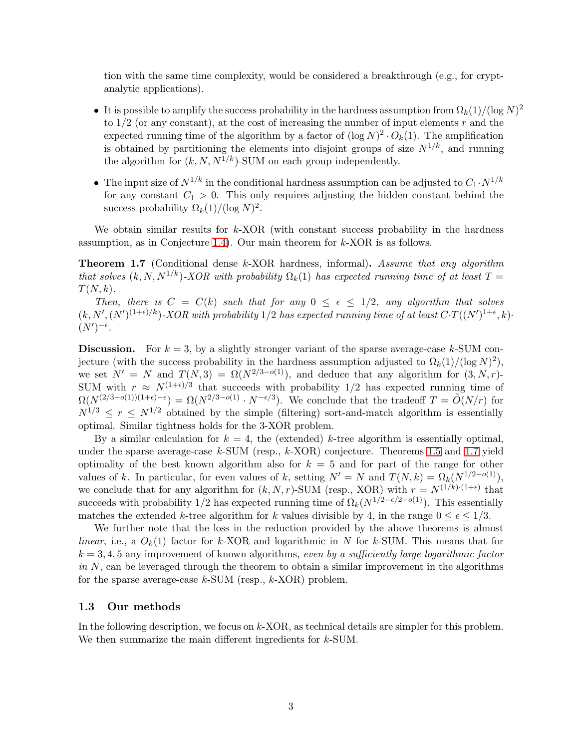tion with the same time complexity, would be considered a breakthrough (e.g., for cryptanalytic applications).

- It is possible to amplify the success probability in the hardness assumption from  $\Omega_k(1)/(\log N)^2$ to  $1/2$  (or any constant), at the cost of increasing the number of input elements r and the expected running time of the algorithm by a factor of  $(\log N)^2 \cdot O_k(1)$ . The amplification is obtained by partitioning the elements into disjoint groups of size  $N^{1/k}$ , and running the algorithm for  $(k, N, N^{1/k})$ -SUM on each group independently.
- The input size of  $N^{1/k}$  in the conditional hardness assumption can be adjusted to  $C_1 \cdot N^{1/k}$ for any constant  $C_1 > 0$ . This only requires adjusting the hidden constant behind the success probability  $\Omega_k(1)/(\log N)^2$ .

We obtain similar results for  $k$ -XOR (with constant success probability in the hardness assumption, as in Conjecture [1.4\)](#page-1-2). Our main theorem for  $k$ -XOR is as follows.

<span id="page-3-0"></span>Theorem 1.7 (Conditional dense k-XOR hardness, informal). Assume that any algorithm that solves  $(k, N, N^{1/k})$ -XOR with probability  $\Omega_k(1)$  has expected running time of at least  $T =$  $T(N, k)$ .

Then, there is  $C = C(k)$  such that for any  $0 \le \epsilon \le 1/2$ , any algorithm that solves  $(k, N', (N')^{(1+\epsilon)/k})$ -XOR with probability 1/2 has expected running time of at least  $C \cdot T((N')^{1+\epsilon}, k)$ .  $(N')^{-\epsilon}$ .

**Discussion.** For  $k = 3$ , by a slightly stronger variant of the sparse average-case k-SUM conjecture (with the success probability in the hardness assumption adjusted to  $\Omega_k(1)/(\log N)^2$ ), we set  $N' = N$  and  $T(N, 3) = \Omega(N^{2/3-o(1)})$ , and deduce that any algorithm for  $(3, N, r)$ -SUM with  $r \approx N^{(1+\epsilon)/3}$  that succeeds with probability 1/2 has expected running time of  $\Omega(N^{(2/3-o(1))(1+\epsilon)-\epsilon}) = \Omega(N^{2/3-o(1)} \cdot N^{-\epsilon/3})$ . We conclude that the tradeoff  $T = \tilde{O}(N/r)$  for  $N^{1/3} \leq r \leq N^{1/2}$  obtained by the simple (filtering) sort-and-match algorithm is essentially optimal. Similar tightness holds for the 3-XOR problem.

By a similar calculation for  $k = 4$ , the (extended) k-tree algorithm is essentially optimal, under the sparse average-case  $k$ -SUM (resp.,  $k$ -XOR) conjecture. Theorems [1.5](#page-2-0) and [1.7](#page-3-0) yield optimality of the best known algorithm also for  $k = 5$  and for part of the range for other values of k. In particular, for even values of k, setting  $N' = N$  and  $T(N, k) = \Omega_k(N^{1/2-o(1)})$ , we conclude that for any algorithm for  $(k, N, r)$ -SUM (resp., XOR) with  $r = N^{(1/k)\cdot(1+\epsilon)}$  that succeeds with probability 1/2 has expected running time of  $\Omega_k(N^{1/2-\epsilon/2-o(1)})$ . This essentially matches the extended k-tree algorithm for k values divisible by 4, in the range  $0 \leq \epsilon \leq 1/3$ .

We further note that the loss in the reduction provided by the above theorems is almost linear, i.e., a  $O_k(1)$  factor for k-XOR and logarithmic in N for k-SUM. This means that for  $k = 3, 4, 5$  any improvement of known algorithms, even by a sufficiently large logarithmic factor in  $N$ , can be leveraged through the theorem to obtain a similar improvement in the algorithms for the sparse average-case  $k$ -SUM (resp.,  $k$ -XOR) problem.

### 1.3 Our methods

In the following description, we focus on  $k$ -XOR, as technical details are simpler for this problem. We then summarize the main different ingredients for  $k$ -SUM.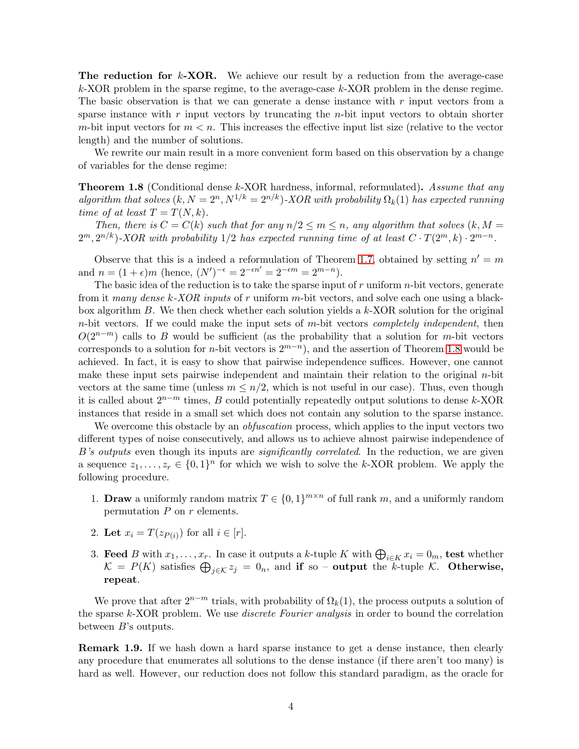**The reduction for k-XOR.** We achieve our result by a reduction from the average-case  $k$ -XOR problem in the sparse regime, to the average-case  $k$ -XOR problem in the dense regime. The basic observation is that we can generate a dense instance with  $r$  input vectors from a sparse instance with  $r$  input vectors by truncating the  $n$ -bit input vectors to obtain shorter m-bit input vectors for  $m < n$ . This increases the effective input list size (relative to the vector length) and the number of solutions.

We rewrite our main result in a more convenient form based on this observation by a change of variables for the dense regime:

<span id="page-4-0"></span>**Theorem 1.8** (Conditional dense k-XOR hardness, informal, reformulated). Assume that any algorithm that solves  $(k, N = 2<sup>n</sup>, N<sup>1/k</sup> = 2<sup>n/k</sup>)$ -XOR with probability  $\Omega_k(1)$  has expected running time of at least  $T = T(N, k)$ .

Then, there is  $C = C(k)$  such that for any  $n/2 \le m \le n$ , any algorithm that solves  $(k, M =$  $2^m, 2^{n/k}$ )-XOR with probability 1/2 has expected running time of at least  $C \cdot T(2^m, k) \cdot 2^{m-n}$ .

Observe that this is a indeed a reformulation of Theorem [1.7,](#page-3-0) obtained by setting  $n' = m$ and  $n = (1 + \epsilon)m$  (hence,  $(N')^{-\epsilon} = 2^{-\epsilon n'} = 2^{-\epsilon m} = 2^{m-n}$ ).

The basic idea of the reduction is to take the sparse input of  $r$  uniform  $n$ -bit vectors, generate from it many dense k-XOR inputs of r uniform m-bit vectors, and solve each one using a blackbox algorithm B. We then check whether each solution yields a k-XOR solution for the original  $n$ -bit vectors. If we could make the input sets of  $m$ -bit vectors *completely independent*, then  $O(2^{n-m})$  calls to B would be sufficient (as the probability that a solution for m-bit vectors corresponds to a solution for *n*-bit vectors is  $2^{m-n}$ , and the assertion of Theorem [1.8](#page-4-0) would be achieved. In fact, it is easy to show that pairwise independence suffices. However, one cannot make these input sets pairwise independent and maintain their relation to the original n-bit vectors at the same time (unless  $m \leq n/2$ , which is not useful in our case). Thus, even though it is called about  $2^{n-m}$  times, B could potentially repeatedly output solutions to dense k-XOR instances that reside in a small set which does not contain any solution to the sparse instance.

We overcome this obstacle by an *obfuscation* process, which applies to the input vectors two different types of noise consecutively, and allows us to achieve almost pairwise independence of B's outputs even though its inputs are *significantly correlated*. In the reduction, we are given a sequence  $z_1, \ldots, z_r \in \{0,1\}^n$  for which we wish to solve the k-XOR problem. We apply the following procedure.

- 1. **Draw** a uniformly random matrix  $T \in \{0, 1\}^{m \times n}$  of full rank m, and a uniformly random permutation  $P$  on  $r$  elements.
- 2. Let  $x_i = T(z_{P(i)})$  for all  $i \in [r]$ .
- 3. Feed B with  $x_1, \ldots, x_r$ . In case it outputs a k-tuple K with  $\bigoplus_{i \in K} x_i = 0_m$ , test whether  $\mathcal{K} = P(K)$  satisfies  $\bigoplus_{j \in \mathcal{K}} z_j = 0_n$ , and if so – output the k-tuple K. Otherwise, repeat.

We prove that after  $2^{n-m}$  trials, with probability of  $\Omega_k(1)$ , the process outputs a solution of the sparse k-XOR problem. We use discrete Fourier analysis in order to bound the correlation between B's outputs.

Remark 1.9. If we hash down a hard sparse instance to get a dense instance, then clearly any procedure that enumerates all solutions to the dense instance (if there aren't too many) is hard as well. However, our reduction does not follow this standard paradigm, as the oracle for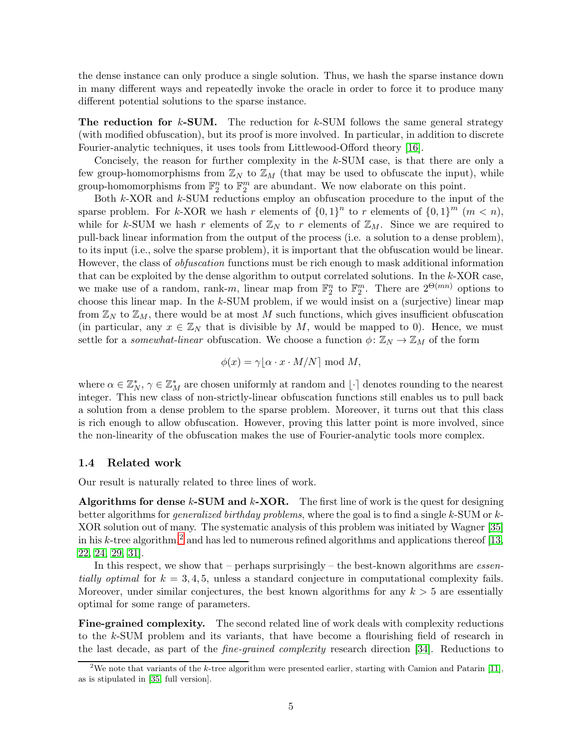the dense instance can only produce a single solution. Thus, we hash the sparse instance down in many different ways and repeatedly invoke the oracle in order to force it to produce many different potential solutions to the sparse instance.

**The reduction for k-SUM.** The reduction for k-SUM follows the same general strategy (with modified obfuscation), but its proof is more involved. In particular, in addition to discrete Fourier-analytic techniques, it uses tools from Littlewood-Offord theory [\[16\]](#page-39-10).

Concisely, the reason for further complexity in the k-SUM case, is that there are only a few group-homomorphisms from  $\mathbb{Z}_N$  to  $\mathbb{Z}_M$  (that may be used to obfuscate the input), while group-homomorphisms from  $\mathbb{F}_2^n$  to  $\mathbb{F}_2^m$  are abundant. We now elaborate on this point.

Both k-XOR and k-SUM reductions employ an obfuscation procedure to the input of the sparse problem. For k-XOR we hash r elements of  $\{0,1\}^n$  to r elements of  $\{0,1\}^m$   $(m < n)$ , while for k-SUM we hash r elements of  $\mathbb{Z}_N$  to r elements of  $\mathbb{Z}_M$ . Since we are required to pull-back linear information from the output of the process (i.e. a solution to a dense problem), to its input (i.e., solve the sparse problem), it is important that the obfuscation would be linear. However, the class of obfuscation functions must be rich enough to mask additional information that can be exploited by the dense algorithm to output correlated solutions. In the k-XOR case, we make use of a random, rank-m, linear map from  $\mathbb{F}_2^n$  to  $\mathbb{F}_2^m$ . There are  $2^{\Theta(mn)}$  options to choose this linear map. In the  $k$ -SUM problem, if we would insist on a (surjective) linear map from  $\mathbb{Z}_N$  to  $\mathbb{Z}_M$ , there would be at most M such functions, which gives insufficient obfuscation (in particular, any  $x \in \mathbb{Z}_N$  that is divisible by M, would be mapped to 0). Hence, we must settle for a *somewhat-linear* obfuscation. We choose a function  $\phi \colon \mathbb{Z}_N \to \mathbb{Z}_M$  of the form

$$
\phi(x) = \gamma \lfloor \alpha \cdot x \cdot M/N \rceil \bmod M,
$$

where  $\alpha \in \mathbb{Z}_N^*$ ,  $\gamma \in \mathbb{Z}_M^*$  are chosen uniformly at random and  $\lfloor \cdot \rceil$  denotes rounding to the nearest integer. This new class of non-strictly-linear obfuscation functions still enables us to pull back a solution from a dense problem to the sparse problem. Moreover, it turns out that this class is rich enough to allow obfuscation. However, proving this latter point is more involved, since the non-linearity of the obfuscation makes the use of Fourier-analytic tools more complex.

### 1.4 Related work

Our result is naturally related to three lines of work.

Algorithms for dense k-SUM and k-XOR. The first line of work is the quest for designing better algorithms for generalized birthday problems, where the goal is to find a single k-SUM or k-XOR solution out of many. The systematic analysis of this problem was initiated by Wagner [\[35\]](#page-40-1) in his k-tree algorithm,<sup>[2](#page-5-0)</sup> and has led to numerous refined algorithms and applications thereof [\[13,](#page-38-5) [22,](#page-39-2) [24,](#page-39-3) [29,](#page-39-4) [31\]](#page-40-2).

In this respect, we show that – perhaps surprisingly – the best-known algorithms are *essen*tially optimal for  $k = 3, 4, 5$ , unless a standard conjecture in computational complexity fails. Moreover, under similar conjectures, the best known algorithms for any  $k > 5$  are essentially optimal for some range of parameters.

Fine-grained complexity. The second related line of work deals with complexity reductions to the k-SUM problem and its variants, that have become a flourishing field of research in the last decade, as part of the fine-grained complexity research direction [\[34\]](#page-40-5). Reductions to

<span id="page-5-0"></span><sup>&</sup>lt;sup>2</sup>We note that variants of the k-tree algorithm were presented earlier, starting with Camion and Patarin [\[11\]](#page-38-6), as is stipulated in [\[35,](#page-40-1) full version].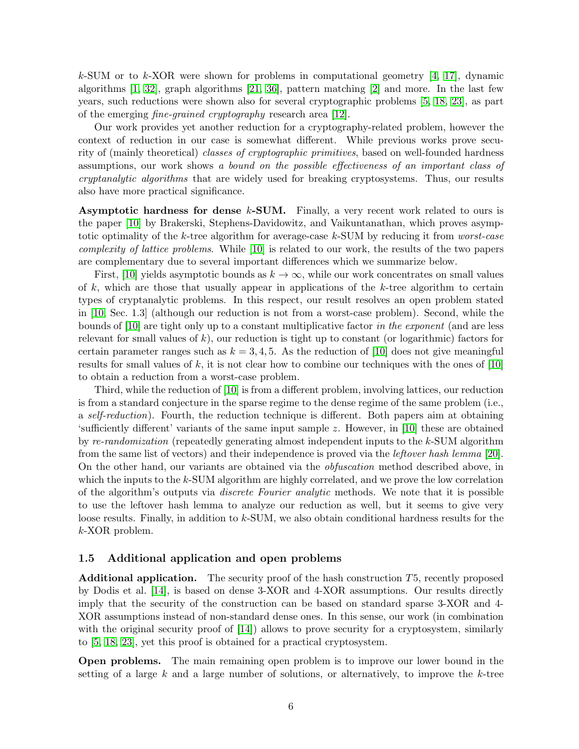k-SUM or to k-XOR were shown for problems in computational geometry  $[4, 17]$  $[4, 17]$ , dynamic algorithms [\[1,](#page-38-8) [32\]](#page-40-6), graph algorithms [\[21,](#page-39-11) [36\]](#page-40-7), pattern matching [\[2\]](#page-38-9) and more. In the last few years, such reductions were shown also for several cryptographic problems [\[5,](#page-38-10) [18,](#page-39-12) [23\]](#page-39-1), as part of the emerging fine-grained cryptography research area [\[12\]](#page-38-11).

Our work provides yet another reduction for a cryptography-related problem, however the context of reduction in our case is somewhat different. While previous works prove security of (mainly theoretical) classes of cryptographic primitives, based on well-founded hardness assumptions, our work shows a bound on the possible effectiveness of an important class of cryptanalytic algorithms that are widely used for breaking cryptosystems. Thus, our results also have more practical significance.

Asymptotic hardness for dense  $k$ -SUM. Finally, a very recent work related to ours is the paper [\[10\]](#page-38-12) by Brakerski, Stephens-Davidowitz, and Vaikuntanathan, which proves asymptotic optimality of the k-tree algorithm for average-case  $k$ -SUM by reducing it from *worst-case* complexity of lattice problems. While [\[10\]](#page-38-12) is related to our work, the results of the two papers are complementary due to several important differences which we summarize below.

First, [\[10\]](#page-38-12) yields asymptotic bounds as  $k \to \infty$ , while our work concentrates on small values of k, which are those that usually appear in applications of the k-tree algorithm to certain types of cryptanalytic problems. In this respect, our result resolves an open problem stated in [\[10,](#page-38-12) Sec. 1.3] (although our reduction is not from a worst-case problem). Second, while the bounds of [\[10\]](#page-38-12) are tight only up to a constant multiplicative factor in the exponent (and are less relevant for small values of  $k$ ), our reduction is tight up to constant (or logarithmic) factors for certain parameter ranges such as  $k = 3, 4, 5$ . As the reduction of [\[10\]](#page-38-12) does not give meaningful results for small values of k, it is not clear how to combine our techniques with the ones of  $[10]$ to obtain a reduction from a worst-case problem.

Third, while the reduction of [\[10\]](#page-38-12) is from a different problem, involving lattices, our reduction is from a standard conjecture in the sparse regime to the dense regime of the same problem (i.e., a self-reduction). Fourth, the reduction technique is different. Both papers aim at obtaining 'sufficiently different' variants of the same input sample z. However, in [\[10\]](#page-38-12) these are obtained by re-randomization (repeatedly generating almost independent inputs to the  $k$ -SUM algorithm from the same list of vectors) and their independence is proved via the leftover hash lemma [\[20\]](#page-39-13). On the other hand, our variants are obtained via the obfuscation method described above, in which the inputs to the k-SUM algorithm are highly correlated, and we prove the low correlation of the algorithm's outputs via discrete Fourier analytic methods. We note that it is possible to use the leftover hash lemma to analyze our reduction as well, but it seems to give very loose results. Finally, in addition to k-SUM, we also obtain conditional hardness results for the k-XOR problem.

### 1.5 Additional application and open problems

Additional application. The security proof of the hash construction T5, recently proposed by Dodis et al. [\[14\]](#page-38-1), is based on dense 3-XOR and 4-XOR assumptions. Our results directly imply that the security of the construction can be based on standard sparse 3-XOR and 4- XOR assumptions instead of non-standard dense ones. In this sense, our work (in combination with the original security proof of [\[14\]](#page-38-1)) allows to prove security for a cryptosystem, similarly to [\[5,](#page-38-10) [18,](#page-39-12) [23\]](#page-39-1), yet this proof is obtained for a practical cryptosystem.

Open problems. The main remaining open problem is to improve our lower bound in the setting of a large k and a large number of solutions, or alternatively, to improve the k-tree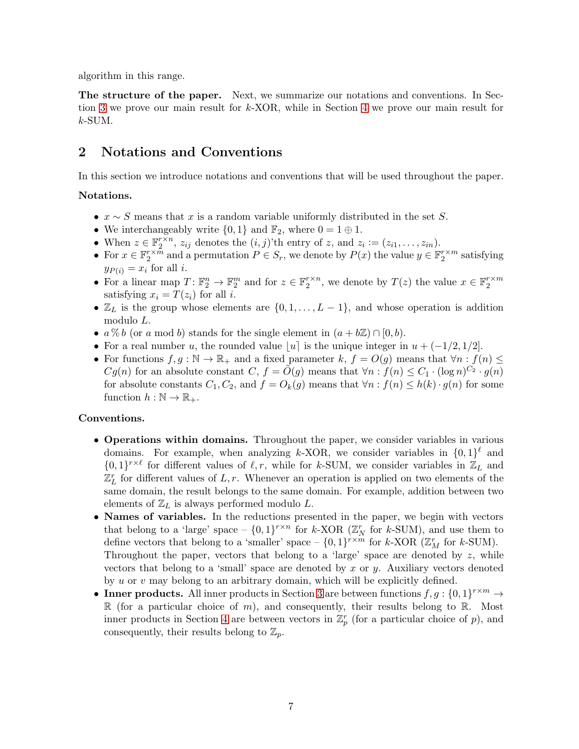algorithm in this range.

The structure of the paper. Next, we summarize our notations and conventions. In Section [3](#page-7-0) we prove our main result for k-XOR, while in Section [4](#page-18-0) we prove our main result for  $k$ -SUM.

# 2 Notations and Conventions

In this section we introduce notations and conventions that will be used throughout the paper.

### Notations.

- $x \sim S$  means that x is a random variable uniformly distributed in the set S.
- We interchangeably write  $\{0,1\}$  and  $\mathbb{F}_2$ , where  $0 = 1 \oplus 1$ .
- When  $z \in \mathbb{F}_2^{r \times n}$ ,  $z_{ij}$  denotes the  $(i, j)$ 'th entry of  $z$ , and  $z_i := (z_{i1}, \ldots, z_{in}).$
- For  $x \in \mathbb{F}_2^{r \times m}$  and a permutation  $P \in S_r$ , we denote by  $P(x)$  the value  $y \in \mathbb{F}_2^{r \times m}$  satisfying  $y_{P(i)} = x_i$  for all *i*.
- For a linear map  $T: \mathbb{F}_2^n \to \mathbb{F}_2^m$  and for  $z \in \mathbb{F}_2^{r \times n}$ , we denote by  $T(z)$  the value  $x \in \mathbb{F}_2^{r \times m}$ satisfying  $x_i = T(z_i)$  for all i.
- $\mathbb{Z}_L$  is the group whose elements are  $\{0, 1, \ldots, L-1\}$ , and whose operation is addition modulo L.
- $a\% b$  (or a mod b) stands for the single element in  $(a + b\mathbb{Z}) \cap [0, b)$ .
- For a real number u, the rounded value |u| is the unique integer in  $u + (-1/2, 1/2]$ .
- For functions  $f, g : \mathbb{N} \to \mathbb{R}_+$  and a fixed parameter k,  $f = O(g)$  means that  $\forall n : f(n) \leq$  $Cg(n)$  for an absolute constant  $C, f = \tilde{O}(g)$  means that  $\forall n : f(n) \leq C_1 \cdot (\log n)^{C_2} \cdot g(n)$ for absolute constants  $C_1, C_2$ , and  $f = O_k(g)$  means that  $\forall n : f(n) \leq h(k) \cdot g(n)$  for some function  $h : \mathbb{N} \to \mathbb{R}_+$ .

### Conventions.

- Operations within domains. Throughout the paper, we consider variables in various domains. For example, when analyzing k-XOR, we consider variables in  $\{0,1\}^{\ell}$  and  $\{0,1\}^{r \times \ell}$  for different values of  $\ell, r$ , while for k-SUM, we consider variables in  $\mathbb{Z}_L$  and  $\mathbb{Z}_L^r$  for different values of L, r. Whenever an operation is applied on two elements of the same domain, the result belongs to the same domain. For example, addition between two elements of  $\mathbb{Z}_L$  is always performed modulo L.
- Names of variables. In the reductions presented in the paper, we begin with vectors that belong to a 'large' space  $- \{0,1\}^{r \times n}$  for k-XOR ( $\mathbb{Z}_N^r$  for k-SUM), and use them to define vectors that belong to a 'smaller' space  $- \{0,1\}^{r \times m}$  for k-XOR ( $\mathbb{Z}_M^r$  for k-SUM). Throughout the paper, vectors that belong to a 'large' space are denoted by  $z$ , while vectors that belong to a 'small' space are denoted by x or y. Auxiliary vectors denoted by u or v may belong to an arbitrary domain, which will be explicitly defined.
- <span id="page-7-0"></span>• Inner products. All inner products in Section [3](#page-7-0) are between functions  $f, g: \{0, 1\}^{r \times m} \to$  $\mathbb R$  (for a particular choice of m), and consequently, their results belong to  $\mathbb R$ . Most inner products in Section [4](#page-18-0) are between vectors in  $\mathbb{Z}_p^r$  (for a particular choice of p), and consequently, their results belong to  $\mathbb{Z}_p$ .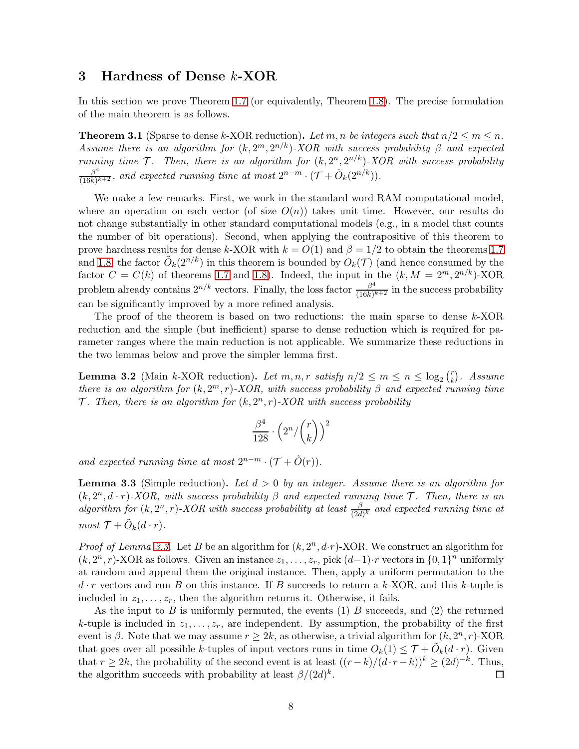### 3 Hardness of Dense k-XOR

In this section we prove Theorem [1.7](#page-3-0) (or equivalently, Theorem [1.8\)](#page-4-0). The precise formulation of the main theorem is as follows.

<span id="page-8-1"></span>**Theorem 3.1** (Sparse to dense k-XOR reduction). Let m, n be integers such that  $n/2 \le m \le n$ . Assume there is an algorithm for  $(k, 2^m, 2^{n/k})$ -XOR with success probability  $\beta$  and expected running time  $\mathcal{T}$ . Then, there is an algorithm for  $(k, 2^n, 2^{n/k})$ -XOR with success probability  $\beta^4$  $\frac{\beta^4}{(16k)^{k+2}}$ , and expected running time at most  $2^{n-m} \cdot (\mathcal{T} + \tilde{O}_k(2^{n/k}))$ .

We make a few remarks. First, we work in the standard word RAM computational model, where an operation on each vector (of size  $O(n)$ ) takes unit time. However, our results do not change substantially in other standard computational models (e.g., in a model that counts the number of bit operations). Second, when applying the contrapositive of this theorem to prove hardness results for dense k-XOR with  $k = O(1)$  and  $\beta = 1/2$  to obtain the theorems [1.7](#page-3-0) and [1.8,](#page-4-0) the factor  $\tilde{O}_k(2^{n/k})$  in this theorem is bounded by  $O_k(\mathcal{T})$  (and hence consumed by the factor  $C = C(k)$  of theorems [1.7](#page-3-0) and [1.8\)](#page-4-0). Indeed, the input in the  $(k, M = 2<sup>m</sup>, 2<sup>n/k</sup>)$ -XOR problem already contains  $2^{n/k}$  vectors. Finally, the loss factor  $\frac{\beta^4}{(16k)^3}$  $\frac{\beta}{(16k)^{k+2}}$  in the success probability can be significantly improved by a more refined analysis.

The proof of the theorem is based on two reductions: the main sparse to dense k-XOR reduction and the simple (but inefficient) sparse to dense reduction which is required for parameter ranges where the main reduction is not applicable. We summarize these reductions in the two lemmas below and prove the simpler lemma first.

<span id="page-8-2"></span>**Lemma 3.2** (Main k-XOR reduction). Let  $m, n, r$  satisfy  $n/2 \le m \le n \le \log_2 {r \choose k}$  $\binom{r}{k}$ . Assume there is an algorithm for  $(k, 2^m, r)$ -XOR, with success probability  $\beta$  and expected running time  $\mathcal{T}$ . Then, there is an algorithm for  $(k, 2<sup>n</sup>, r)$ -XOR with success probability

$$
\frac{\beta^4}{128} \cdot \left(2^n/{\binom{r}{k}}\right)^2
$$

and expected running time at most  $2^{n-m} \cdot (\mathcal{T} + \tilde{O}(r)).$ 

<span id="page-8-0"></span>**Lemma 3.3** (Simple reduction). Let  $d > 0$  by an integer. Assume there is an algorithm for  $(k, 2^n, d \cdot r)$ -XOR, with success probability  $\beta$  and expected running time  $\mathcal{T}$ . Then, there is an algorithm for  $(k, 2^n, r)$ -XOR with success probability at least  $\frac{\beta}{(2d)^k}$  and expected running time at  $most \mathcal{T} + \tilde{O}_k(d \cdot r).$ 

*Proof of Lemma [3.3.](#page-8-0)* Let B be an algorithm for  $(k, 2^n, d \cdot r)$ -XOR. We construct an algorithm for  $(k, 2<sup>n</sup>, r)$ -XOR as follows. Given an instance  $z_1, \ldots, z_r$ , pick  $(d-1) \cdot r$  vectors in  $\{0, 1\}^n$  uniformly at random and append them the original instance. Then, apply a uniform permutation to the  $d \cdot r$  vectors and run B on this instance. If B succeeds to return a k-XOR, and this k-tuple is included in  $z_1, \ldots, z_r$ , then the algorithm returns it. Otherwise, it fails.

As the input to  $B$  is uniformly permuted, the events  $(1)$   $B$  succeeds, and  $(2)$  the returned k-tuple is included in  $z_1, \ldots, z_r$ , are independent. By assumption, the probability of the first event is  $\beta$ . Note that we may assume  $r \geq 2k$ , as otherwise, a trivial algorithm for  $(k, 2<sup>n</sup>, r)$ -XOR that goes over all possible k-tuples of input vectors runs in time  $O_k(1) \leq \mathcal{T} + \tilde{O}_k(d \cdot r)$ . Given that  $r \ge 2k$ , the probability of the second event is at least  $((r-k)/(d\cdot r-k))^k \ge (2d)^{-k}$ . Thus, the algorithm succeeds with probability at least  $\beta/(2d)^k$ . 口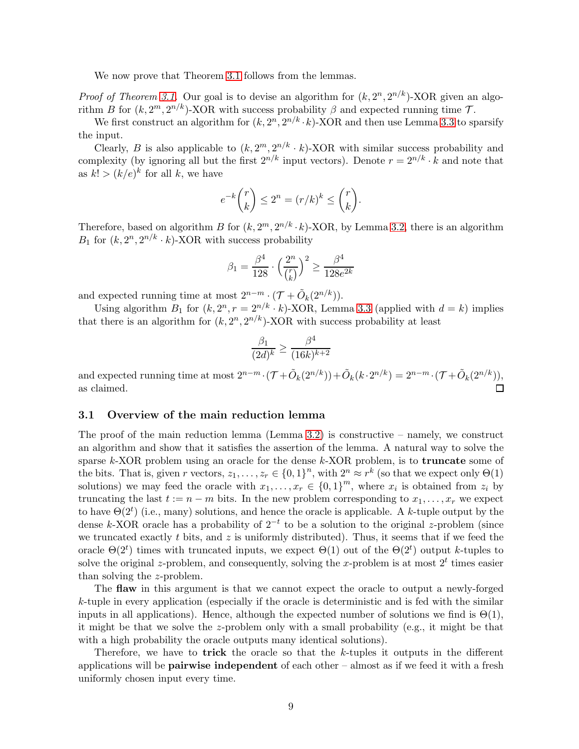We now prove that Theorem [3.1](#page-8-1) follows from the lemmas.

*Proof of Theorem [3.1.](#page-8-1)* Our goal is to devise an algorithm for  $(k, 2^n, 2^{n/k})$ -XOR given an algorithm B for  $(k, 2^m, 2^{n/k})$ -XOR with success probability  $\beta$  and expected running time  $\mathcal{T}$ .

We first construct an algorithm for  $(k, 2^n, 2^{n/k} \cdot k)$ -XOR and then use Lemma [3.3](#page-8-0) to sparsify the input.

Clearly, B is also applicable to  $(k, 2^m, 2^{n/k} \cdot k)$ -XOR with similar success probability and complexity (by ignoring all but the first  $2^{n/k}$  input vectors). Denote  $r = 2^{n/k} \cdot k$  and note that as  $k! > (k/e)^k$  for all k, we have

$$
e^{-k}\binom{r}{k} \le 2^n = (r/k)^k \le \binom{r}{k}.
$$

Therefore, based on algorithm B for  $(k, 2^m, 2^{n/k} \cdot k)$ -XOR, by Lemma [3.2,](#page-8-2) there is an algorithm  $B_1$  for  $(k, 2^n, 2^{n/k} \cdot k)$ -XOR with success probability

$$
\beta_1 = \frac{\beta^4}{128}\cdot\Big(\frac{2^n}{\binom{r}{k}}\Big)^2 \geq \frac{\beta^4}{128e^{2k}}
$$

and expected running time at most  $2^{n-m} \cdot (\mathcal{T} + \tilde{O}_k(2^{n/k}))$ .

Using algorithm  $B_1$  for  $(k, 2^n, r = 2^{n/k} \cdot k)$ -XOR, Lemma [3.3](#page-8-0) (applied with  $d = k$ ) implies that there is an algorithm for  $(k, 2^n, 2^{n/k})$ -XOR with success probability at least

$$
\frac{\beta_1}{(2d)^k} \ge \frac{\beta^4}{(16k)^{k+2}}
$$

and expected running time at most  $2^{n-m} \cdot (\mathcal{T} + \tilde{O}_k(2^{n/k})) + \tilde{O}_k(k \cdot 2^{n/k}) = 2^{n-m} \cdot (\mathcal{T} + \tilde{O}_k(2^{n/k})),$ as claimed.

### 3.1 Overview of the main reduction lemma

The proof of the main reduction lemma (Lemma [3.2\)](#page-8-2) is constructive – namely, we construct an algorithm and show that it satisfies the assertion of the lemma. A natural way to solve the sparse k-XOR problem using an oracle for the dense k-XOR problem, is to **truncate** some of the bits. That is, given r vectors,  $z_1, \ldots, z_r \in \{0,1\}^n$ , with  $2^n \approx r^k$  (so that we expect only  $\Theta(1)$ ) solutions) we may feed the oracle with  $x_1, \ldots, x_r \in \{0,1\}^m$ , where  $x_i$  is obtained from  $z_i$  by truncating the last  $t := n - m$  bits. In the new problem corresponding to  $x_1, \ldots, x_r$  we expect to have  $\Theta(2^t)$  (i.e., many) solutions, and hence the oracle is applicable. A k-tuple output by the dense k-XOR oracle has a probability of  $2^{-t}$  to be a solution to the original z-problem (since we truncated exactly t bits, and z is uniformly distributed). Thus, it seems that if we feed the oracle  $\Theta(2^t)$  times with truncated inputs, we expect  $\Theta(1)$  out of the  $\Theta(2^t)$  output k-tuples to solve the original z-problem, and consequently, solving the x-problem is at most  $2<sup>t</sup>$  times easier than solving the z-problem.

The flaw in this argument is that we cannot expect the oracle to output a newly-forged k-tuple in every application (especially if the oracle is deterministic and is fed with the similar inputs in all applications). Hence, although the expected number of solutions we find is  $\Theta(1)$ , it might be that we solve the z-problem only with a small probability (e.g., it might be that with a high probability the oracle outputs many identical solutions).

Therefore, we have to **trick** the oracle so that the  $k$ -tuples it outputs in the different applications will be pairwise independent of each other – almost as if we feed it with a fresh uniformly chosen input every time.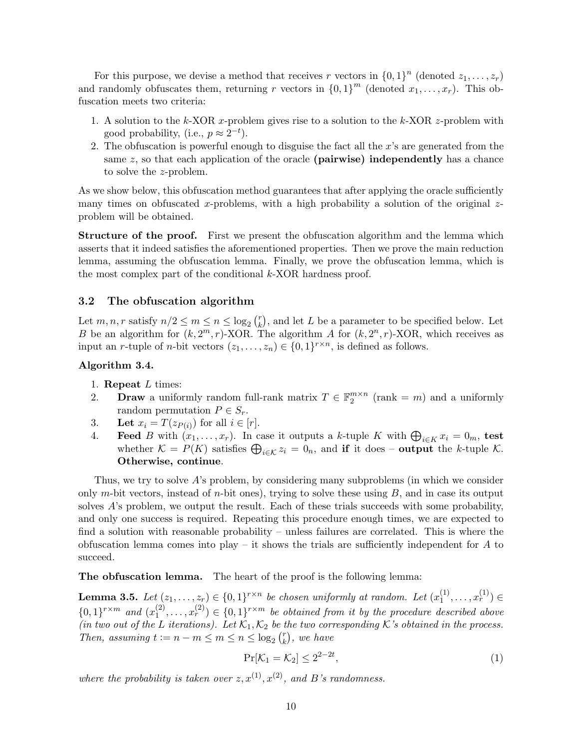For this purpose, we devise a method that receives r vectors in  $\{0,1\}^n$  (denoted  $z_1, \ldots, z_r$ ) and randomly obfuscates them, returning r vectors in  ${0,1}^m$  (denoted  $x_1, \ldots, x_r$ ). This obfuscation meets two criteria:

- 1. A solution to the k-XOR x-problem gives rise to a solution to the k-XOR z-problem with good probability, (i.e.,  $p \approx 2^{-t}$ ).
- 2. The obfuscation is powerful enough to disguise the fact all the  $x$ 's are generated from the same  $z$ , so that each application of the oracle (**pairwise**) independently has a chance to solve the z-problem.

As we show below, this obfuscation method guarantees that after applying the oracle sufficiently many times on obfuscated x-problems, with a high probability a solution of the original  $z$ problem will be obtained.

**Structure of the proof.** First we present the obfuscation algorithm and the lemma which asserts that it indeed satisfies the aforementioned properties. Then we prove the main reduction lemma, assuming the obfuscation lemma. Finally, we prove the obfuscation lemma, which is the most complex part of the conditional  $k$ -XOR hardness proof.

### 3.2 The obfuscation algorithm

Let  $m, n, r$  satisfy  $n/2 \leq m \leq n \leq \log_2 {r \choose k}$  $\binom{r}{k}$ , and let L be a parameter to be specified below. Let B be an algorithm for  $(k, 2^m, r)$ -XOR. The algorithm A for  $(k, 2^n, r)$ -XOR, which receives as input an *r*-tuple of *n*-bit vectors  $(z_1, \ldots, z_n) \in \{0, 1\}^{r \times n}$ , is defined as follows.

### <span id="page-10-1"></span>Algorithm 3.4.

- 1. Repeat  $L$  times:
- 2. Draw a uniformly random full-rank matrix  $T \in \mathbb{F}_2^{m \times n}$  (rank = m) and a uniformly random permutation  $P \in S_r$ .
- 3. Let  $x_i = T(z_{P(i)})$  for all  $i \in [r]$ .
- 4. Feed B with  $(x_1, \ldots, x_r)$ . In case it outputs a k-tuple K with  $\bigoplus_{i \in K} x_i = 0_m$ , test whether  $\mathcal{K} = P(K)$  satisfies  $\bigoplus_{i \in \mathcal{K}} z_i = 0_n$ , and if it does – output the k-tuple K. Otherwise, continue.

Thus, we try to solve A's problem, by considering many subproblems (in which we consider only m-bit vectors, instead of n-bit ones), trying to solve these using  $B$ , and in case its output solves  $A$ 's problem, we output the result. Each of these trials succeeds with some probability, and only one success is required. Repeating this procedure enough times, we are expected to find a solution with reasonable probability – unless failures are correlated. This is where the obfuscation lemma comes into play – it shows the trials are sufficiently independent for  $A$  to succeed.

The obfuscation lemma. The heart of the proof is the following lemma:

<span id="page-10-0"></span>**Lemma 3.5.** Let  $(z_1, \ldots, z_r) \in \{0,1\}^{r \times n}$  be chosen uniformly at random. Let  $(x_1^{(1)})$  $\binom{1}{1}, \ldots, x_r^{(1)}$   $\in$  $\{0,1\}^{r \times m}$  and  $(x_1^{(2)})$  $\mathbf{1}_{1}^{(2)}, \ldots, \mathbf{1}_{r}^{(2)} \in \{0,1\}^{r \times m}$  be obtained from it by the procedure described above (in two out of the L iterations). Let  $\mathcal{K}_1, \mathcal{K}_2$  be the two corresponding K's obtained in the process. Then, assuming  $t := n - m \le m \le n \le \log_2 {n \choose k}$  $\binom{r}{k}$ , we have

<span id="page-10-2"></span>
$$
\Pr[\mathcal{K}_1 = \mathcal{K}_2] \le 2^{2-2t},\tag{1}
$$

where the probability is taken over  $z, x^{(1)}, x^{(2)}$ , and B's randomness.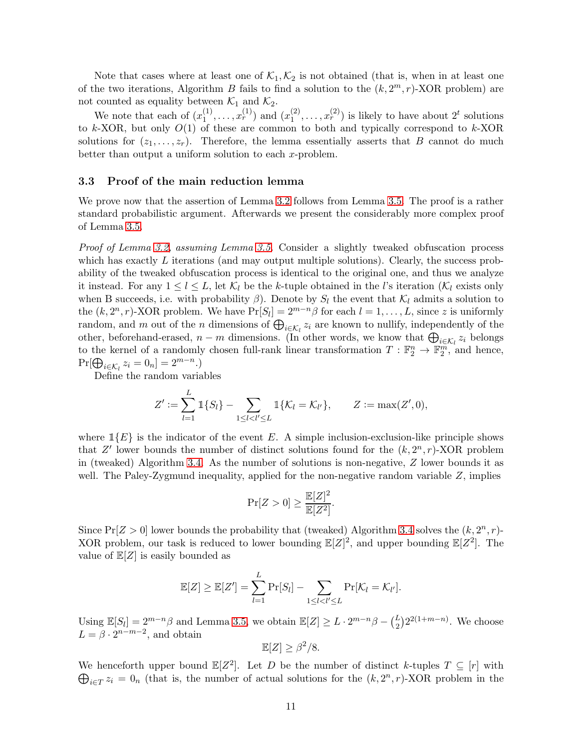Note that cases where at least one of  $\mathcal{K}_1, \mathcal{K}_2$  is not obtained (that is, when in at least one of the two iterations, Algorithm B fails to find a solution to the  $(k, 2<sup>m</sup>, r)$ -XOR problem) are not counted as equality between  $\mathcal{K}_1$  and  $\mathcal{K}_2$ .

We note that each of  $(x_1^{(1)})$  $x_1^{(1)}, \ldots, x_r^{(1)}$  and  $(x_1^{(2)}$  $(2), \ldots, x_r^{(2)}$  is likely to have about  $2^t$  solutions to k-XOR, but only  $O(1)$  of these are common to both and typically correspond to k-XOR solutions for  $(z_1, \ldots, z_r)$ . Therefore, the lemma essentially asserts that B cannot do much better than output a uniform solution to each x-problem.

### <span id="page-11-0"></span>3.3 Proof of the main reduction lemma

We prove now that the assertion of Lemma [3.2](#page-8-2) follows from Lemma [3.5.](#page-10-0) The proof is a rather standard probabilistic argument. Afterwards we present the considerably more complex proof of Lemma [3.5.](#page-10-0)

Proof of Lemma [3.2,](#page-8-2) assuming Lemma [3.5.](#page-10-0) Consider a slightly tweaked obfuscation process which has exactly  $L$  iterations (and may output multiple solutions). Clearly, the success probability of the tweaked obfuscation process is identical to the original one, and thus we analyze it instead. For any  $1 \leq l \leq L$ , let  $\mathcal{K}_l$  be the k-tuple obtained in the l's iteration ( $\mathcal{K}_l$  exists only when B succeeds, i.e. with probability  $\beta$ ). Denote by  $S_l$  the event that  $\mathcal{K}_l$  admits a solution to the  $(k, 2<sup>n</sup>, r)$ -XOR problem. We have  $Pr[S_l] = 2<sup>{m-n}</sup>\beta$  for each  $l = 1, ..., L$ , since z is uniformly random, and m out of the n dimensions of  $\bigoplus_{i \in \mathcal{K}_l} z_i$  are known to nullify, independently of the other, beforehand-erased,  $n - m$  dimensions. (In other words, we know that  $\bigoplus_{i \in \mathcal{K}_l} z_i$  belongs to the kernel of a randomly chosen full-rank linear transformation  $T : \mathbb{F}_2^n \to \mathbb{F}_2^m$ , and hence,  $Pr[\bigoplus_{i \in \mathcal{K}_l} z_i = 0_n] = 2^{m-n}$ .)

Define the random variables

$$
Z' := \sum_{l=1}^{L} \mathbb{1}\{S_l\} - \sum_{1 \leq l < l' \leq L} \mathbb{1}\{K_l = K_{l'}\}, \qquad Z := \max(Z', 0),
$$

where  $\mathbb{1}{E}$  is the indicator of the event E. A simple inclusion-exclusion-like principle shows that  $Z'$  lower bounds the number of distinct solutions found for the  $(k, 2<sup>n</sup>, r)$ -XOR problem in (tweaked) Algorithm [3.4.](#page-10-1) As the number of solutions is non-negative,  $Z$  lower bounds it as well. The Paley-Zygmund inequality, applied for the non-negative random variable  $Z$ , implies

$$
\Pr[Z > 0] \ge \frac{\mathbb{E}[Z]^2}{\mathbb{E}[Z^2]}.
$$

Since  $Pr[Z > 0]$  lower bounds the probability that (tweaked) Algorithm [3.4](#page-10-1) solves the  $(k, 2<sup>n</sup>, r)$ -XOR problem, our task is reduced to lower bounding  $\mathbb{E}[Z]^2$ , and upper bounding  $\mathbb{E}[Z^2]$ . The value of  $\mathbb{E}[Z]$  is easily bounded as

$$
\mathbb{E}[Z] \geq \mathbb{E}[Z'] = \sum_{l=1}^{L} \Pr[S_l] - \sum_{1 \leq l < l' \leq L} \Pr[\mathcal{K}_l = \mathcal{K}_{l'}].
$$

Using  $\mathbb{E}[S_l] = 2^{m-n}\beta$  and Lemma [3.5,](#page-10-0) we obtain  $\mathbb{E}[Z] \ge L \cdot 2^{m-n}\beta - {L \choose 2}2^{2(1+m-n)}$ . We choose  $L = \beta \cdot 2^{n-m-2}$ , and obtain

$$
\mathbb{E}[Z] \ge \beta^2/8.
$$

We henceforth upper bound  $\mathbb{E}[Z^2]$ . Let D be the number of distinct k-tuples  $T \subseteq [r]$  with  $\bigoplus_{i\in T} z_i = 0$ <sub>n</sub> (that is, the number of actual solutions for the  $(k, 2^n, r)$ -XOR problem in the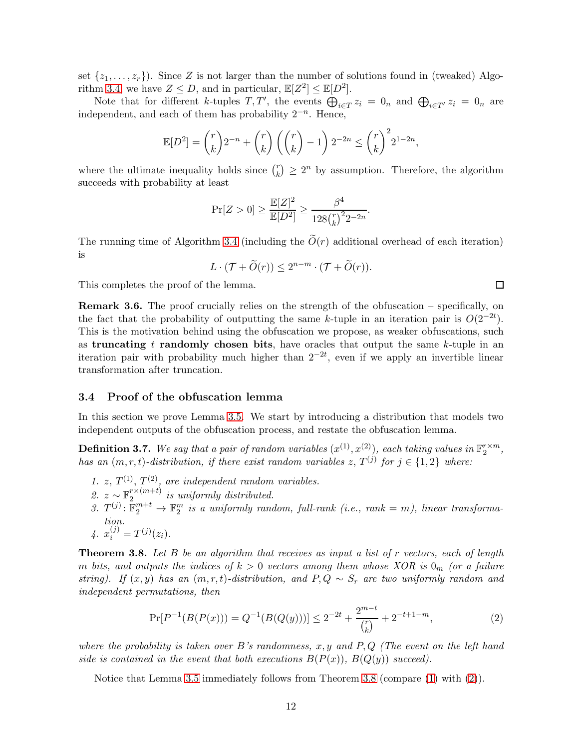set  $\{z_1, \ldots, z_r\}$ . Since Z is not larger than the number of solutions found in (tweaked) Algo-rithm [3.4,](#page-10-1) we have  $Z \leq D$ , and in particular,  $\mathbb{E}[Z^2] \leq \mathbb{E}[D^2]$ .

Note that for different k-tuples  $T, T'$ , the events  $\bigoplus_{i \in T} z_i = 0_n$  and  $\bigoplus_{i \in T'} z_i = 0_n$  are independent, and each of them has probability  $2^{-n}$ . Hence,

$$
\mathbb{E}[D^{2}] = {r \choose k} 2^{-n} + {r \choose k} \left( {r \choose k} - 1 \right) 2^{-2n} \le {r \choose k}^{2} 2^{1-2n},
$$

where the ultimate inequality holds since  $\binom{r}{k}$  ${k \choose k} \geq 2^n$  by assumption. Therefore, the algorithm succeeds with probability at least

$$
\Pr[Z > 0] \geq \frac{\mathbb{E}[Z]^2}{\mathbb{E}[D^2]} \geq \frac{\beta^4}{128 {r \choose k}^2 2^{-2n}}.
$$

The running time of Algorithm [3.4](#page-10-1) (including the  $\tilde{O}(r)$  additional overhead of each iteration) is

$$
L \cdot (\mathcal{T} + \widetilde{O}(r)) \le 2^{n-m} \cdot (\mathcal{T} + \widetilde{O}(r)).
$$

This completes the proof of the lemma.

Remark 3.6. The proof crucially relies on the strength of the obfuscation – specifically, on the fact that the probability of outputting the same k-tuple in an iteration pair is  $O(2^{-2t})$ . This is the motivation behind using the obfuscation we propose, as weaker obfuscations, such as truncating t randomly chosen bits, have oracles that output the same  $k$ -tuple in an iteration pair with probability much higher than  $2^{-2t}$ , even if we apply an invertible linear transformation after truncation.

### 3.4 Proof of the obfuscation lemma

In this section we prove Lemma [3.5.](#page-10-0) We start by introducing a distribution that models two independent outputs of the obfuscation process, and restate the obfuscation lemma.

<span id="page-12-2"></span>**Definition 3.7.** We say that a pair of random variables  $(x^{(1)}, x^{(2)})$ , each taking values in  $\mathbb{F}_2^{r \times m}$ , has an  $(m, r, t)$ -distribution, if there exist random variables  $z, T^{(j)}$  for  $j \in \{1, 2\}$  where:

- 1. z,  $T^{(1)}$ ,  $T^{(2)}$ , are independent random variables.
- 2.  $z \sim \mathbb{F}_2^{r \times (m+t)}$  $\sum_{i=1}^{T}$  is uniformly distributed.
- 3.  $T^{(j)}: \mathbb{F}_2^{m+t} \to \mathbb{F}_2^m$  is a uniformly random, full-rank (i.e., rank = m), linear transformation.
- 4.  $x_i^{(j)} = T^{(j)}(z_i)$ .

<span id="page-12-0"></span>**Theorem 3.8.** Let  $B$  be an algorithm that receives as input a list of  $r$  vectors, each of length m bits, and outputs the indices of  $k > 0$  vectors among them whose XOR is  $0<sub>m</sub>$  (or a failure string). If  $(x, y)$  has an  $(m, r, t)$ -distribution, and  $P, Q \sim S_r$  are two uniformly random and independent permutations, then

<span id="page-12-1"></span>
$$
\Pr[P^{-1}(B(P(x))) = Q^{-1}(B(Q(y)))] \le 2^{-2t} + \frac{2^{m-t}}{\binom{r}{k}} + 2^{-t+1-m},\tag{2}
$$

where the probability is taken over B's randomness, x, y and  $P, Q$  (The event on the left hand side is contained in the event that both executions  $B(P(x))$ ,  $B(Q(y))$  succeed).

Notice that Lemma [3.5](#page-10-0) immediately follows from Theorem [3.8](#page-12-0) (compare [\(1\)](#page-10-2) with [\(2\)](#page-12-1)).

 $\Box$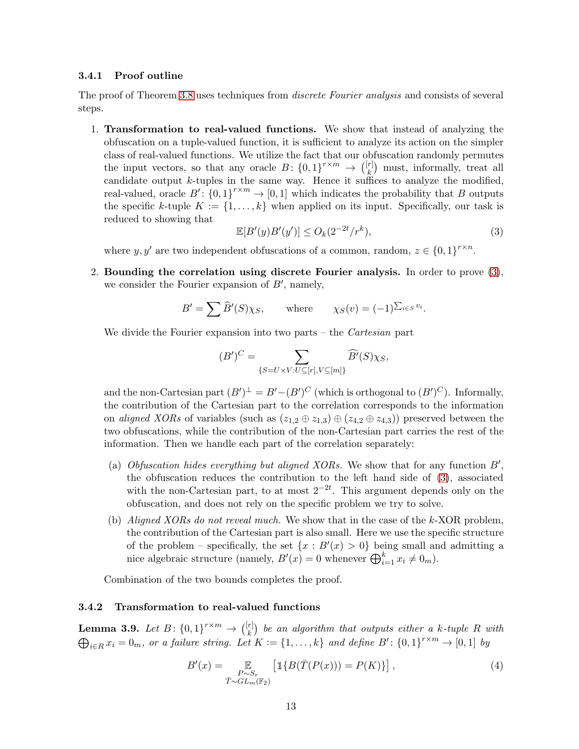### 3.4.1 Proof outline

The proof of Theorem [3.8](#page-12-0) uses techniques from *discrete Fourier analysis* and consists of several steps.

1. Transformation to real-valued functions. We show that instead of analyzing the obfuscation on a tuple-valued function, it is sufficient to analyze its action on the simpler class of real-valued functions. We utilize the fact that our obfuscation randomly permutes the input vectors, so that any oracle  $B: \{0,1\}^{r \times m} \to \binom{[r]}{k}$  $\binom{r}{k}$  must, informally, treat all candidate output  $k$ -tuples in the same way. Hence it suffices to analyze the modified, real-valued, oracle  $B'$ :  $\{0,1\}^{r \times m} \to [0,1]$  which indicates the probability that B outputs the specific k-tuple  $K := \{1, \ldots, k\}$  when applied on its input. Specifically, our task is reduced to showing that

<span id="page-13-0"></span>
$$
\mathbb{E}[B'(y)B'(y')] \le O_k(2^{-2t}/r^k),\tag{3}
$$

where  $y, y'$  are two independent obfuscations of a common, random,  $z \in \{0, 1\}^{r \times n}$ .

2. Bounding the correlation using discrete Fourier analysis. In order to prove [\(3\)](#page-13-0), we consider the Fourier expansion of  $B'$ , namely,

$$
B' = \sum \widehat{B}'(S)\chi_S, \quad \text{where} \quad \chi_S(v) = (-1)^{\sum_{i \in S} v_i}.
$$

We divide the Fourier expansion into two parts – the *Cartesian* part

$$
(B')^C = \sum_{\{S=U\times V: U \subseteq [r], V \subseteq [m]\}} \widehat{B'}(S)\chi_S,
$$

and the non-Cartesian part  $(B')^{\perp} = B' - (B')^C$  (which is orthogonal to  $(B')^C$ ). Informally, the contribution of the Cartesian part to the correlation corresponds to the information on aligned XORs of variables (such as  $(z_{1,2} \oplus z_{1,3}) \oplus (z_{4,2} \oplus z_{4,3})$ ) preserved between the two obfuscations, while the contribution of the non-Cartesian part carries the rest of the information. Then we handle each part of the correlation separately:

- (a) Obfuscation hides everything but aligned XORs. We show that for any function  $B'$ , the obfuscation reduces the contribution to the left hand side of [\(3\)](#page-13-0), associated with the non-Cartesian part, to at most  $2^{-2t}$ . This argument depends only on the obfuscation, and does not rely on the specific problem we try to solve.
- (b) Aligned XORs do not reveal much. We show that in the case of the k-XOR problem, the contribution of the Cartesian part is also small. Here we use the specific structure of the problem – specifically, the set  $\{x : B'(x) > 0\}$  being small and admitting a nice algebraic structure (namely,  $B'(x) = 0$  whenever  $\bigoplus_{i=1}^{k} x_i \neq 0_m$ ).

Combination of the two bounds completes the proof.

### 3.4.2 Transformation to real-valued functions

<span id="page-13-2"></span>**Lemma 3.9.** Let  $B: \{0,1\}^{r \times m} \to {[r]_k}$  $\left( \begin{smallmatrix} [r] \ k \end{smallmatrix} \right)$  be an algorithm that outputs either a k-tuple R with  $\bigoplus_{i\in R} x_i = 0_m$ , or a failure string. Let  $K := \{1, \ldots, k\}$  and define  $B' : \{0,1\}^{r \times m} \to [0,1]$  by

<span id="page-13-1"></span>
$$
B'(x) = \mathop{\mathbb{E}}_{\substack{P \sim S_r \\ \bar{T} \sim GL_m(\mathbb{F}_2)}} \left[ \mathbb{1} \{ B(\bar{T}(P(x))) = P(K) \} \right],\tag{4}
$$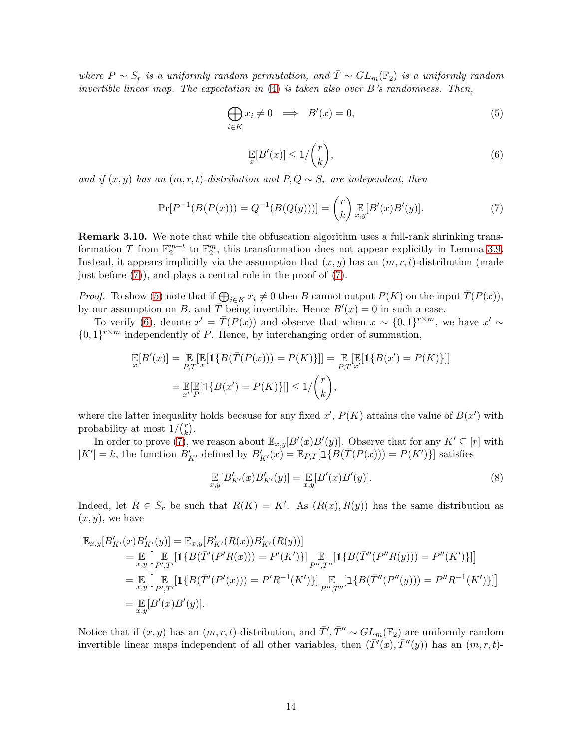where  $P \sim S_r$  is a uniformly random permutation, and  $\overline{T} \sim GL_m(\mathbb{F}_2)$  is a uniformly random invertible linear map. The expectation in  $(4)$  is taken also over B's randomness. Then,

$$
\bigoplus_{i \in K} x_i \neq 0 \implies B'(x) = 0,\tag{5}
$$

<span id="page-14-1"></span><span id="page-14-0"></span>
$$
\mathbb{E}[B'(x)] \le 1/\binom{r}{k},\tag{6}
$$

<span id="page-14-2"></span>and if  $(x, y)$  has an  $(m, r, t)$ -distribution and  $P, Q \sim S_r$  are independent, then

$$
\Pr[P^{-1}(B(P(x))) = Q^{-1}(B(Q(y)))] = {r \choose k} \mathop{\mathbb{E}}_{x,y}[B'(x)B'(y)].
$$
\n(7)

Remark 3.10. We note that while the obfuscation algorithm uses a full-rank shrinking transformation T from  $\mathbb{F}_2^{m+t}$  to  $\mathbb{F}_2^m$ , this transformation does not appear explicitly in Lemma [3.9.](#page-13-2) Instead, it appears implicitly via the assumption that  $(x, y)$  has an  $(m, r, t)$ -distribution (made just before [\(7\)](#page-14-0)), and plays a central role in the proof of [\(7\)](#page-14-0).

*Proof.* To show [\(5\)](#page-14-1) note that if  $\bigoplus_{i \in K} x_i \neq 0$  then B cannot output  $P(K)$  on the input  $\overline{T}(P(x))$ , by our assumption on B, and  $\overline{T}$  being invertible. Hence  $B'(x) = 0$  in such a case.

To verify [\(6\)](#page-14-2), denote  $x' = \overline{T}(P(x))$  and observe that when  $x \sim \{0,1\}^{r \times m}$ , we have  $x' \sim$  $\{0,1\}^{r \times m}$  independently of P. Hence, by interchanging order of summation,

$$
\mathbb{E}[B'(x)] = \mathbb{E}[\mathbb{E}[\mathbb{1}\{B(\overline{T}(P(x))) = P(K)\}]] = \mathbb{E}[\mathbb{E}[\mathbb{1}\{B(x') = P(K)\}]]
$$

$$
= \mathbb{E}[\mathbb{E}[\mathbb{1}\{B(x') = P(K)\}]] \le 1/\binom{r}{k},
$$

where the latter inequality holds because for any fixed  $x'$ ,  $P(K)$  attains the value of  $B(x')$  with probability at most  $1/\binom{r}{k}$  $\binom{r}{k}$ .

In order to prove [\(7\)](#page-14-0), we reason about  $\mathbb{E}_{x,y}[B'(x)B'(y)]$ . Observe that for any  $K' \subseteq [r]$  with  $|K'| = k$ , the function  $B'_{K'}$  defined by  $B'_{K'}(x) = \mathbb{E}_{P,T}[\mathbb{1}\{B(\bar{T}(P(x))) = P(K')\}]$  satisfies

<span id="page-14-3"></span>
$$
\mathop{\mathbb{E}}_{x,y}[B'_{K'}(x)B'_{K'}(y)] = \mathop{\mathbb{E}}_{x,y}[B'(x)B'(y)].
$$
\n(8)

Indeed, let  $R \in S_r$  be such that  $R(K) = K'$ . As  $(R(x), R(y))$  has the same distribution as  $(x, y)$ , we have

$$
\mathbb{E}_{x,y}[B'_{K'}(x)B'_{K'}(y)] = \mathbb{E}_{x,y}[B'_{K'}(R(x))B'_{K'}(R(y))]
$$
\n
$$
= \mathbb{E}_{x,y}\left[\mathbb{E}_{P',\bar{T}'}[\mathbb{1}\{B(\bar{T}'(P'R(x))) = P'(K')\}] \mathbb{E}_{P',\bar{T}''}[\mathbb{1}\{B(\bar{T}''(P''R(y))) = P''(K')\}] \right]
$$
\n
$$
= \mathbb{E}_{x,y}\left[\mathbb{E}_{P',\bar{T}'}[\mathbb{1}\{B(\bar{T}'(P'(x))) = P'R^{-1}(K')\}] \mathbb{E}_{P'',\bar{T}''}[\mathbb{1}\{B(\bar{T}''(P''(y))) = P''R^{-1}(K')\}] \right]
$$
\n
$$
= \mathbb{E}_{x,y}[B'(x)B'(y)].
$$

Notice that if  $(x, y)$  has an  $(m, r, t)$ -distribution, and  $\overline{T}', \overline{T}'' \sim GL_m(\mathbb{F}_2)$  are uniformly random invertible linear maps independent of all other variables, then  $(\bar{T}'(x), \bar{T}''(y))$  has an  $(m, r, t)$ -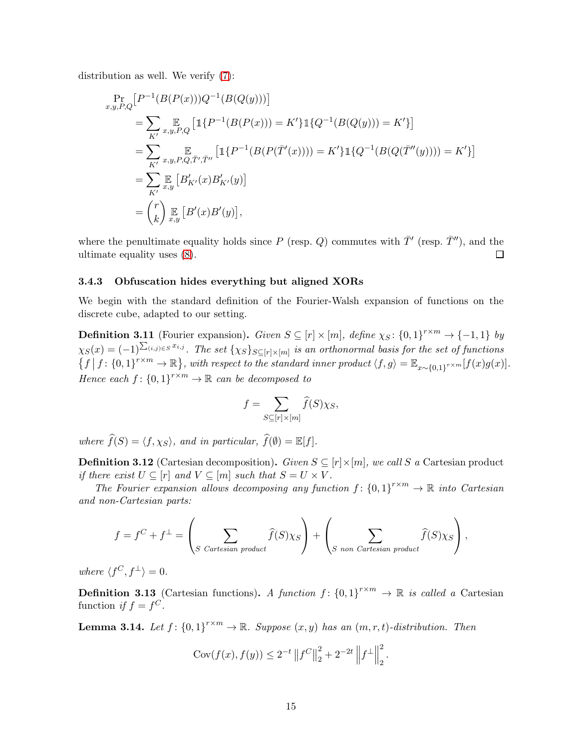distribution as well. We verify [\(7\)](#page-14-0):

$$
\Pr_{x,y,P,Q} \left[ P^{-1}(B(P(x)))Q^{-1}(B(Q(y))) \right]
$$
\n
$$
= \sum_{K'} \mathop{\mathbb{E}}_{x,y,P,Q} \left[ \mathbb{1} \{ P^{-1}(B(P(x))) = K' \} \mathbb{1} \{ Q^{-1}(B(Q(y))) = K' \} \right]
$$
\n
$$
= \sum_{K'} \mathop{\mathbb{E}}_{x,y,P,Q,\bar{T}',\bar{T}''} \left[ \mathbb{1} \{ P^{-1}(B(P(\bar{T}'(x)))) = K' \} \mathbb{1} \{ Q^{-1}(B(Q(\bar{T}''(y)))) = K' \} \right]
$$
\n
$$
= \sum_{K'} \mathop{\mathbb{E}}_{x,y} \left[ B'_{K'}(x) B'_{K'}(y) \right]
$$
\n
$$
= \binom{r}{k} \mathop{\mathbb{E}}_{x,y} \left[ B'(x) B'(y) \right],
$$

where the penultimate equality holds since P (resp. Q) commutes with  $\bar{T}'$  (resp.  $\bar{T}''$ ), and the ultimate equality uses [\(8\)](#page-14-3).  $\Box$ 

### 3.4.3 Obfuscation hides everything but aligned XORs

We begin with the standard definition of the Fourier-Walsh expansion of functions on the discrete cube, adapted to our setting.

**Definition 3.11** (Fourier expansion). Given  $S \subseteq [r] \times [m]$ , define  $\chi_S : \{0,1\}^{r \times m} \to \{-1,1\}$  by  $\chi_S(x)=(-1)^{\sum_{(i,j)\in S}x_{i,j}}$ . The set  $\{\chi_S\}_{S\subseteq [r]\times [m]}$  is an orthonormal basis for the set of functions  $\{f \mid f: \{0,1\}^{r \times m} \to \mathbb{R}\},$  with respect to the standard inner product  $\langle f, g \rangle = \mathbb{E}_{x \sim \{0,1\}^{r \times m}}[f(x)g(x)].$ Hence each  $f: \{0,1\}^{r \times m} \to \mathbb{R}$  can be decomposed to

$$
f = \sum_{S \subseteq [r] \times [m]} \widehat{f}(S) \chi_S,
$$

where  $\widehat{f}(S) = \langle f, \chi_S \rangle$ , and in particular,  $\widehat{f}(\emptyset) = \mathbb{E}[f].$ 

**Definition 3.12** (Cartesian decomposition). Given  $S \subseteq [r] \times [m]$ , we call S a Cartesian product if there exist  $U \subseteq [r]$  and  $V \subseteq [m]$  such that  $S = U \times V$ .

The Fourier expansion allows decomposing any function  $f: \{0,1\}^{r \times m} \to \mathbb{R}$  into Cartesian and non-Cartesian parts:

$$
f = f^{C} + f^{\perp} = \left(\sum_{S \text{ Cartesian product}} \widehat{f}(S)\chi_{S}\right) + \left(\sum_{S \text{ non Cartesian product}} \widehat{f}(S)\chi_{S}\right),
$$

where  $\langle f^C, f^{\perp} \rangle = 0.$ 

**Definition 3.13** (Cartesian functions). A function  $f: \{0,1\}^{r \times m} \to \mathbb{R}$  is called a Cartesian function if  $f = f^C$ .

<span id="page-15-0"></span>**Lemma 3.14.** Let  $f: \{0,1\}^{r \times m} \to \mathbb{R}$ . Suppose  $(x, y)$  has an  $(m, r, t)$ -distribution. Then

$$
Cov(f(x), f(y)) \le 2^{-t} ||f^C||_2^2 + 2^{-2t} ||f^{\perp}||_2^2.
$$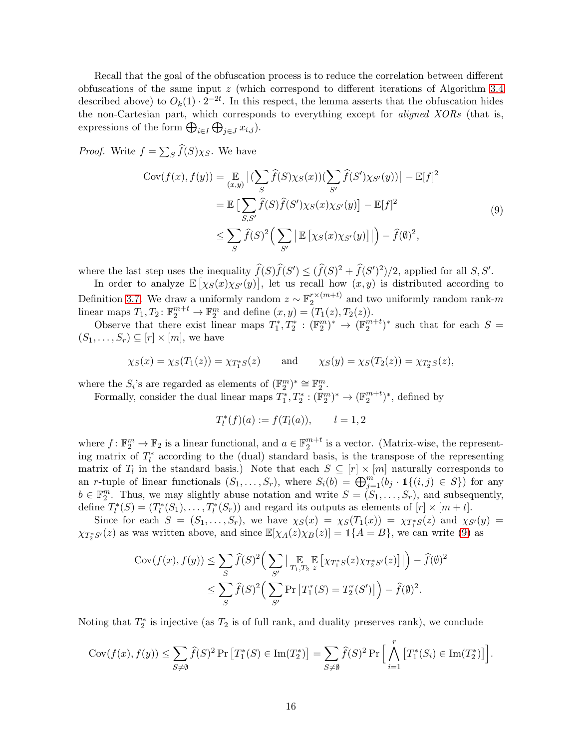Recall that the goal of the obfuscation process is to reduce the correlation between different obfuscations of the same input z (which correspond to different iterations of Algorithm [3.4](#page-10-1) described above) to  $O_k(1) \cdot 2^{-2t}$ . In this respect, the lemma asserts that the obfuscation hides the non-Cartesian part, which corresponds to everything except for *aligned XORs* (that is, expressions of the form  $\bigoplus_{i\in I}\bigoplus_{j\in J}x_{i,j}$ .

*Proof.* Write  $f = \sum_{S} \widehat{f}(S) \chi_{S}$ . We have

<span id="page-16-0"></span>
$$
\text{Cov}(f(x), f(y)) = \underset{(x,y)}{\mathbb{E}} \left[ (\sum_{S} \widehat{f}(S)\chi_{S}(x)) (\sum_{S'} \widehat{f}(S')\chi_{S'}(y)) \right] - \mathbb{E}[f]^2
$$
  
\n
$$
= \mathbb{E} \left[ \sum_{S,S'} \widehat{f}(S)\widehat{f}(S')\chi_{S}(x)\chi_{S'}(y) \right] - \mathbb{E}[f]^2
$$
  
\n
$$
\leq \sum_{S} \widehat{f}(S)^2 \Big( \sum_{S'} \left| \mathbb{E} \left[ \chi_{S}(x)\chi_{S'}(y) \right] \right| \Big) - \widehat{f}(\emptyset)^2,
$$
\n(9)

where the last step uses the inequality  $\widehat{f}(S)\widehat{f}(S') \leq (\widehat{f}(S)^2 + \widehat{f}(S')^2)/2$ , applied for all  $S, S'$ .

In order to analyze  $\mathbb{E}[(\chi_S(x)\chi_{S'}(y))]$ , let us recall how  $(x, y)$  is distributed according to Definition [3.7.](#page-12-2) We draw a uniformly random  $z \sim \mathbb{F}_2^{r \times (m+t)}$  $a_2^{r \times (m+\iota)}$  and two uniformly random rank-m linear maps  $T_1, T_2$ :  $\mathbb{F}_2^{m+t} \to \mathbb{F}_2^m$  and define  $(x, y) = (T_1(z), T_2(z))$ .

Observe that there exist linear maps  $T_1^*, T_2^* : (\mathbb{F}_2^m)^* \to (\mathbb{F}_2^{m+t})^*$  such that for each  $S =$  $(S_1, \ldots, S_r) \subseteq [r] \times [m]$ , we have

$$
\chi_S(x) = \chi_S(T_1(z)) = \chi_{T_1^*S}(z)
$$
 and  $\chi_S(y) = \chi_S(T_2(z)) = \chi_{T_2^*S}(z)$ ,

where the  $S_i$ 's are regarded as elements of  $(\mathbb{F}_2^m)^* \cong \mathbb{F}_2^m$ .

Formally, consider the dual linear maps  $T_1^*, T_2^*: (\mathbb{F}_2^m)^* \to (\mathbb{F}_2^{m+t})^*$ , defined by

$$
T_l^*(f)(a) := f(T_l(a)), \qquad l = 1, 2
$$

where  $f: \mathbb{F}_2^m \to \mathbb{F}_2$  is a linear functional, and  $a \in \mathbb{F}_2^{m+t}$  is a vector. (Matrix-wise, the representing matrix of  $T_l^*$  according to the (dual) standard basis, is the transpose of the representing matrix of  $T_l$  in the standard basis.) Note that each  $S \subseteq [r] \times [m]$  naturally corresponds to an r-tuple of linear functionals  $(S_1, \ldots, S_r)$ , where  $S_i(b) = \bigoplus_{j=1}^m (b_j \cdot \mathbb{1}\{(i,j) \in S\})$  for any  $b \in \mathbb{F}_2^m$ . Thus, we may slightly abuse notation and write  $S = (S_1, \ldots, S_r)$ , and subsequently, define  $T_l^*(S) = (T_l^*(S_1), \ldots, T_l^*(S_r))$  and regard its outputs as elements of  $[r] \times [m + t]$ .

Since for each  $S = (S_1, \ldots, S_r)$ , we have  $\chi_S(x) = \chi_S(T_1(x)) = \chi_{T_1^*S}(z)$  and  $\chi_{S'}(y) =$  $\chi_{T_2^*S'}(z)$  as was written above, and since  $\mathbb{E}[\chi_A(z)\chi_B(z)] = \mathbb{1}\{A = B\}$ , we can write [\(9\)](#page-16-0) as

$$
\operatorname{Cov}(f(x), f(y)) \leq \sum_{S} \widehat{f}(S)^2 \Big( \sum_{S'} \big| \operatorname*{\mathbb{E}}_{T_1, T_2} \operatorname*{\mathbb{E}} \big[ \chi_{T_1^* S}(z) \chi_{T_2^* S'}(z) \big] \big| \Big) - \widehat{f}(\emptyset)^2
$$
  

$$
\leq \sum_{S} \widehat{f}(S)^2 \Big( \sum_{S'} \operatorname{Pr} \big[ T_1^*(S) = T_2^*(S') \big] \Big) - \widehat{f}(\emptyset)^2.
$$

Noting that  $T_2^*$  is injective (as  $T_2$  is of full rank, and duality preserves rank), we conclude

$$
\operatorname{Cov}(f(x), f(y)) \le \sum_{S \neq \emptyset} \widehat{f}(S)^2 \operatorname{Pr}\left[T_1^*(S) \in \operatorname{Im}(T_2^*)\right] = \sum_{S \neq \emptyset} \widehat{f}(S)^2 \operatorname{Pr}\left[\bigwedge_{i=1}^r \left[T_1^*(S_i) \in \operatorname{Im}(T_2^*)\right]\right].
$$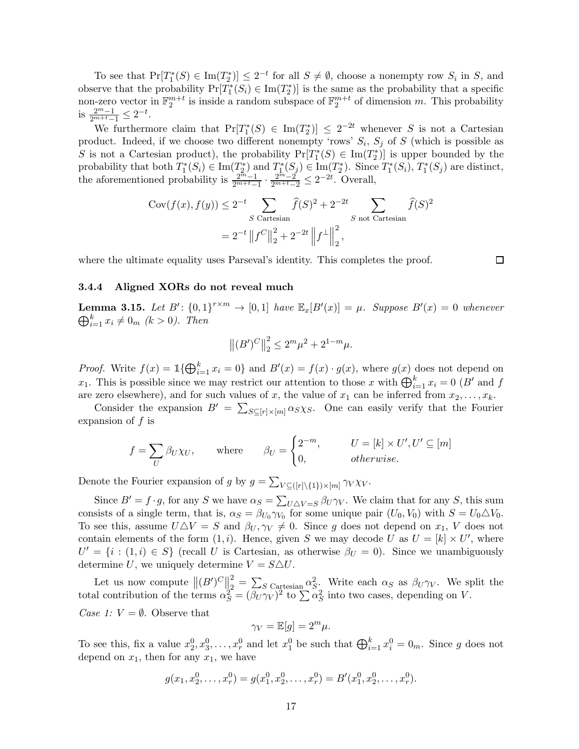To see that  $Pr[T_1^*(S) \in Im(T_2^*)] \leq 2^{-t}$  for all  $S \neq \emptyset$ , choose a nonempty row  $S_i$  in S, and observe that the probability  $Pr[T_1^*(S_i) \in Im(T_2^*)]$  is the same as the probability that a specific non-zero vector in  $\mathbb{F}_2^{m+t}$  is inside a random subspace of  $\mathbb{F}_2^{m+t}$  of dimension m. This probability is  $\frac{2^m-1}{2^{m+t}-1} \leq 2^{-t}$ .

We furthermore claim that  $Pr[T_1^*(S) \in Im(T_2^*)] \leq 2^{-2t}$  whenever S is not a Cartesian product. Indeed, if we choose two different nonempty 'rows'  $S_i$ ,  $S_j$  of S (which is possible as S is not a Cartesian product), the probability  $Pr[T_1^*(S) \in Im(T_2^*)]$  is upper bounded by the probability that both  $T_1^*(S_i) \in \text{Im}(T_2^*)$  and  $T_1^*(S_j) \in \text{Im}(T_2^*)$ . Since  $T_1^*(S_i)$ ,  $T_1^*(S_j)$  are distinct, the aforementioned probability is  $\frac{2^{m}-1}{2^{m}+t-1} \cdot \frac{2^{m}-2}{2^{m}+t-2} \leq 2^{-2t}$ . Overall,

$$
Cov(f(x), f(y)) \le 2^{-t} \sum_{S \text{ Cartesian}} \hat{f}(S)^2 + 2^{-2t} \sum_{S \text{ not Cartesian}} \hat{f}(S)^2
$$
  
=  $2^{-t} ||f^C||_2^2 + 2^{-2t} ||f^{\perp}||_2^2$ ,

where the ultimate equality uses Parseval's identity. This completes the proof.

 $\Box$ 

### 3.4.4 Aligned XORs do not reveal much

<span id="page-17-0"></span>**Lemma 3.15.** Let  $B'$ :  $\{0,1\}^{r \times m} \to [0,1]$  have  $\mathbb{E}_x[B'(x)] = \mu$ . Suppose  $B'(x) = 0$  whenever  $\bigoplus_{i=1}^{k} x_i \neq 0_m \ (k > 0).$  Then

$$
\left\| (B')^C \right\|_2^2 \le 2^m \mu^2 + 2^{1-m} \mu.
$$

*Proof.* Write  $f(x) = \mathbb{1}\{\bigoplus_{i=1}^k x_i = 0\}$  and  $B'(x) = f(x) \cdot g(x)$ , where  $g(x)$  does not depend on  $x_1$ . This is possible since we may restrict our attention to those x with  $\bigoplus_{i=1}^k x_i = 0$  (B' and f are zero elsewhere), and for such values of x, the value of  $x_1$  can be inferred from  $x_2, \ldots, x_k$ .

Consider the expansion  $B' = \sum_{S \subseteq [r] \times [m]} \alpha_S \chi_S$ . One can easily verify that the Fourier expansion of  $f$  is

$$
f = \sum_{U} \beta_{U} \chi_{U}, \quad \text{where} \quad \beta_{U} = \begin{cases} 2^{-m}, & U = [k] \times U', U' \subseteq [m] \\ 0, & otherwise. \end{cases}
$$

Denote the Fourier expansion of g by  $g = \sum_{V \subseteq (\lceil r \rceil \setminus \{1\}) \times \lceil m \rceil} \gamma_V \chi_V$ .

Since  $B' = f \cdot g$ , for any S we have  $\alpha_S = \sum_{U \triangle V = S} \beta_U \gamma_V$ . We claim that for any S, this sum consists of a single term, that is,  $\alpha_S = \beta_{U_0} \gamma_{V_0}$  for some unique pair  $(U_0, V_0)$  with  $S = U_0 \triangle V_0$ . To see this, assume  $U\Delta V = S$  and  $\beta_U, \gamma_V \neq 0$ . Since g does not depend on  $x_1$ , V does not contain elements of the form  $(1, i)$ . Hence, given S we may decode U as  $U = [k] \times U'$ , where  $U' = \{i : (1,i) \in S\}$  (recall U is Cartesian, as otherwise  $\beta_U = 0$ ). Since we unambiguously determine U, we uniquely determine  $V = S \triangle U$ .

Let us now compute  $\left\| (B')^C \right\|_2^2$  $\frac{2}{2} = \sum_S C_{\text{a} \text{z} \text{t} \text{esian}} \alpha_S^2$ . Write each  $\alpha_S$  as  $\beta_U \gamma_V$ . We split the total contribution of the terms  $\alpha_S^2 = (\beta_U \gamma_V)^2$  to  $\sum \alpha_S^2$  into two cases, depending on V. Case 1:  $V = \emptyset$ . Observe that

$$
\gamma_V = \mathbb{E}[g] = 2^m \mu.
$$

To see this, fix a value  $x_2^0, x_3^0, \ldots, x_r^0$  and let  $x_1^0$  be such that  $\bigoplus_{i=1}^k x_i^0 = 0_m$ . Since g does not depend on  $x_1$ , then for any  $x_1$ , we have

$$
g(x_1, x_2^0, \dots, x_r^0) = g(x_1^0, x_2^0, \dots, x_r^0) = B'(x_1^0, x_2^0, \dots, x_r^0).
$$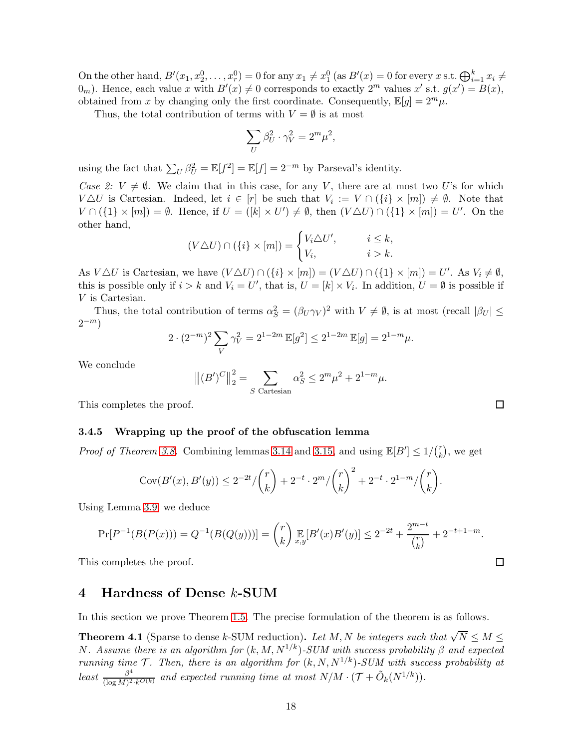On the other hand,  $B'(x_1, x_2^0, \ldots, x_r^0) = 0$  for any  $x_1 \neq x_1^0$  (as  $B'(x) = 0$  for every  $x$  s.t.  $\bigoplus_{i=1}^k x_i \neq$  $(0_m)$ . Hence, each value x with  $B'(x) \neq 0$  corresponds to exactly  $2^m$  values  $x'$  s.t.  $g(x') = B(x)$ , obtained from x by changing only the first coordinate. Consequently,  $\mathbb{E}[g] = 2^m \mu$ .

Thus, the total contribution of terms with  $V = \emptyset$  is at most

$$
\sum_U \beta_U^2 \cdot \gamma_V^2 = 2^m \mu^2,
$$

using the fact that  $\sum_{U} \beta_U^2 = \mathbb{E}[f] = \mathbb{E}[f] = 2^{-m}$  by Parseval's identity.

Case 2:  $V \neq \emptyset$ . We claim that in this case, for any V, there are at most two U's for which  $V \triangle U$  is Cartesian. Indeed, let  $i \in [r]$  be such that  $V_i := V \cap (\{i\} \times [m]) \neq \emptyset$ . Note that  $V \cap (\{1\} \times [m]) = \emptyset$ . Hence, if  $U = ([k] \times U') \neq \emptyset$ , then  $(V \triangle U) \cap (\{1\} \times [m]) = U'$ . On the other hand,

$$
(V \triangle U) \cap (\{i\} \times [m]) = \begin{cases} V_i \triangle U', & i \leq k, \\ V_i, & i > k. \end{cases}
$$

As  $V \triangle U$  is Cartesian, we have  $(V \triangle U) \cap (\{i\} \times [m]) = (V \triangle U) \cap (\{1\} \times [m]) = U'$ . As  $V_i \neq \emptyset$ , this is possible only if  $i > k$  and  $V_i = U'$ , that is,  $U = [k] \times V_i$ . In addition,  $U = \emptyset$  is possible if V is Cartesian.

Thus, the total contribution of terms  $\alpha_S^2 = (\beta_U \gamma_V)^2$  with  $V \neq \emptyset$ , is at most (recall  $|\beta_U| \leq$  $2^{-m}$ )

$$
2 \cdot (2^{-m})^2 \sum_{V} \gamma_V^2 = 2^{1-2m} \mathbb{E}[g^2] \le 2^{1-2m} \mathbb{E}[g] = 2^{1-m} \mu.
$$

We conclude

$$
||(B')^C||_2^2 = \sum_{S \text{ Cartesian}} \alpha_S^2 \le 2^m \mu^2 + 2^{1-m} \mu.
$$

This completes the proof.

### 3.4.5 Wrapping up the proof of the obfuscation lemma

*Proof of Theorem [3.8.](#page-12-0)* Combining lemmas [3.14](#page-15-0) and [3.15,](#page-17-0) and using  $\mathbb{E}[B'] \le 1/\binom{r}{k}$  $\binom{r}{k}$ , we get

$$
Cov(B'(x), B'(y)) \le 2^{-2t} / \binom{r}{k} + 2^{-t} \cdot 2^m / \binom{r}{k}^2 + 2^{-t} \cdot 2^{1-m} / \binom{r}{k}.
$$

Using Lemma [3.9,](#page-13-2) we deduce

$$
\Pr[P^{-1}(B(P(x))) = Q^{-1}(B(Q(y)))] = {r \choose k} \mathbb{E}_{x,y}[B'(x)B'(y)] \le 2^{-2t} + \frac{2^{m-t}}{{r \choose k}} + 2^{-t+1-m}.
$$

<span id="page-18-0"></span>This completes the proof.

### 4 Hardness of Dense k-SUM

In this section we prove Theorem [1.5.](#page-2-0) The precise formulation of the theorem is as follows.

<span id="page-18-1"></span>**Theorem 4.1** (Sparse to dense k-SUM reduction). Let M, N be integers such that  $\sqrt{N} \leq M \leq$ N. Assume there is an algorithm for  $(k, M, N^{1/k})$ -SUM with success probability  $\beta$  and expected running time  $\mathcal T$ . Then, there is an algorithm for  $(k, N, N^{1/k})$ -SUM with success probability at least  $\frac{\beta^4}{(\log M)^2}$  $\frac{\beta^4}{(\log M)^2 \cdot k^{O(k)}}$  and expected running time at most  $N/M \cdot (\mathcal{T} + \tilde{O}_k(N^{1/k}))$ .

 $\Box$ 

 $\Box$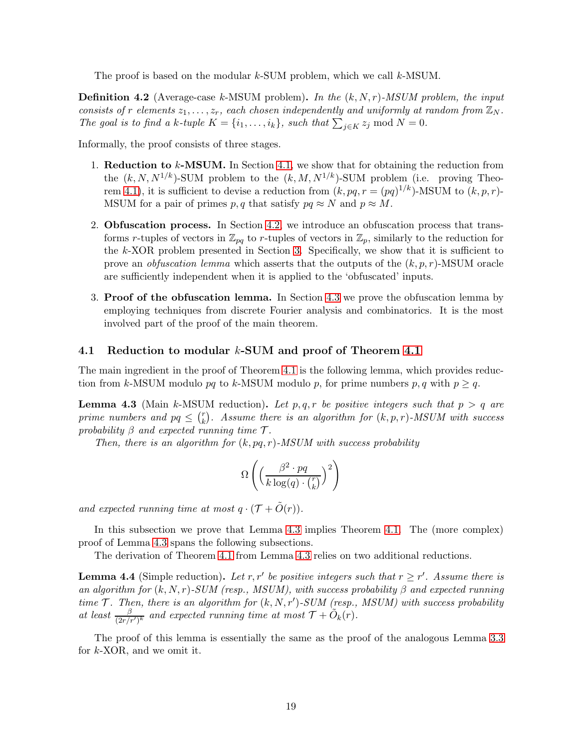The proof is based on the modular  $k$ -SUM problem, which we call  $k$ -MSUM.

**Definition 4.2** (Average-case k-MSUM problem). In the  $(k, N, r)$ -MSUM problem, the input consists of r elements  $z_1, \ldots, z_r$ , each chosen independently and uniformly at random from  $\mathbb{Z}_N$ . The goal is to find a k-tuple  $K = \{i_1, \ldots, i_k\}$ , such that  $\sum_{j \in K} z_j \mod N = 0$ .

Informally, the proof consists of three stages.

- 1. Reduction to k-MSUM. In Section [4.1,](#page-19-0) we show that for obtaining the reduction from the  $(k, N, N^{1/k})$ -SUM problem to the  $(k, M, N^{1/k})$ -SUM problem (i.e. proving Theo-rem [4.1\)](#page-18-1), it is sufficient to devise a reduction from  $(k, pq, r = (pq)^{1/k})$ -MSUM to  $(k, p, r)$ -MSUM for a pair of primes p, q that satisfy  $pq \approx N$  and  $p \approx M$ .
- 2. Obfuscation process. In Section [4.2,](#page-22-0) we introduce an obfuscation process that transforms r-tuples of vectors in  $\mathbb{Z}_{pq}$  to r-tuples of vectors in  $\mathbb{Z}_p$ , similarly to the reduction for the k-XOR problem presented in Section [3.](#page-7-0) Specifically, we show that it is sufficient to prove an *obfuscation lemma* which asserts that the outputs of the  $(k, p, r)$ -MSUM oracle are sufficiently independent when it is applied to the 'obfuscated' inputs.
- 3. Proof of the obfuscation lemma. In Section [4.3](#page-24-0) we prove the obfuscation lemma by employing techniques from discrete Fourier analysis and combinatorics. It is the most involved part of the proof of the main theorem.

### <span id="page-19-0"></span>4.1 Reduction to modular k-SUM and proof of Theorem [4.1](#page-18-1)

The main ingredient in the proof of Theorem [4.1](#page-18-1) is the following lemma, which provides reduction from k-MSUM modulo pq to k-MSUM modulo p, for prime numbers p, q with  $p \geq q$ .

<span id="page-19-1"></span>**Lemma 4.3** (Main k-MSUM reduction). Let p, q, r be positive integers such that  $p > q$  are prime numbers and  $pq \leq {r \choose k}$  $k \choose k$ . Assume there is an algorithm for  $(k, p, r)$ -MSUM with success probability  $\beta$  and expected running time  $\mathcal{T}$ .

Then, there is an algorithm for  $(k, pq, r)$ -MSUM with success probability

$$
\Omega\left(\left(\frac{\beta^2 \cdot pq}{k\log(q) \cdot {r \choose k}}\right)^2\right)
$$

and expected running time at most  $q \cdot (\mathcal{T} + \tilde{O}(r)).$ 

In this subsection we prove that Lemma [4.3](#page-19-1) implies Theorem [4.1.](#page-18-1) The (more complex) proof of Lemma [4.3](#page-19-1) spans the following subsections.

The derivation of Theorem [4.1](#page-18-1) from Lemma [4.3](#page-19-1) relies on two additional reductions.

<span id="page-19-2"></span>**Lemma 4.4** (Simple reduction). Let r, r' be positive integers such that  $r \ge r'$ . Assume there is an algorithm for  $(k, N, r)$ -SUM (resp., MSUM), with success probability  $\beta$  and expected running time  $\mathcal{T}$ . Then, there is an algorithm for  $(k, N, r')$ -SUM (resp., MSUM) with success probability at least  $\frac{\beta}{(2r/r')^k}$  and expected running time at most  $\mathcal{T} + \tilde{O}_k(r)$ .

The proof of this lemma is essentially the same as the proof of the analogous Lemma [3.3](#page-8-0) for k-XOR, and we omit it.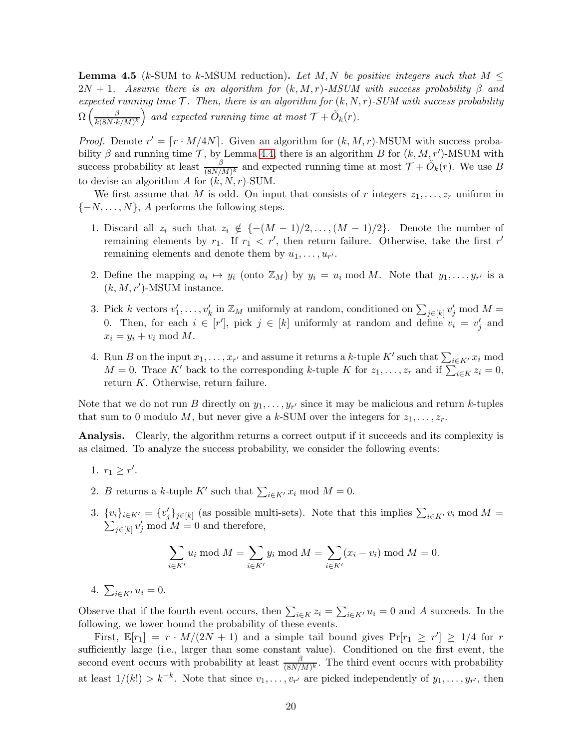<span id="page-20-0"></span>**Lemma 4.5** (k-SUM to k-MSUM reduction). Let M, N be positive integers such that  $M \leq$  $2N + 1$ . Assume there is an algorithm for  $(k, M, r)$ -MSUM with success probability  $\beta$  and expected running time  $\mathcal{T}$ . Then, there is an algorithm for  $(k, N, r)$ -SUM with success probability  $\Omega\left(\frac{\beta}{k(8N,k)}\right)$  $\frac{\beta}{k(8N\cdot k/M)^k}$  and expected running time at most  $\mathcal{T} + \tilde{O}_k(r)$ .

*Proof.* Denote  $r' = \lfloor r \cdot M/4N \rfloor$ . Given an algorithm for  $(k, M, r)$ -MSUM with success probability  $\beta$  and running time  $\mathcal{T}$ , by Lemma [4.4,](#page-19-2) there is an algorithm B for  $(k, M, r')$ -MSUM with success probability at least  $\frac{\beta}{(8N/M)^k}$  and expected running time at most  $\mathcal{T} + \tilde{O}_k(r)$ . We use B to devise an algorithm  $A$  for  $(k, N, r)$ -SUM.

We first assume that M is odd. On input that consists of r integers  $z_1, \ldots, z_r$  uniform in  $\{-N, \ldots, N\}, A$  performs the following steps.

- 1. Discard all  $z_i$  such that  $z_i \notin \{-(M-1)/2,\ldots,(M-1)/2\}$ . Denote the number of remaining elements by  $r_1$ . If  $r_1 < r'$ , then return failure. Otherwise, take the first  $r'$ remaining elements and denote them by  $u_1, \ldots, u_{r'}$ .
- 2. Define the mapping  $u_i \mapsto y_i$  (onto  $\mathbb{Z}_M$ ) by  $y_i = u_i \mod M$ . Note that  $y_1, \ldots, y_{r'}$  is a  $(k, M, r')$ -MSUM instance.
- 3. Pick k vectors  $v'_1, \ldots, v'_k$  in  $\mathbb{Z}_M$  uniformly at random, conditioned on  $\sum_{j \in [k]} v'_j \mod M =$ 0. Then, for each  $i \in [r']$ , pick  $j \in [k]$  uniformly at random and define  $v_i = v'_j$  and  $x_i = y_i + v_i \mod M$ .
- 4. Run B on the input  $x_1, \ldots, x_{r'}$  and assume it returns a k-tuple K' such that  $\sum_{i \in K'} x_i$  mod  $M = 0$ . Trace K' back to the corresponding k-tuple K for  $z_1, \ldots, z_r$  and if  $\sum_{i \in K} z_i = 0$ , return K. Otherwise, return failure.

Note that we do not run B directly on  $y_1, \ldots, y_{r'}$  since it may be malicious and return k-tuples that sum to 0 modulo M, but never give a k-SUM over the integers for  $z_1, \ldots, z_r$ .

Analysis. Clearly, the algorithm returns a correct output if it succeeds and its complexity is as claimed. To analyze the success probability, we consider the following events:

- 1.  $r_1 \geq r'$ .
- 2. B returns a k-tuple K' such that  $\sum_{i \in K'} x_i \text{ mod } M = 0$ .
- 3.  $\{v_i\}_{i\in K'} = \{v'_j\}_{j\in [k]}$  (as possible multi-sets). Note that this implies  $\sum_{i\in K'} v_i \mod M =$  $\sum_{j\in[k]} v'_j \mod M = 0$  and therefore,

$$
\sum_{i \in K'} u_i \bmod M = \sum_{i \in K'} y_i \bmod M = \sum_{i \in K'} (x_i - v_i) \bmod M = 0.
$$

4.  $\sum_{i \in K'} u_i = 0$ .

Observe that if the fourth event occurs, then  $\sum_{i\in K} z_i = \sum_{i\in K'} u_i = 0$  and A succeeds. In the following, we lower bound the probability of these events.

First,  $\mathbb{E}[r_1] = r \cdot M/(2N+1)$  and a simple tail bound gives  $\Pr[r_1 \geq r'] \geq 1/4$  for r sufficiently large (i.e., larger than some constant value). Conditioned on the first event, the second event occurs with probability at least  $\frac{\beta}{(8N/M)^k}$ . The third event occurs with probability at least  $1/(k!) > k^{-k}$ . Note that since  $v_1, \ldots, v_{r'}$  are picked independently of  $y_1, \ldots, y_{r'}$ , then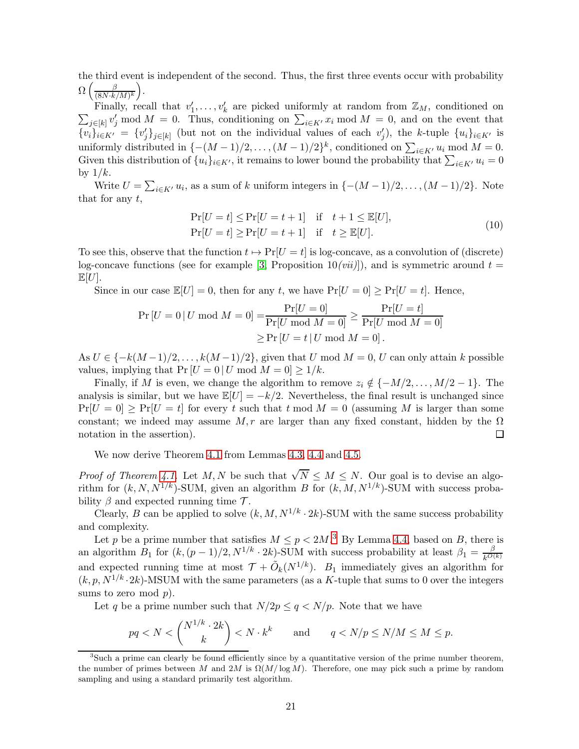the third event is independent of the second. Thus, the first three events occur with probability  $\Omega\left(\frac{\beta}{(8N\cdot k)}\right)$  $\frac{\beta}{(8N\cdot k/M)^k}$ .

Finally, recall that  $v'_1, \ldots, v'_k$  are picked uniformly at random from  $\mathbb{Z}_M$ , conditioned on  $\sum_{j\in[k]} v'_j \mod M = 0$ . Thus, conditioning on  $\sum_{i\in K'} x_i \mod M = 0$ , and on the event that  $\{v_i\}_{i\in K'} = \{v'_j\}_{j\in[k]}$  (but not on the individual values of each  $v'_j$ ), the k-tuple  $\{u_i\}_{i\in K'}$  is uniformly distributed in  $\{-(M-1)/2, \ldots, (M-1)/2\}^k$ , conditioned on  $\sum_{i \in K'} u_i \mod M = 0$ . Given this distribution of  $\{u_i\}_{i\in K'}$ , it remains to lower bound the probability that  $\sum_{i\in K'} u_i = 0$ by  $1/k$ .

Write  $U = \sum_{i \in K'} u_i$ , as a sum of k uniform integers in  $\{-(M-1)/2, \ldots, (M-1)/2\}$ . Note that for any  $t$ ,

<span id="page-21-1"></span>
$$
\Pr[U = t] \le \Pr[U = t + 1] \quad \text{if} \quad t + 1 \le \mathbb{E}[U],
$$
\n
$$
\Pr[U = t] \ge \Pr[U = t + 1] \quad \text{if} \quad t \ge \mathbb{E}[U].
$$
\n(10)

To see this, observe that the function  $t \mapsto Pr[U = t]$  is log-concave, as a convolution of (discrete) log-concave functions (see for example [\[3,](#page-38-13) Proposition 10(*vii*)]), and is symmetric around  $t =$  $\mathbb{E}[U].$ 

Since in our case  $\mathbb{E}[U] = 0$ , then for any t, we have  $Pr[U = 0] \geq Pr[U = t]$ . Hence,

$$
\Pr[U = 0 | U \bmod M = 0] = \frac{\Pr[U = 0]}{\Pr[U \bmod M = 0]} \ge \frac{\Pr[U = t]}{\Pr[U \bmod M = 0]} \ge \Pr[U \bmod M = 0] \ge \Pr[U = t | U \bmod M = 0].
$$

As  $U \in \{-k(M-1)/2, \ldots, k(M-1)/2\}$ , given that U mod  $M = 0$ , U can only attain k possible values, implying that  $Pr [U = 0 | U \text{ mod } M = 0] \ge 1/k$ .

Finally, if M is even, we change the algorithm to remove  $z_i \notin \{-M/2, \ldots, M/2 - 1\}$ . The analysis is similar, but we have  $\mathbb{E}[U] = -k/2$ . Nevertheless, the final result is unchanged since  $Pr[U = 0] \geq Pr[U = t]$  for every t such that t mod  $M = 0$  (assuming M is larger than some constant; we indeed may assume  $M, r$  are larger than any fixed constant, hidden by the  $\Omega$ notation in the assertion).  $\Box$ 

We now derive Theorem [4.1](#page-18-1) from Lemmas [4.3,](#page-19-1) [4.4](#page-19-2) and [4.5.](#page-20-0)

*Proof of Theorem [4.1.](#page-18-1)* Let M, N be such that  $\sqrt{N} \leq M \leq N$ . Our goal is to devise an algorithm for  $(k, N, N^{1/k})$ -SUM, given an algorithm B for  $(k, M, N^{1/k})$ -SUM with success probability  $\beta$  and expected running time  $\mathcal{T}$ .

Clearly, B can be applied to solve  $(k, M, N^{1/k} \cdot 2k)$ -SUM with the same success probability and complexity.

Let p be a prime number that satisfies  $M \le p < 2M$ .<sup>[3](#page-21-0)</sup> By Lemma [4.4,](#page-19-2) based on B, there is an algorithm  $B_1$  for  $(k, (p-1)/2, N^{1/k} \cdot 2k)$ -SUM with success probability at least  $\beta_1 = \frac{\beta}{k^{O(1)}}$  $k^{O(k)}$ and expected running time at most  $\mathcal{T} + \tilde{O}_k(N^{1/k})$ .  $B_1$  immediately gives an algorithm for  $(k, p, N^{1/k} \cdot 2k)$ -MSUM with the same parameters (as a K-tuple that sums to 0 over the integers sums to zero mod  $p$ ).

Let q be a prime number such that  $N/2p \le q \langle N/p.$  Note that we have

$$
pq < N < \binom{N^{1/k} \cdot 2k}{k} < N \cdot k^k \qquad \text{and} \qquad q < N/p \le N/M \le M \le p.
$$

<span id="page-21-0"></span><sup>3</sup> Such a prime can clearly be found efficiently since by a quantitative version of the prime number theorem, the number of primes between M and 2M is  $\Omega(M/\log M)$ . Therefore, one may pick such a prime by random sampling and using a standard primarily test algorithm.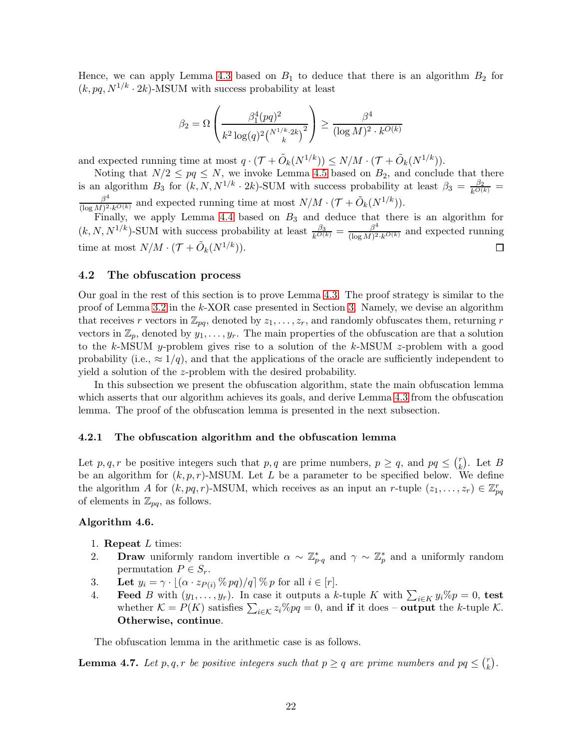Hence, we can apply Lemma [4.3](#page-19-1) based on  $B_1$  to deduce that there is an algorithm  $B_2$  for  $(k, pq, N^{1/k} \cdot 2k)$ -MSUM with success probability at least

$$
\beta_2 = \Omega \left( \frac{\beta_1^4 (pq)^2}{k^2 \log(q)^2 \binom{N^{1/k} \cdot 2k}{k}^2} \right) \ge \frac{\beta^4}{(\log M)^2 \cdot k^{O(k)}}
$$

and expected running time at most  $q \cdot (\mathcal{T} + \tilde{O}_k(N^{1/k})) \le N/M \cdot (\mathcal{T} + \tilde{O}_k(N^{1/k}))$ .

Noting that  $N/2 \le pq \le N$ , we invoke Lemma [4.5](#page-20-0) based on  $B_2$ , and conclude that there is an algorithm  $B_3$  for  $(k, N, N^{1/k} \cdot 2k)$ -SUM with success probability at least  $\beta_3 = \frac{\beta_2}{k^{O(k)}}$  $\beta^4$  $\frac{\beta^4}{(\log M)^2 \cdot k^{O(k)}}$  and expected running time at most  $N/M \cdot (\mathcal{T} + \tilde{O}_k(N^{1/k}))$ .

Finally, we apply Lemma [4.4](#page-19-2) based on  $B_3$  and deduce that there is an algorithm for  $(k, N, N^{1/k})$ -SUM with success probability at least  $\frac{\beta_3}{k^{O(k)}} = \frac{\beta^4}{(\log M)^2}$  $\frac{\beta^2}{(\log M)^2 \cdot k^{\mathcal{O}(k)}}$  and expected running time at most  $N/M \cdot (\mathcal{T} + \tilde{O}_k(N^{1/k})).$  $\Box$ 

### <span id="page-22-0"></span>4.2 The obfuscation process

Our goal in the rest of this section is to prove Lemma [4.3.](#page-19-1) The proof strategy is similar to the proof of Lemma [3.2](#page-8-2) in the k-XOR case presented in Section [3.](#page-7-0) Namely, we devise an algorithm that receives r vectors in  $\mathbb{Z}_{pq}$ , denoted by  $z_1, \ldots, z_r$ , and randomly obfuscates them, returning r vectors in  $\mathbb{Z}_p$ , denoted by  $y_1, \ldots, y_r$ . The main properties of the obfuscation are that a solution to the k-MSUM y-problem gives rise to a solution of the k-MSUM z-problem with a good probability (i.e.,  $\approx 1/q$ ), and that the applications of the oracle are sufficiently independent to yield a solution of the z-problem with the desired probability.

In this subsection we present the obfuscation algorithm, state the main obfuscation lemma which asserts that our algorithm achieves its goals, and derive Lemma [4.3](#page-19-1) from the obfuscation lemma. The proof of the obfuscation lemma is presented in the next subsection.

### 4.2.1 The obfuscation algorithm and the obfuscation lemma

Let p, q, r be positive integers such that p, q are prime numbers,  $p \ge q$ , and  $pq \le {r \choose k}$  $\binom{r}{k}$ . Let  $B$ be an algorithm for  $(k, p, r)$ -MSUM. Let L be a parameter to be specified below. We define the algorithm A for  $(k, pq, r)$ -MSUM, which receives as an input an r-tuple  $(z_1, \ldots, z_r) \in \mathbb{Z}_{pq}^r$ of elements in  $\mathbb{Z}_{pq}$ , as follows.

### <span id="page-22-2"></span>Algorithm 4.6.

- 1. Repeat  $L$  times:
- 2. Draw uniformly random invertible  $\alpha \sim \mathbb{Z}_{p \cdot q}^*$  and  $\gamma \sim \mathbb{Z}_p^*$  and a uniformly random permutation  $P \in S_r$ .
- 3. Let  $y_i = \gamma \cdot |(\alpha \cdot z_{P(i)} \mathcal{R} pq)/q| \mathcal{R} p$  for all  $i \in [r]$ .
- 4. **Feed** B with  $(y_1, \ldots, y_r)$ . In case it outputs a k-tuple K with  $\sum_{i \in K} y_i \% p = 0$ , test whether  $\mathcal{K} = P(K)$  satisfies  $\sum_{i \in \mathcal{K}} z_i \% pq = 0$ , and if it does – output the k-tuple  $\mathcal{K}$ . Otherwise, continue.

The obfuscation lemma in the arithmetic case is as follows.

<span id="page-22-1"></span>**Lemma 4.7.** Let p, q, r be positive integers such that  $p \ge q$  are prime numbers and  $pq \le {r \choose k}$  $\binom{r}{k}$ .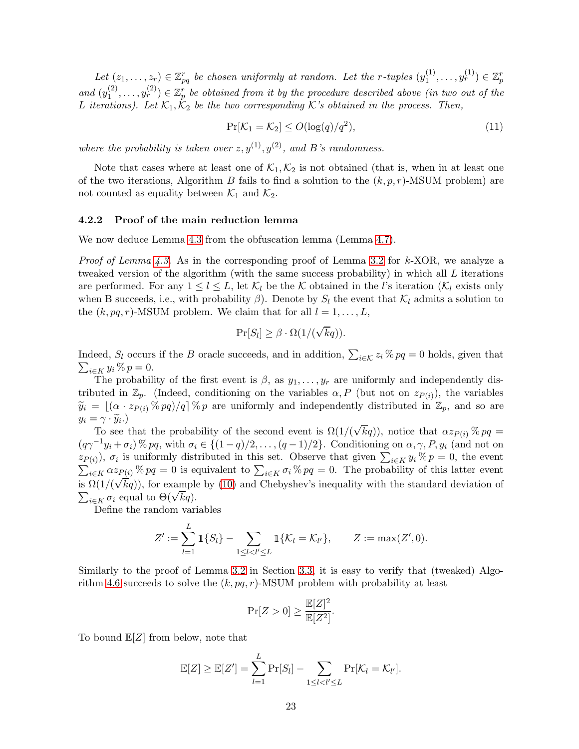Let  $(z_1, \ldots, z_r) \in \mathbb{Z}_{pq}^r$  be chosen uniformly at random. Let the r-tuples  $(y_1^{(1)})$  $y_1^{(1)}, \ldots, y_r^{(1)}) \in \mathbb{Z}_p^r$ and  $(y_1^{(2)}$  $\{u_1^{(2)}, \ldots, u_r^{(2)}\} \in \mathbb{Z}_p^r$  be obtained from it by the procedure described above (in two out of the L iterations). Let  $\mathcal{K}_1, \mathcal{K}_2$  be the two corresponding K's obtained in the process. Then,

<span id="page-23-0"></span>
$$
\Pr[\mathcal{K}_1 = \mathcal{K}_2] \le O(\log(q)/q^2),\tag{11}
$$

where the probability is taken over  $z, y^{(1)}, y^{(2)}$ , and B's randomness.

Note that cases where at least one of  $\mathcal{K}_1, \mathcal{K}_2$  is not obtained (that is, when in at least one of the two iterations, Algorithm B fails to find a solution to the  $(k, p, r)$ -MSUM problem) are not counted as equality between  $\mathcal{K}_1$  and  $\mathcal{K}_2$ .

#### 4.2.2 Proof of the main reduction lemma

We now deduce Lemma [4.3](#page-19-1) from the obfuscation lemma (Lemma [4.7\)](#page-22-1).

*Proof of Lemma [4.3.](#page-19-1)* As in the corresponding proof of Lemma [3.2](#page-8-2) for k-XOR, we analyze a tweaked version of the algorithm (with the same success probability) in which all L iterations are performed. For any  $1 \leq l \leq L$ , let  $\mathcal{K}_l$  be the K obtained in the l's iteration ( $\mathcal{K}_l$  exists only when B succeeds, i.e., with probability  $\beta$ ). Denote by  $S_l$  the event that  $\mathcal{K}_l$  admits a solution to the  $(k, pq, r)$ -MSUM problem. We claim that for all  $l = 1, \ldots, L$ ,

$$
\Pr[S_l] \ge \beta \cdot \Omega(1/(\sqrt{k}q)).
$$

Indeed,  $S_l$  occurs if the B oracle succeeds, and in addition,  $\sum_{i \in \mathcal{K}} z_i \mathcal{K} pq = 0$  holds, given that  $\sum_{i\in K} y_i\,\% \,p = 0.$ 

The probability of the first event is  $\beta$ , as  $y_1, \ldots, y_r$  are uniformly and independently distributed in  $\mathbb{Z}_p$ . (Indeed, conditioning on the variables  $\alpha, P$  (but not on  $z_{P(i)}$ ), the variables  $\widetilde{y}_i = \lfloor (\alpha \cdot z_{P(i)} \otimes pq)/q \rfloor \otimes p$  are uniformly and independently distributed in  $\mathbb{Z}_p$ , and so are  $y_i = \gamma \cdot \widetilde{y}_i.$ 

To see that the probability of the second event is  $\Omega(1/(\sqrt{k}q))$ , notice that  $\alpha z_{P(i)}$  % pq =  $(q\gamma^{-1}y_i + \sigma_i)\%pq$ , with  $\sigma_i \in \{(1-q)/2,\ldots,(q-1)/2\}$ . Conditioning on  $\alpha, \gamma, P, y_i$  (and not on  $(z_{P(i)})$ ,  $\sigma_i$  is uniformly distributed in this set. Observe that given  $\sum_{i\in K} y_i\%p=0$ , the event  $\sum_{i\in K}^{\infty} \alpha z_{P(i)}$ %  $pq = 0$  is equivalent to  $\sum_{i\in K} \sigma_i$ %  $pq = 0$ . The probability of this latter event  $\lim_{k \to \infty} \frac{L_{k}^{(k)}(k)}{k}$  is  $\Omega(1/(\sqrt{k}q))$ , for example by [\(10\)](#page-21-1) and Chebyshev's inequality with the standard deviation of  $\sum_{i\in K} \sigma_i$  equal to  $\Theta(\sqrt{kq})$ .

Define the random variables

$$
Z' := \sum_{l=1}^L \mathbb{1}\{S_l\} - \sum_{1 \leq l < l' \leq L} \mathbb{1}\{K_l = K_{l'}\}, \qquad Z := \max(Z', 0).
$$

Similarly to the proof of Lemma [3.2](#page-8-2) in Section [3.3,](#page-11-0) it is easy to verify that (tweaked) Algo-rithm [4.6](#page-22-2) succeeds to solve the  $(k, pq, r)$ -MSUM problem with probability at least

$$
\Pr[Z > 0] \ge \frac{\mathbb{E}[Z]^2}{\mathbb{E}[Z^2]}.
$$

To bound  $\mathbb{E}[Z]$  from below, note that

$$
\mathbb{E}[Z] \geq \mathbb{E}[Z'] = \sum_{l=1}^{L} \Pr[S_l] - \sum_{1 \leq l < l' \leq L} \Pr[\mathcal{K}_l = \mathcal{K}_{l'}].
$$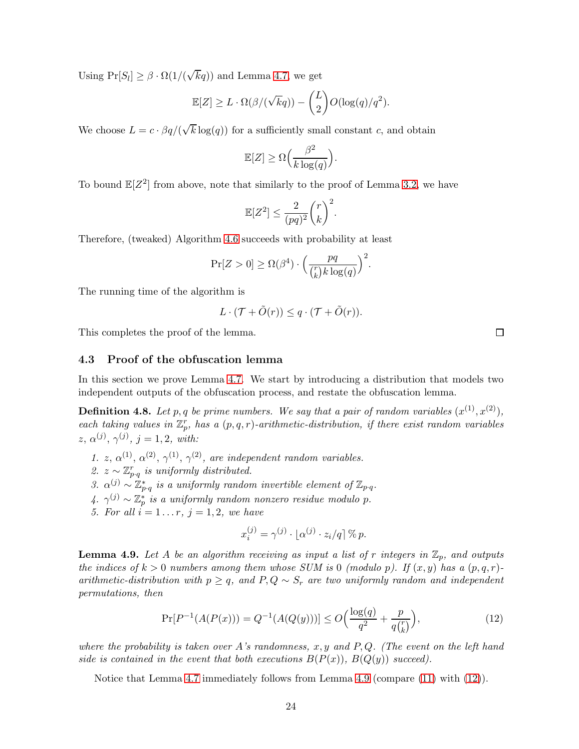Using  $Pr[S_l] \ge \beta \cdot \Omega(1/(\sqrt{kq}))$  and Lemma [4.7,](#page-22-1) we get

$$
\mathbb{E}[Z] \ge L \cdot \Omega(\beta/(\sqrt{k}q)) - \binom{L}{2}O(\log(q)/q^2).
$$

We choose  $L = c \cdot \beta q / (\sqrt{k} \log(q))$  for a sufficiently small constant c, and obtain

$$
\mathbb{E}[Z] \ge \Omega\left(\frac{\beta^2}{k \log(q)}\right).
$$

To bound  $\mathbb{E}[Z^2]$  from above, note that similarly to the proof of Lemma [3.2,](#page-8-2) we have

$$
\mathbb{E}[Z^2] \le \frac{2}{(pq)^2} \binom{r}{k}^2.
$$

Therefore, (tweaked) Algorithm [4.6](#page-22-2) succeeds with probability at least

$$
\Pr[Z > 0] \ge \Omega(\beta^4) \cdot \left(\frac{pq}{\binom{r}{k}k\log(q)}\right)^2.
$$

The running time of the algorithm is

$$
L \cdot (\mathcal{T} + \tilde{O}(r)) \leq q \cdot (\mathcal{T} + \tilde{O}(r)).
$$

<span id="page-24-0"></span>This completes the proof of the lemma.

### 4.3 Proof of the obfuscation lemma

In this section we prove Lemma [4.7.](#page-22-1) We start by introducing a distribution that models two independent outputs of the obfuscation process, and restate the obfuscation lemma.

<span id="page-24-3"></span>**Definition 4.8.** Let p, q be prime numbers. We say that a pair of random variables  $(x^{(1)}, x^{(2)})$ , each taking values in  $\mathbb{Z}_p^r$ , has a  $(p, q, r)$ -arithmetic-distribution, if there exist random variables  $z, \alpha^{(j)}, \gamma^{(j)}, j = 1, 2, with:$ 

- 1. z,  $\alpha^{(1)}$ ,  $\alpha^{(2)}$ ,  $\gamma^{(1)}$ ,  $\gamma^{(2)}$ , are independent random variables.
- 2.  $z \sim \mathbb{Z}_{p \cdot q}^{r}$  is uniformly distributed.
- 3.  $\alpha^{(j)} \sim \mathbb{Z}_{p \cdot q}^*$  is a uniformly random invertible element of  $\mathbb{Z}_{p \cdot q}$ .
- 4.  $\gamma^{(j)} \sim \mathbb{Z}_p^*$  is a uniformly random nonzero residue modulo p.
- 5. For all  $i = 1...r$ ,  $j = 1, 2$ , we have

$$
x_i^{(j)} = \gamma^{(j)} \cdot \lfloor \alpha^{(j)} \cdot z_i / q \rfloor \, \% \, p.
$$

<span id="page-24-1"></span>**Lemma 4.9.** Let A be an algorithm receiving as input a list of r integers in  $\mathbb{Z}_p$ , and outputs the indices of  $k > 0$  numbers among them whose SUM is 0 (modulo p). If  $(x, y)$  has a  $(p, q, r)$ arithmetic-distribution with  $p \geq q$ , and  $P, Q \sim S_r$  are two uniformly random and independent permutations, then

<span id="page-24-2"></span>
$$
\Pr[P^{-1}(A(P(x))) = Q^{-1}(A(Q(y)))] \le O\Big(\frac{\log(q)}{q^2} + \frac{p}{q {r \choose k}}\Big),\tag{12}
$$

where the probability is taken over A's randomness,  $x, y$  and P,Q. (The event on the left hand side is contained in the event that both executions  $B(P(x))$ ,  $B(Q(y))$  succeed).

Notice that Lemma [4.7](#page-22-1) immediately follows from Lemma [4.9](#page-24-1) (compare [\(11\)](#page-23-0) with [\(12\)](#page-24-2)).

 $\Box$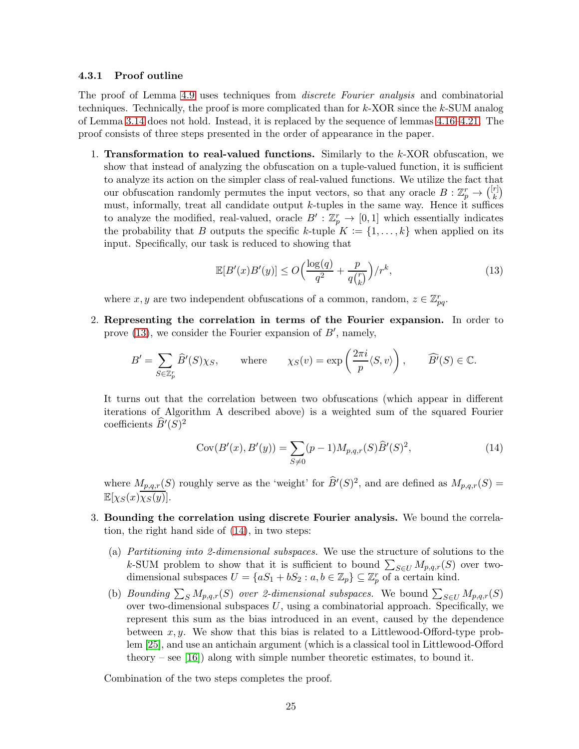### 4.3.1 Proof outline

The proof of Lemma [4.9](#page-24-1) uses techniques from discrete Fourier analysis and combinatorial techniques. Technically, the proof is more complicated than for k-XOR since the k-SUM analog of Lemma [3.14](#page-15-0) does not hold. Instead, it is replaced by the sequence of lemmas [4.16](#page-28-0)[–4.21.](#page-32-0) The proof consists of three steps presented in the order of appearance in the paper.

1. Transformation to real-valued functions. Similarly to the  $k$ -XOR obfuscation, we show that instead of analyzing the obfuscation on a tuple-valued function, it is sufficient to analyze its action on the simpler class of real-valued functions. We utilize the fact that our obfuscation randomly permutes the input vectors, so that any oracle  $B: \mathbb{Z}_p^r \to \binom{[r]}{k}$  $\binom{r}{k}$ must, informally, treat all candidate output  $k$ -tuples in the same way. Hence it suffices to analyze the modified, real-valued, oracle  $B':\mathbb{Z}_p^r \to [0,1]$  which essentially indicates the probability that B outputs the specific k-tuple  $K := \{1, \ldots, k\}$  when applied on its input. Specifically, our task is reduced to showing that

<span id="page-25-0"></span>
$$
\mathbb{E}[B'(x)B'(y)] \le O\Big(\frac{\log(q)}{q^2} + \frac{p}{q\binom{r}{k}}\Big)/r^k,\tag{13}
$$

where  $x, y$  are two independent obfuscations of a common, random,  $z \in \mathbb{Z}_{pq}^r$ .

2. Representing the correlation in terms of the Fourier expansion. In order to prove  $(13)$ , we consider the Fourier expansion of  $B'$ , namely,

$$
B' = \sum_{S \in \mathbb{Z}_p^r} \widehat{B}'(S) \chi_S, \quad \text{where} \quad \chi_S(v) = \exp\left(\frac{2\pi i}{p} \langle S, v \rangle\right), \quad \widehat{B'}(S) \in \mathbb{C}.
$$

It turns out that the correlation between two obfuscations (which appear in different iterations of Algorithm A described above) is a weighted sum of the squared Fourier coefficients  $\widehat{B}'(S)^2$ 

<span id="page-25-1"></span>
$$
Cov(B'(x), B'(y)) = \sum_{S \neq 0} (p-1) M_{p,q,r}(S) \widehat{B}'(S)^2,
$$
\n(14)

where  $M_{p,q,r}(S)$  roughly serve as the 'weight' for  $\widehat{B}'(S)^2$ , and are defined as  $M_{p,q,r}(S)$  =  $\mathbb{E}[\chi_S(x)\chi_S(y)].$ 

- 3. Bounding the correlation using discrete Fourier analysis. We bound the correlation, the right hand side of [\(14\)](#page-25-1), in two steps:
	- (a) Partitioning into 2-dimensional subspaces. We use the structure of solutions to the k-SUM problem to show that it is sufficient to bound  $\sum_{S\in U} M_{p,q,r}(S)$  over twodimensional subspaces  $U = \{aS_1 + bS_2 : a, b \in \mathbb{Z}_p\} \subseteq \mathbb{Z}_p^r$  of a certain kind.
	- (b) Bounding  $\sum_{S} M_{p,q,r}(S)$  over 2-dimensional subspaces. We bound  $\sum_{S \in U} M_{p,q,r}(S)$ over two-dimensional subspaces  $U$ , using a combinatorial approach. Specifically, we represent this sum as the bias introduced in an event, caused by the dependence between  $x, y$ . We show that this bias is related to a Littlewood-Offord-type problem [\[25\]](#page-39-14), and use an antichain argument (which is a classical tool in Littlewood-Offord theory – see [\[16\]](#page-39-10)) along with simple number theoretic estimates, to bound it.

Combination of the two steps completes the proof.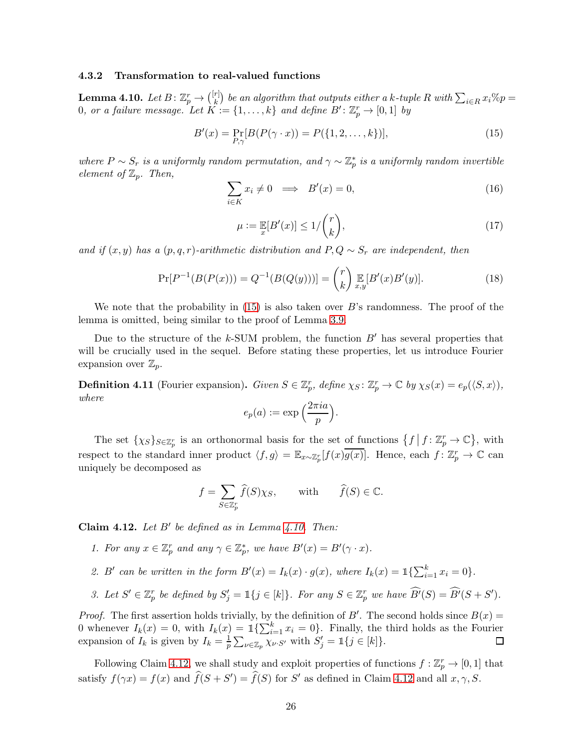### 4.3.2 Transformation to real-valued functions

<span id="page-26-1"></span>**Lemma 4.10.** Let  $B \colon \mathbb{Z}_p^r \to \binom{[r]}{k}$  $\mathcal{E}^{[r]}_{k})$  be an algorithm that outputs either a k-tuple R with  $\sum_{i\in R}x_i\%p=0$ 0, or a failure message. Let  $K := \{1, \ldots, k\}$  and define  $B' : \mathbb{Z}_p^r \to [0, 1]$  by

$$
B'(x) = \Pr_{P,\gamma}[B(P(\gamma \cdot x)) = P(\{1, 2, \dots, k\})],
$$
\n(15)

where  $P \sim S_r$  is a uniformly random permutation, and  $\gamma \sim \mathbb{Z}_p^*$  is a uniformly random invertible element of  $\mathbb{Z}_p$ . Then,

<span id="page-26-0"></span>
$$
\sum_{i \in K} x_i \neq 0 \implies B'(x) = 0,\tag{16}
$$

$$
\mu := \mathop{\mathbb{E}}_x[B'(x)] \le 1/\binom{r}{k},\tag{17}
$$

and if  $(x, y)$  has a  $(p, q, r)$ -arithmetic distribution and  $P, Q \sim S_r$  are independent, then

$$
\Pr[P^{-1}(B(P(x))) = Q^{-1}(B(Q(y)))] = {r \choose k} \mathop{\mathbb{E}}_{x,y}[B'(x)B'(y)].
$$
\n(18)

We note that the probability in  $(15)$  is also taken over B's randomness. The proof of the lemma is omitted, being similar to the proof of Lemma [3.9.](#page-13-2)

Due to the structure of the  $k$ -SUM problem, the function  $B'$  has several properties that will be crucially used in the sequel. Before stating these properties, let us introduce Fourier expansion over  $\mathbb{Z}_p$ .

**Definition 4.11** (Fourier expansion). Given  $S \in \mathbb{Z}_p^r$ , define  $\chi_S \colon \mathbb{Z}_p^r \to \mathbb{C}$  by  $\chi_S(x) = e_p(\langle S, x \rangle)$ , where

$$
e_p(a) := \exp\left(\frac{2\pi i a}{p}\right).
$$

The set  $\{\chi_S\}_{S\in\mathbb{Z}_p^r}$  is an orthonormal basis for the set of functions  $\{f \mid f: \mathbb{Z}_p^r \to \mathbb{C}\}$ , with respect to the standard inner product  $\langle f, g \rangle = \mathbb{E}_{x \sim \mathbb{Z}_p^r} [f(x)\overline{g(x)}]$ . Hence, each  $f \colon \mathbb{Z}_p^r \to \mathbb{C}$  can uniquely be decomposed as

$$
f = \sum_{S \in \mathbb{Z}_p^r} \widehat{f}(S) \chi_S, \quad \text{with} \quad \widehat{f}(S) \in \mathbb{C}.
$$

<span id="page-26-2"></span>Claim 4.12. Let  $B'$  be defined as in Lemma [4.10.](#page-26-1) Then:

- 1. For any  $x \in \mathbb{Z}_p^r$  and any  $\gamma \in \mathbb{Z}_p^*$ , we have  $B'(x) = B'(\gamma \cdot x)$ .
- 2. B' can be written in the form  $B'(x) = I_k(x) \cdot g(x)$ , where  $I_k(x) = \mathbb{1}\left\{\sum_{i=1}^k x_i = 0\right\}$ .
- 3. Let  $S' \in \mathbb{Z}_p^r$  be defined by  $S'_j = \mathbb{1}\{j \in [k]\}$ . For any  $S \in \mathbb{Z}_p^r$  we have  $\widehat{B'}(S) = \widehat{B'}(S + S')$ .

*Proof.* The first assertion holds trivially, by the definition of B'. The second holds since  $B(x)$  = 0 whenever  $I_k(x) = 0$ , with  $I_k(x) = \mathbb{1}\left\{\sum_{i=1}^k x_i = 0\right\}$ . Finally, the third holds as the Fourier expansion of  $I_k$  is given by  $I_k = \frac{1}{p}$  $\frac{1}{p} \sum_{\nu \in \mathbb{Z}_p} \chi_{\nu \cdot S'}$  with  $S'_j = \mathbb{1}\{j \in [k]\}.$ 

Following Claim [4.12,](#page-26-2) we shall study and exploit properties of functions  $f: \mathbb{Z}_p^r \to [0,1]$  that satisfy  $f(\gamma x) = f(x)$  and  $\widehat{f}(S + S') = \widehat{f}(S)$  for S' as defined in Claim [4.12](#page-26-2) and all  $x, \gamma, S$ .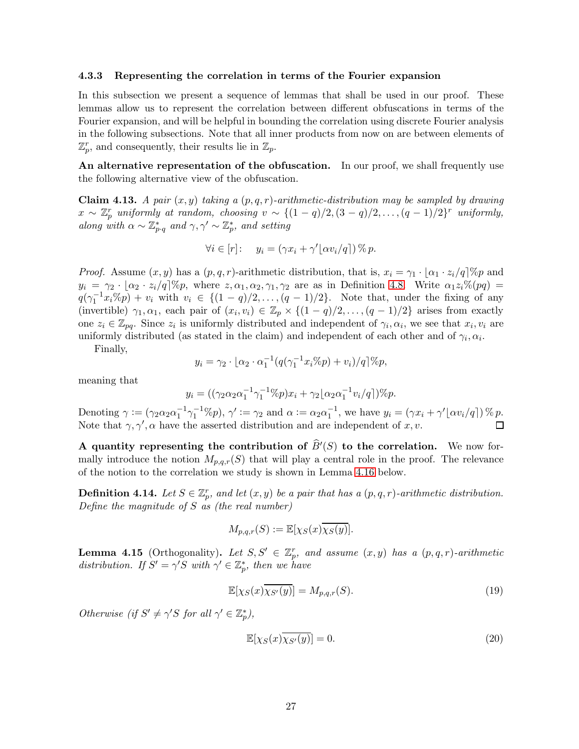#### 4.3.3 Representing the correlation in terms of the Fourier expansion

In this subsection we present a sequence of lemmas that shall be used in our proof. These lemmas allow us to represent the correlation between different obfuscations in terms of the Fourier expansion, and will be helpful in bounding the correlation using discrete Fourier analysis in the following subsections. Note that all inner products from now on are between elements of  $\mathbb{Z}_p^r$ , and consequently, their results lie in  $\mathbb{Z}_p$ .

An alternative representation of the obfuscation. In our proof, we shall frequently use the following alternative view of the obfuscation.

<span id="page-27-2"></span>**Claim 4.13.** A pair  $(x, y)$  taking a  $(p, q, r)$ -arithmetic-distribution may be sampled by drawing  $x \sim \mathbb{Z}_p^r$  uniformly at random, choosing  $v \sim \{(1-q)/2, (3-q)/2, \ldots, (q-1)/2\}^r$  uniformly, along with  $\alpha \sim \mathbb{Z}_{p\cdot q}^*$  and  $\gamma, \gamma' \sim \mathbb{Z}_p^*$ , and setting

$$
\forall i \in [r]: \quad y_i = (\gamma x_i + \gamma' \lfloor \alpha v_i / q \rceil) \, \% \, p.
$$

*Proof.* Assume  $(x, y)$  has a  $(p, q, r)$ -arithmetic distribution, that is,  $x_i = \gamma_1 \cdot \alpha_1 \cdot z_i/q$  % and  $y_i = \gamma_2 \cdot [\alpha_2 \cdot z_i/q]\%p$ , where  $z, \alpha_1, \alpha_2, \gamma_1, \gamma_2$  are as in Definition [4.8.](#page-24-3) Write  $\alpha_1 z_i\% (pq) =$  $q(\gamma_1^{-1}x_i\%p) + v_i$  with  $v_i \in \{(1-q)/2, \ldots, (q-1)/2\}$ . Note that, under the fixing of any (invertible)  $\gamma_1, \alpha_1$ , each pair of  $(x_i, v_i) \in \mathbb{Z}_p \times \{(1-q)/2, \ldots, (q-1)/2\}$  arises from exactly one  $z_i \in \mathbb{Z}_{pq}$ . Since  $z_i$  is uniformly distributed and independent of  $\gamma_i, \alpha_i$ , we see that  $x_i, v_i$  are uniformly distributed (as stated in the claim) and independent of each other and of  $\gamma_i, \alpha_i$ .

Finally,

$$
y_i = \gamma_2 \cdot \lfloor \alpha_2 \cdot \alpha_1^{-1} (q(\gamma_1^{-1} x_i \% p) + v_i) / q \rfloor \% p,
$$

meaning that

$$
y_i = ((\gamma_2 \alpha_2 \alpha_1^{-1} \gamma_1^{-1} \% p)x_i + \gamma_2 \lfloor \alpha_2 \alpha_1^{-1} v_i / q \rfloor) \% p.
$$

Denoting  $\gamma := (\gamma_2 \alpha_2 \alpha_1^{-1} \gamma_1^{-1} \% p), \gamma' := \gamma_2$  and  $\alpha := \alpha_2 \alpha_1^{-1}$ , we have  $y_i = (\gamma x_i + \gamma' \lfloor \alpha v_i/q \rfloor) \% p$ . Note that  $\gamma$ ,  $\gamma'$ ,  $\alpha$  have the asserted distribution and are independent of x, v.

A quantity representing the contribution of  $\widehat{B}'(S)$  to the correlation. We now formally introduce the notion  $M_{p,q,r}(S)$  that will play a central role in the proof. The relevance of the notion to the correlation we study is shown in Lemma [4.16](#page-28-0) below.

**Definition 4.14.** Let  $S \in \mathbb{Z}_p^r$ , and let  $(x, y)$  be a pair that has a  $(p, q, r)$ -arithmetic distribution. Define the magnitude of  $S$  as (the real number)

$$
M_{p,q,r}(S) := \mathbb{E}[\chi_S(x)\overline{\chi_S(y)}].
$$

<span id="page-27-3"></span>**Lemma 4.15** (Orthogonality). Let  $S, S' \in \mathbb{Z}_p^r$ , and assume  $(x, y)$  has a  $(p, q, r)$ -arithmetic distribution. If  $S' = \gamma' S$  with  $\gamma' \in \mathbb{Z}_p^*$ , then we have

<span id="page-27-0"></span>
$$
\mathbb{E}[\chi_S(x)\overline{\chi_{S'}(y)}] = M_{p,q,r}(S). \tag{19}
$$

Otherwise (if  $S' \neq \gamma' S$  for all  $\gamma' \in \mathbb{Z}_p^*$ ),

<span id="page-27-1"></span>
$$
\mathbb{E}[\chi_S(x)\overline{\chi_{S'}(y)}] = 0. \tag{20}
$$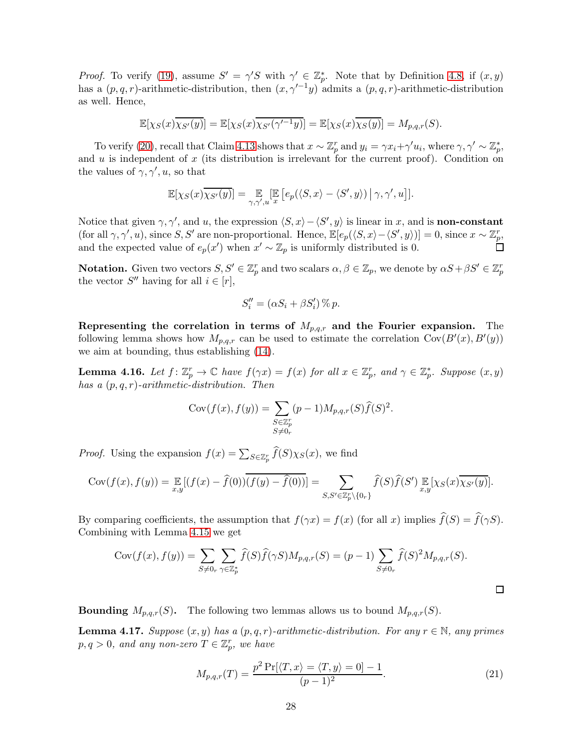*Proof.* To verify [\(19\)](#page-27-0), assume  $S' = \gamma' S$  with  $\gamma' \in \mathbb{Z}_p^*$ . Note that by Definition [4.8,](#page-24-3) if  $(x, y)$ has a  $(p, q, r)$ -arithmetic-distribution, then  $(x, \gamma'^{-1}y)$  admits a  $(p, q, r)$ -arithmetic-distribution as well. Hence,

$$
\mathbb{E}[\chi_S(x)\overline{\chi_{S'}(y)}] = \mathbb{E}[\chi_S(x)\overline{\chi_{S'}(\gamma'^{-1}y)}] = \mathbb{E}[\chi_S(x)\overline{\chi_S(y)}] = M_{p,q,r}(S).
$$

To verify [\(20\)](#page-27-1), recall that Claim [4.13](#page-27-2) shows that  $x \sim \mathbb{Z}_p^r$  and  $y_i = \gamma x_i + \gamma' u_i$ , where  $\gamma, \gamma' \sim \mathbb{Z}_p^*$ , and  $u$  is independent of  $x$  (its distribution is irrelevant for the current proof). Condition on the values of  $\gamma$ ,  $\gamma'$ , u, so that

$$
\mathbb{E}[\chi_S(x)\overline{\chi_{S'}(y)}] = \mathop{\mathbb{E}}_{\gamma,\gamma',u}[\mathop{\mathbb{E}}_x \left[ e_p(\langle S,x\rangle - \langle S',y\rangle) \, \middle| \, \gamma,\gamma',u \right]].
$$

Notice that given  $\gamma$ ,  $\gamma'$ , and u, the expression  $\langle S, x \rangle - \langle S', y \rangle$  is linear in x, and is **non-constant** (for all  $\gamma, \gamma', u$ ), since S, S' are non-proportional. Hence,  $\mathbb{E}[e_p(\langle S, x \rangle - \langle S', y \rangle)] = 0$ , since  $x \sim \mathbb{Z}_p^r$ , and the expected value of  $e_p(x')$  when  $x' \sim \mathbb{Z}_p$  is uniformly distributed is 0.

**Notation.** Given two vectors  $S, S' \in \mathbb{Z}_p^r$  and two scalars  $\alpha, \beta \in \mathbb{Z}_p$ , we denote by  $\alpha S + \beta S' \in \mathbb{Z}_p^r$ the vector  $S''$  having for all  $i \in [r]$ ,

$$
S_i'' = (\alpha S_i + \beta S_i') \mathcal{C}_i p.
$$

Representing the correlation in terms of  $M_{p,q,r}$  and the Fourier expansion. The following lemma shows how  $M_{p,q,r}$  can be used to estimate the correlation  $Cov(B'(x), B'(y))$ we aim at bounding, thus establishing [\(14\)](#page-25-1).

<span id="page-28-0"></span>**Lemma 4.16.** Let  $f: \mathbb{Z}_p^r \to \mathbb{C}$  have  $f(\gamma x) = f(x)$  for all  $x \in \mathbb{Z}_p^r$ , and  $\gamma \in \mathbb{Z}_p^*$ . Suppose  $(x, y)$ has a  $(p, q, r)$ -arithmetic-distribution. Then

$$
Cov(f(x), f(y)) = \sum_{\substack{S \in \mathbb{Z}_p^r \\ S \neq 0_r}} (p-1) M_{p,q,r}(S) \widehat{f}(S)^2.
$$

*Proof.* Using the expansion  $f(x) = \sum_{S \in \mathbb{Z}_p^r} \widehat{f}(S) \chi_S(x)$ , we find

$$
Cov(f(x), f(y)) = \mathbb{E}_{x,y}[(f(x) - \widehat{f}(0))\overline{(f(y) - \widehat{f}(0))}] = \sum_{S,S' \in \mathbb{Z}_p^r \backslash \{0_r\}} \widehat{f}(S)\widehat{f}(S') \mathbb{E}_{x,y}[\chi_S(x)\overline{\chi_{S'}(y)}].
$$

By comparing coefficients, the assumption that  $f(\gamma x) = f(x)$  (for all x) implies  $\widehat{f}(S) = \widehat{f}(\gamma S)$ . Combining with Lemma [4.15](#page-27-3) we get

$$
Cov(f(x), f(y)) = \sum_{S \neq 0_r} \sum_{\gamma \in \mathbb{Z}_p^*} \widehat{f}(S)\widehat{f}(\gamma S)M_{p,q,r}(S) = (p-1)\sum_{S \neq 0_r} \widehat{f}(S)^2 M_{p,q,r}(S).
$$

**Bounding**  $M_{p,q,r}(S)$ . The following two lemmas allows us to bound  $M_{p,q,r}(S)$ .

<span id="page-28-1"></span>**Lemma 4.17.** Suppose  $(x, y)$  has a  $(p, q, r)$ -arithmetic-distribution. For any  $r \in \mathbb{N}$ , any primes  $p, q > 0$ , and any non-zero  $T \in \mathbb{Z}_p^r$ , we have

<span id="page-28-2"></span>
$$
M_{p,q,r}(T) = \frac{p^2 \Pr[\langle T, x \rangle = \langle T, y \rangle = 0] - 1}{(p-1)^2}.
$$
 (21)

 $\Box$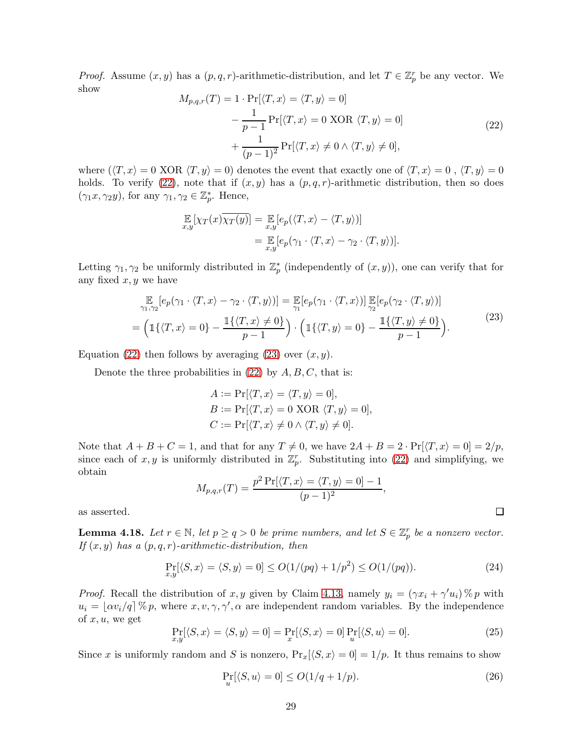<span id="page-29-0"></span>*Proof.* Assume  $(x, y)$  has a  $(p, q, r)$ -arithmetic-distribution, and let  $T \in \mathbb{Z}_p^r$  be any vector. We show

$$
M_{p,q,r}(T) = 1 \cdot \Pr[\langle T, x \rangle = \langle T, y \rangle = 0]
$$

$$
- \frac{1}{p-1} \Pr[\langle T, x \rangle = 0 \text{ XOR } \langle T, y \rangle = 0]
$$

$$
+ \frac{1}{(p-1)^2} \Pr[\langle T, x \rangle \neq 0 \land \langle T, y \rangle \neq 0], \tag{22}
$$

where  $(\langle T, x \rangle = 0 \text{ XOR } \langle T, y \rangle = 0)$  denotes the event that exactly one of  $\langle T, x \rangle = 0$ ,  $\langle T, y \rangle = 0$ holds. To verify [\(22\)](#page-29-0), note that if  $(x, y)$  has a  $(p, q, r)$ -arithmetic distribution, then so does  $(\gamma_1 x, \gamma_2 y)$ , for any  $\gamma_1, \gamma_2 \in \mathbb{Z}_p^*$ . Hence,

$$
\mathbb{E}_{x,y}[\chi_T(x)\overline{\chi_T(y)}] = \mathbb{E}_{x,y}[e_p(\langle T, x \rangle - \langle T, y \rangle)]
$$
  
= 
$$
\mathbb{E}_{x,y}[e_p(\gamma_1 \cdot \langle T, x \rangle - \gamma_2 \cdot \langle T, y \rangle)].
$$

Letting  $\gamma_1, \gamma_2$  be uniformly distributed in  $\mathbb{Z}_p^*$  (independently of  $(x, y)$ ), one can verify that for any fixed  $x, y$  we have

<span id="page-29-1"></span>
$$
\mathbb{E}_{\gamma_1,\gamma_2}[e_p(\gamma_1 \cdot \langle T,x \rangle - \gamma_2 \cdot \langle T,y \rangle)] = \mathbb{E}_{\gamma_1}[e_p(\gamma_1 \cdot \langle T,x \rangle)] \mathbb{E}_{\gamma_2}[e_p(\gamma_2 \cdot \langle T,y \rangle)] \n= \left(\mathbb{1}\{\langle T,x \rangle = 0\} - \frac{\mathbb{1}\{\langle T,x \rangle \neq 0\}}{p-1}\right) \cdot \left(\mathbb{1}\{\langle T,y \rangle = 0\} - \frac{\mathbb{1}\{\langle T,y \rangle \neq 0\}}{p-1}\right).
$$
\n(23)

Equation [\(22\)](#page-29-0) then follows by averaging [\(23\)](#page-29-1) over  $(x, y)$ .

Denote the three probabilities in  $(22)$  by  $A, B, C$ , that is:

$$
A := \Pr[\langle T, x \rangle = \langle T, y \rangle = 0],
$$
  
\n
$$
B := \Pr[\langle T, x \rangle = 0 \text{ XOR } \langle T, y \rangle = 0],
$$
  
\n
$$
C := \Pr[\langle T, x \rangle \neq 0 \land \langle T, y \rangle \neq 0].
$$

Note that  $A + B + C = 1$ , and that for any  $T \neq 0$ , we have  $2A + B = 2 \cdot \Pr(\langle T, x \rangle = 0) = 2/p$ , since each of  $x, y$  is uniformly distributed in  $\mathbb{Z}_p^r$ . Substituting into [\(22\)](#page-29-0) and simplifying, we obtain

<span id="page-29-4"></span>
$$
M_{p,q,r}(T) = \frac{p^2 \Pr[\langle T, x \rangle = \langle T, y \rangle = 0] - 1}{(p-1)^2},
$$

as asserted.

<span id="page-29-3"></span>**Lemma 4.18.** Let  $r \in \mathbb{N}$ , let  $p \ge q > 0$  be prime numbers, and let  $S \in \mathbb{Z}_p^r$  be a nonzero vector. If  $(x, y)$  has a  $(p, q, r)$ -arithmetic-distribution, then

$$
\Pr_{x,y}[\langle S,x \rangle = \langle S,y \rangle = 0] \le O(1/(pq) + 1/p^2) \le O(1/(pq)).\tag{24}
$$

*Proof.* Recall the distribution of x, y given by Claim [4.13,](#page-27-2) namely  $y_i = (\gamma x_i + \gamma' u_i) \% p$  with  $u_i = \lfloor \alpha v_i/q \rfloor \mathcal{E} p$ , where  $x, v, \gamma, \gamma', \alpha$  are independent random variables. By the independence of  $x, u$ , we get

<span id="page-29-5"></span>
$$
\Pr_{x,y}[\langle S,x \rangle = \langle S,y \rangle = 0] = \Pr_x[\langle S,x \rangle = 0] \Pr_u[\langle S,u \rangle = 0]. \tag{25}
$$

Since x is uniformly random and S is nonzero,  $Pr_x[\langle S, x \rangle = 0] = 1/p$ . It thus remains to show

$$
\Pr_u[\langle S, u \rangle = 0] \le O(1/q + 1/p). \tag{26}
$$

<span id="page-29-2"></span>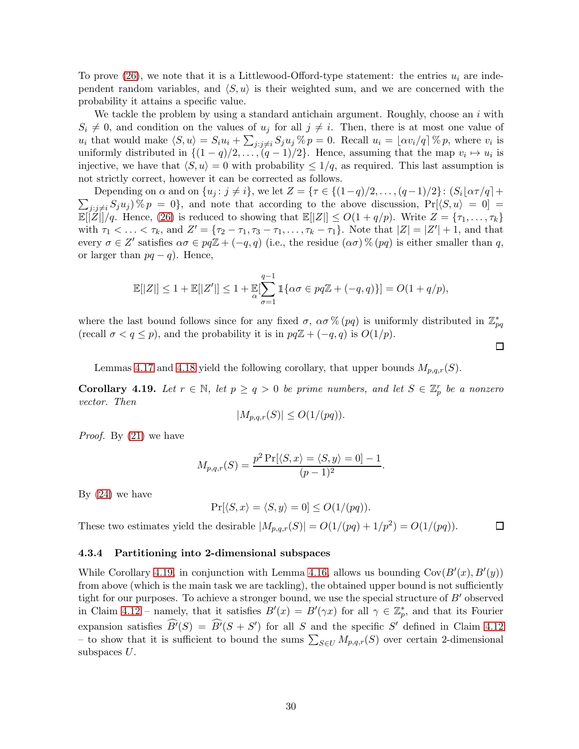To prove  $(26)$ , we note that it is a Littlewood-Offord-type statement: the entries  $u_i$  are independent random variables, and  $\langle S, u \rangle$  is their weighted sum, and we are concerned with the probability it attains a specific value.

We tackle the problem by using a standard antichain argument. Roughly, choose an  $i$  with  $S_i \neq 0$ , and condition on the values of  $u_j$  for all  $j \neq i$ . Then, there is at most one value of  $u_i$  that would make  $\langle S, u \rangle = S_i u_i + \sum_{j:j \neq i} S_j u_j \mathcal{V}_0 p = 0$ . Recall  $u_i = \lfloor \alpha v_i/q \rfloor \mathcal{V}_0 p$ , where  $v_i$  is uniformly distributed in  $\{(1-q)/2,\ldots,(q-1)/2\}$ . Hence, assuming that the map  $v_i \mapsto u_i$  is injective, we have that  $\langle S, u \rangle = 0$  with probability  $\leq 1/q$ , as required. This last assumption is not strictly correct, however it can be corrected as follows.

 $\sum_{j:j\neq i} S_j u_j$  %  $p = 0$ , and note that according to the above discussion,  $Pr[\langle S, u \rangle = 0] =$ Depending on  $\alpha$  and on  $\{u_j : j \neq i\}$ , we let  $Z = \{\tau \in \{(1-q)/2, \ldots, (q-1)/2\} : (S_i | \alpha \tau / q] +$  $\mathbb{E}[|Z|]/q$ . Hence, [\(26\)](#page-29-2) is reduced to showing that  $\mathbb{E}[|Z|] \leq O(1+q/p)$ . Write  $Z = \{\tau_1, \ldots, \tau_k\}$ with  $\tau_1 < \ldots < \tau_k$ , and  $Z' = {\tau_2 - \tau_1, \tau_3 - \tau_1, \ldots, \tau_k - \tau_1}$ . Note that  $|Z| = |Z'| + 1$ , and that every  $\sigma \in Z'$  satisfies  $\alpha \sigma \in pq\mathbb{Z} + (-q, q)$  (i.e., the residue  $(\alpha \sigma)$ %  $(pq)$  is either smaller than q, or larger than  $pq - q$ ). Hence,

$$
\mathbb{E}[|Z|] \leq 1 + \mathbb{E}[|Z'|] \leq 1 + \mathbb{E}[\sum_{\sigma=1}^{q-1} \mathbb{1}\{\alpha\sigma \in pq\mathbb{Z} + (-q,q)\}] = O(1+q/p),
$$

where the last bound follows since for any fixed  $\sigma$ ,  $\alpha\sigma$ % (pq) is uniformly distributed in  $\mathbb{Z}_{pq}^*$ (recall  $\sigma < q \leq p$ ), and the probability it is in  $pq\mathbb{Z} + (-q, q)$  is  $O(1/p)$ .

 $\Box$ 

Lemmas [4.17](#page-28-1) and [4.18](#page-29-3) yield the following corollary, that upper bounds  $M_{p,q,r}(S)$ .

<span id="page-30-0"></span>**Corollary 4.19.** Let  $r \in \mathbb{N}$ , let  $p \ge q > 0$  be prime numbers, and let  $S \in \mathbb{Z}_p^r$  be a nonzero vector. Then

$$
|M_{p,q,r}(S)| \le O(1/(pq)).
$$

Proof. By [\(21\)](#page-28-2) we have

$$
M_{p,q,r}(S) = \frac{p^2 \Pr[\langle S, x \rangle = \langle S, y \rangle = 0] - 1}{(p-1)^2}.
$$

By  $(24)$  we have

$$
\Pr[\langle S, x \rangle = \langle S, y \rangle = 0] \le O(1/(pq)).
$$

These two estimates yield the desirable  $|M_{p,q,r}(S)| = O(1/(pq) + 1/p^2) = O(1/(pq)).$  $\Box$ 

### 4.3.4 Partitioning into 2-dimensional subspaces

While Corollary [4.19,](#page-30-0) in conjunction with Lemma [4.16,](#page-28-0) allows us bounding  $Cov(B'(x), B'(y))$ from above (which is the main task we are tackling), the obtained upper bound is not sufficiently tight for our purposes. To achieve a stronger bound, we use the special structure of B′ observed in Claim [4.12](#page-26-2) – namely, that it satisfies  $B'(x) = B'(\gamma x)$  for all  $\gamma \in \mathbb{Z}_p^*$ , and that its Fourier expansion satisfies  $\widehat{B'}(S) = \widehat{B'}(S + S')$  for all S and the specific S' defined in Claim [4.12](#page-26-2) – to show that it is sufficient to bound the sums  $\sum_{S\in U} M_{p,q,r}(S)$  over certain 2-dimensional subspaces U.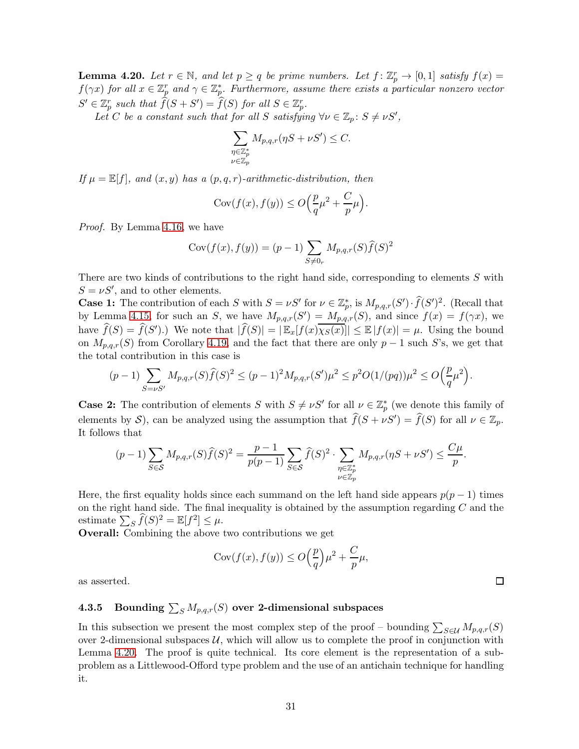<span id="page-31-0"></span>**Lemma 4.20.** Let  $r \in \mathbb{N}$ , and let  $p \ge q$  be prime numbers. Let  $f: \mathbb{Z}_p^r \to [0,1]$  satisfy  $f(x) =$  $f(\gamma x)$  for all  $x \in \mathbb{Z}_p^r$  and  $\gamma \in \mathbb{Z}_p^*$ . Furthermore, assume there exists a particular nonzero vector  $S' \in \mathbb{Z}_p^r$  such that  $\widehat{f}(S + S') = \widehat{f}(S)$  for all  $S \in \mathbb{Z}_p^r$ .

Let C be a constant such that for all S satisfying  $\forall \nu \in \mathbb{Z}_p$ :  $S \neq \nu S'$ ,

$$
\sum_{\substack{\eta \in \mathbb{Z}_p^* \\ \nu \in \mathbb{Z}_p}} M_{p,q,r}(\eta S + \nu S') \leq C.
$$

If  $\mu = \mathbb{E}[f]$ , and  $(x, y)$  has a  $(p, q, r)$ -arithmetic-distribution, then

$$
Cov(f(x), f(y)) \le O\left(\frac{p}{q}\mu^2 + \frac{C}{p}\mu\right).
$$

Proof. By Lemma [4.16,](#page-28-0) we have

$$
Cov(f(x), f(y)) = (p-1) \sum_{S \neq 0_r} M_{p,q,r}(S) \hat{f}(S)^2
$$

There are two kinds of contributions to the right hand side, corresponding to elements S with  $S = \nu S'$ , and to other elements.

**Case 1:** The contribution of each S with  $S = \nu S'$  for  $\nu \in \mathbb{Z}_p^*$ , is  $M_{p,q,r}(S') \cdot \hat{f}(S')^2$ . (Recall that by Lemma [4.15,](#page-27-3) for such an S, we have  $M_{p,q,r}(S') = M_{p,q,r}(S)$ , and since  $f(x) = f(\gamma x)$ , we have  $\widehat{f}(S) = \widehat{f}(S')$ .) We note that  $|\widehat{f}(S)| = |\mathbb{E}_x[f(x)\overline{\chi_S(x)}]| \leq \mathbb{E}|f(x)| = \mu$ . Using the bound on  $M_{p,q,r}(S)$  from Corollary [4.19,](#page-30-0) and the fact that there are only p – 1 such S's, we get that the total contribution in this case is

$$
(p-1)\sum_{S=\nu S'} M_{p,q,r}(S)\widehat{f}(S)^2 \leq (p-1)^2 M_{p,q,r}(S')\mu^2 \leq p^2 O(1/(pq))\mu^2 \leq O\Big(\frac{p}{q}\mu^2\Big).
$$

**Case 2:** The contribution of elements S with  $S \neq \nu S'$  for all  $\nu \in \mathbb{Z}_p^*$  (we denote this family of elements by S), can be analyzed using the assumption that  $\widehat{f}(S + \nu S') = \widehat{f}(S)$  for all  $\nu \in \mathbb{Z}_p$ . It follows that

$$
(p-1)\sum_{S\in\mathcal{S}}M_{p,q,r}(S)\widehat{f}(S)^2 = \frac{p-1}{p(p-1)}\sum_{S\in\mathcal{S}}\widehat{f}(S)^2\cdot \sum_{\substack{\eta\in\mathbb{Z}_p^*\\ \nu\in\mathbb{Z}_p}}M_{p,q,r}(\eta S + \nu S') \le \frac{C\mu}{p}.
$$

Here, the first equality holds since each summand on the left hand side appears  $p(p-1)$  times on the right hand side. The final inequality is obtained by the assumption regarding  $C$  and the estimate  $\sum_{S} \widehat{f}(S)^2 = \mathbb{E}[f^2] \leq \mu$ .

Overall: Combining the above two contributions we get

$$
Cov(f(x), f(y)) \le O\left(\frac{p}{q}\right)\mu^2 + \frac{C}{p}\mu,
$$

as asserted.

# 4.3.5 Bounding  $\sum_S M_{p,q,r}(S)$  over 2-dimensional subspaces

In this subsection we present the most complex step of the proof – bounding  $\sum_{S \in \mathcal{U}} M_{p,q,r}(S)$ over 2-dimensional subspaces  $U$ , which will allow us to complete the proof in conjunction with Lemma [4.20.](#page-31-0) The proof is quite technical. Its core element is the representation of a subproblem as a Littlewood-Offord type problem and the use of an antichain technique for handling it.

 $\Box$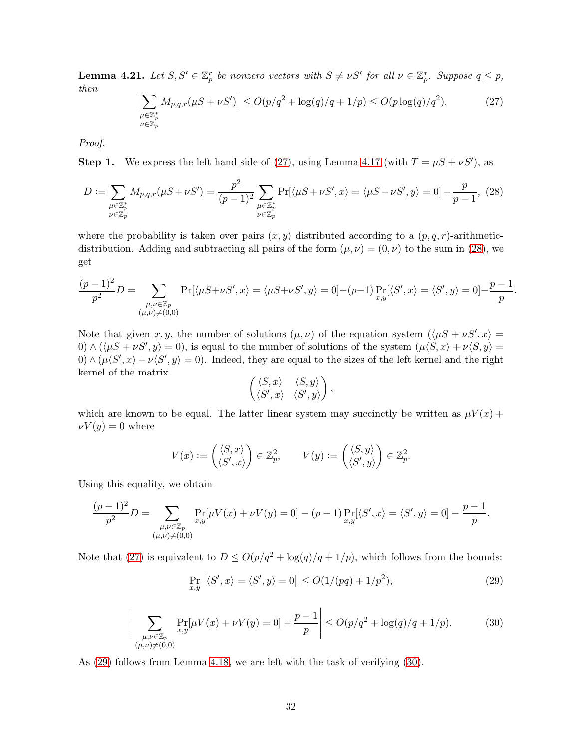<span id="page-32-1"></span><span id="page-32-0"></span>**Lemma 4.21.** Let  $S, S' \in \mathbb{Z}_p^r$  be nonzero vectors with  $S \neq \nu S'$  for all  $\nu \in \mathbb{Z}_p^*$ . Suppose  $q \leq p$ , then

$$
\Big| \sum_{\substack{\mu \in \mathbb{Z}_p^* \\ \nu \in \mathbb{Z}_p}} M_{p,q,r}(\mu S + \nu S') \Big| \le O(p/q^2 + \log(q)/q + 1/p) \le O(p \log(q)/q^2). \tag{27}
$$

Proof.

**Step 1.** We express the left hand side of [\(27\)](#page-32-1), using Lemma [4.17](#page-28-1) (with  $T = \mu S + \nu S'$ ), as

$$
D := \sum_{\substack{\mu \in \mathbb{Z}_p^* \\ \nu \in \mathbb{Z}_p}} M_{p,q,r}(\mu S + \nu S') = \frac{p^2}{(p-1)^2} \sum_{\substack{\mu \in \mathbb{Z}_p^* \\ \nu \in \mathbb{Z}_p}} \Pr[\langle \mu S + \nu S', x \rangle = \langle \mu S + \nu S', y \rangle = 0] - \frac{p}{p-1}, \tag{28}
$$

where the probability is taken over pairs  $(x, y)$  distributed according to a  $(p, q, r)$ -arithmeticdistribution. Adding and subtracting all pairs of the form  $(\mu, \nu) = (0, \nu)$  to the sum in [\(28\)](#page-32-2), we get

$$
\frac{(p-1)^2}{p^2}D = \sum_{\substack{\mu,\nu \in \mathbb{Z}_p \\ (\mu,\nu) \neq (0,0)}} \Pr[\langle \mu S + \nu S', x \rangle = \langle \mu S + \nu S', y \rangle = 0] - (p-1) \Pr_{x,y}[\langle S', x \rangle = \langle S', y \rangle = 0] - \frac{p-1}{p}.
$$

Note that given x, y, the number of solutions  $(\mu, \nu)$  of the equation system  $(\langle \mu S + \nu S', x \rangle =$  $(0) \wedge (\langle \mu S + \nu S', y \rangle = 0)$ , is equal to the number of solutions of the system  $(\mu \langle S, x \rangle + \nu \langle S, y \rangle = 0)$  $(0) \wedge (\mu \langle S', x \rangle + \nu \langle S', y \rangle = 0)$ . Indeed, they are equal to the sizes of the left kernel and the right kernel of the matrix

<span id="page-32-3"></span><span id="page-32-2"></span>
$$
\begin{pmatrix} \langle S,x\rangle & \langle S,y\rangle \\ \langle S',x\rangle & \langle S',y\rangle \end{pmatrix},
$$

which are known to be equal. The latter linear system may succinctly be written as  $\mu V(x)$  +  $\nu V(y) = 0$  where

$$
V(x) := \begin{pmatrix} \langle S, x \rangle \\ \langle S', x \rangle \end{pmatrix} \in \mathbb{Z}_p^2, \qquad V(y) := \begin{pmatrix} \langle S, y \rangle \\ \langle S', y \rangle \end{pmatrix} \in \mathbb{Z}_p^2.
$$

Using this equality, we obtain

 $\overline{\phantom{a}}$  $\overline{\phantom{a}}$ I  $\overline{\phantom{a}}$  $\mathsf{l}$ 

$$
\frac{(p-1)^2}{p^2}D = \sum_{\substack{\mu,\nu \in \mathbb{Z}_p \\ (\mu,\nu) \neq (0,0)}} \Pr_{x,y}[\mu V(x) + \nu V(y) = 0] - (p-1)\Pr_{x,y}[\langle S',x \rangle = \langle S',y \rangle = 0] - \frac{p-1}{p}.
$$

<span id="page-32-4"></span>Note that [\(27\)](#page-32-1) is equivalent to  $D \le O(p/q^2 + \log(q)/q + 1/p)$ , which follows from the bounds:

$$
\Pr_{x,y} \left[ \langle S', x \rangle = \langle S', y \rangle = 0 \right] \le O(1/(pq) + 1/p^2),\tag{29}
$$

$$
\sum_{\substack{\mu,\nu \in \mathbb{Z}_p \\ (\mu,\nu) \neq (0,0)}} \Pr_{x,y}[\mu V(x) + \nu V(y) = 0] - \frac{p-1}{p} \le O(p/q^2 + \log(q)/q + 1/p). \tag{30}
$$

As [\(29\)](#page-32-3) follows from Lemma [4.18,](#page-29-3) we are left with the task of verifying [\(30\)](#page-32-4).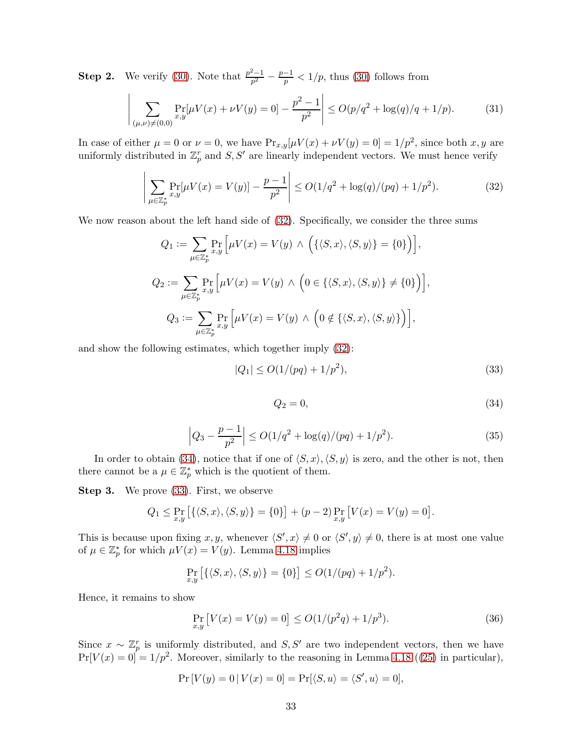**Step 2.** We verify [\(30\)](#page-32-4). Note that  $\frac{p^2-1}{n^2}$  $\frac{p-1}{p^2} - \frac{p-1}{p} < 1/p$ , thus [\(30\)](#page-32-4) follows from

$$
\left| \sum_{(\mu,\nu)\neq(0,0)} \Pr_{x,y}[\mu V(x) + \nu V(y) = 0] - \frac{p^2 - 1}{p^2} \right| \le O(p/q^2 + \log(q)/q + 1/p). \tag{31}
$$

In case of either  $\mu = 0$  or  $\nu = 0$ , we have  $Pr_{x,y}[\mu V(x) + \nu V(y) = 0] = 1/p^2$ , since both x, y are uniformly distributed in  $\mathbb{Z}_p^r$  and  $S, S'$  are linearly independent vectors. We must hence verify

$$
\left| \sum_{\mu \in \mathbb{Z}_p^*} \Pr_{x,y}[\mu V(x) = V(y)] - \frac{p-1}{p^2} \right| \le O(1/q^2 + \log(q)/(pq) + 1/p^2). \tag{32}
$$

We now reason about the left hand side of [\(32\)](#page-33-0). Specifically, we consider the three sums

$$
Q_1 := \sum_{\mu \in \mathbb{Z}_p^*} \Pr_{x,y} \left[ \mu V(x) = V(y) \land \left( \{ \langle S, x \rangle, \langle S, y \rangle \} = \{0 \} \right) \right],
$$
  
\n
$$
Q_2 := \sum_{\mu \in \mathbb{Z}_p^*} \Pr_{x,y} \left[ \mu V(x) = V(y) \land \left( 0 \in \{ \langle S, x \rangle, \langle S, y \rangle \} \neq \{0 \} \right) \right],
$$
  
\n
$$
Q_3 := \sum_{\mu \in \mathbb{Z}_p^*} \Pr_{x,y} \left[ \mu V(x) = V(y) \land \left( 0 \notin \{ \langle S, x \rangle, \langle S, y \rangle \} \right) \right],
$$

<span id="page-33-1"></span>and show the following estimates, which together imply [\(32\)](#page-33-0):

$$
|Q_1| \le O(1/(pq) + 1/p^2),\tag{33}
$$

<span id="page-33-2"></span><span id="page-33-0"></span>
$$
Q_2 = 0,\t\t(34)
$$

$$
\left|Q_3 - \frac{p-1}{p^2}\right| \le O(1/q^2 + \log(q)/(pq) + 1/p^2). \tag{35}
$$

<span id="page-33-4"></span>In order to obtain [\(34\)](#page-33-1), notice that if one of  $\langle S, x \rangle, \langle S, y \rangle$  is zero, and the other is not, then there cannot be a  $\mu \in \mathbb{Z}_p^*$  which is the quotient of them.

Step 3. We prove [\(33\)](#page-33-2). First, we observe

$$
Q_1 \leq \Pr_{x,y} \left[ \{ \langle S, x \rangle, \langle S, y \rangle \} = \{0\} \right] + (p-2) \Pr_{x,y} \left[ V(x) = V(y) = 0 \right].
$$

This is because upon fixing  $x, y$ , whenever  $\langle S', x \rangle \neq 0$  or  $\langle S', y \rangle \neq 0$ , there is at most one value of  $\mu \in \mathbb{Z}_p^*$  for which  $\mu V(x) = V(y)$ . Lemma [4.18](#page-29-3) implies

$$
\Pr_{x,y}\left[\{\langle S,x\rangle,\langle S,y\rangle\}=\{0\}\right]\leq O(1/(pq)+1/p^2).
$$

Hence, it remains to show

<span id="page-33-3"></span>
$$
\Pr_{x,y} \left[ V(x) = V(y) = 0 \right] \le O(1/(p^2q) + 1/p^3). \tag{36}
$$

Since  $x \sim \mathbb{Z}_p^r$  is uniformly distributed, and  $S, S'$  are two independent vectors, then we have  $Pr[V(x) = 0] = 1/p^2$ . Moreover, similarly to the reasoning in Lemma [4.18](#page-29-3) ([\(25\)](#page-29-5) in particular),

 $Pr[V(y) = 0 | V(x) = 0] = Pr[\langle S, u \rangle = \langle S', u \rangle = 0],$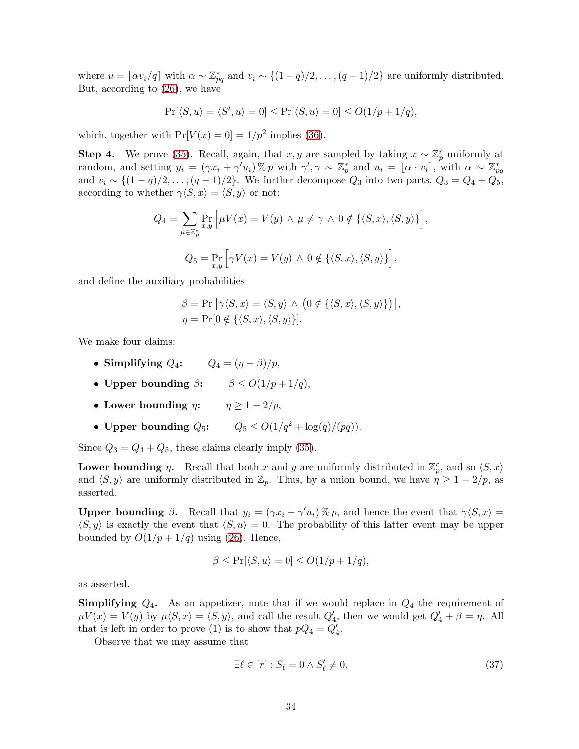where  $u = \lfloor \alpha v_i/q \rfloor$  with  $\alpha \sim \mathbb{Z}_{pq}^*$  and  $v_i \sim \{(1-q)/2, \ldots, (q-1)/2\}$  are uniformly distributed. But, according to [\(26\)](#page-29-2), we have

$$
\Pr[\langle S, u \rangle = \langle S', u \rangle = 0] \le \Pr[\langle S, u \rangle = 0] \le O(1/p + 1/q),
$$

which, together with  $Pr[V(x) = 0] = 1/p^2$  implies [\(36\)](#page-33-3).

**Step 4.** We prove [\(35\)](#page-33-4). Recall, again, that x, y are sampled by taking  $x \sim \mathbb{Z}_p^r$  uniformly at random, and setting  $y_i = (\gamma x_i + \gamma' u_i) \% p$  with  $\gamma', \gamma \sim \mathbb{Z}_p^*$  and  $u_i = [\alpha \cdot v_i]$ , with  $\alpha \sim \mathbb{Z}_{pq}^*$ and  $v_i \sim \{(1-q)/2, \ldots, (q-1)/2\}$ . We further decompose  $Q_3$  into two parts,  $Q_3 = Q_4 + Q_5$ , according to whether  $\gamma \langle S, x \rangle = \langle S, y \rangle$  or not:

$$
Q_4 = \sum_{\mu \in \mathbb{Z}_p^*} \Pr_{x,y} \left[ \mu V(x) = V(y) \land \mu \neq \gamma \land 0 \notin \{ \langle S, x \rangle, \langle S, y \rangle \} \right],
$$
  

$$
Q_5 = \Pr_{x,y} \left[ \gamma V(x) = V(y) \land 0 \notin \{ \langle S, x \rangle, \langle S, y \rangle \} \right],
$$

and define the auxiliary probabilities

$$
\beta = \Pr\big[\gamma\langle S, x\rangle = \langle S, y\rangle \land \big(0 \notin \{\langle S, x\rangle, \langle S, y\rangle\}\big)\big],
$$
  

$$
\eta = \Pr[0 \notin \{\langle S, x\rangle, \langle S, y\rangle\}].
$$

We make four claims:

- Simplifying  $Q_4$ :  $Q_4 = (\eta \beta)/p$ ,
- Upper bounding  $\beta$ :  $\beta \le O(1/p + 1/q)$ ,
- Lower bounding  $\eta$ :  $\eta \geq 1-2/p$ ,
- Upper bounding  $Q_5$ :  $Q_5 \leq O(1/q^2 + \log(q)/(pq)).$

Since  $Q_3 = Q_4 + Q_5$ , these claims clearly imply [\(35\)](#page-33-4).

Lower bounding  $\eta$ . Recall that both x and y are uniformly distributed in  $\mathbb{Z}_p^r$ , and so  $\langle S, x \rangle$ and  $\langle S, y \rangle$  are uniformly distributed in  $\mathbb{Z}_p$ . Thus, by a union bound, we have  $\eta \geq 1 - 2/p$ , as asserted.

Upper bounding  $\beta$ . Recall that  $y_i = (\gamma x_i + \gamma' u_i) \mathcal{H} p$ , and hence the event that  $\gamma \langle S, x \rangle =$  $\langle S, y \rangle$  is exactly the event that  $\langle S, u \rangle = 0$ . The probability of this latter event may be upper bounded by  $O(1/p + 1/q)$  using [\(26\)](#page-29-2). Hence,

$$
\beta \le \Pr[\langle S, u \rangle = 0] \le O(1/p + 1/q),
$$

as asserted.

**Simplifying**  $Q_4$ . As an appetizer, note that if we would replace in  $Q_4$  the requirement of  $\mu V(x) = V(y)$  by  $\mu \langle S, x \rangle = \langle S, y \rangle$ , and call the result  $Q'_4$ , then we would get  $Q'_4 + \beta = \eta$ . All that is left in order to prove (1) is to show that  $pQ_4 = Q'_4$ .

Observe that we may assume that

<span id="page-34-0"></span>
$$
\exists \ell \in [r] : S_{\ell} = 0 \land S'_{\ell} \neq 0. \tag{37}
$$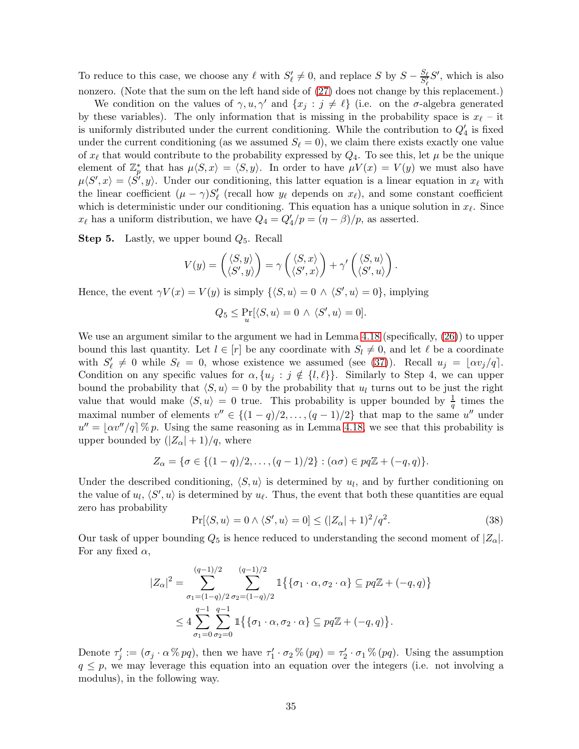To reduce to this case, we choose any  $\ell$  with  $S'_\ell \neq 0$ , and replace S by  $S - \frac{S_\ell}{S'_\ell} S'$ , which is also nonzero. (Note that the sum on the left hand side of  $(27)$  does not change by this replacement.)

We condition on the values of  $\gamma, u, \gamma'$  and  $\{x_j : j \neq \ell\}$  (i.e. on the  $\sigma$ -algebra generated by these variables). The only information that is missing in the probability space is  $x_{\ell}$  – it is uniformly distributed under the current conditioning. While the contribution to  $Q'_4$  is fixed under the current conditioning (as we assumed  $S_{\ell} = 0$ ), we claim there exists exactly one value of  $x_{\ell}$  that would contribute to the probability expressed by  $Q_4$ . To see this, let  $\mu$  be the unique element of  $\mathbb{Z}_p^*$  that has  $\mu \langle S, x \rangle = \langle S, y \rangle$ . In order to have  $\mu V(x) = V(y)$  we must also have  $\mu\langle S',x\rangle = \langle S',y\rangle$ . Under our conditioning, this latter equation is a linear equation in  $x_{\ell}$  with the linear coefficient  $(\mu - \gamma)S'_{\ell}$  (recall how  $y_{\ell}$  depends on  $x_{\ell}$ ), and some constant coefficient which is deterministic under our conditioning. This equation has a unique solution in  $x_{\ell}$ . Since  $x_{\ell}$  has a uniform distribution, we have  $Q_4 = Q'_4/p = (\eta - \beta)/p$ , as asserted.

**Step 5.** Lastly, we upper bound  $Q_5$ . Recall

$$
V(y) = \begin{pmatrix} \langle S, y \rangle \\ \langle S', y \rangle \end{pmatrix} = \gamma \begin{pmatrix} \langle S, x \rangle \\ \langle S', x \rangle \end{pmatrix} + \gamma' \begin{pmatrix} \langle S, u \rangle \\ \langle S', u \rangle \end{pmatrix}.
$$

Hence, the event  $\gamma V(x) = V(y)$  is simply  $\{\langle S, u \rangle = 0 \land \langle S', u \rangle = 0\}$ , implying

$$
Q_5 \le \Pr_u[\langle S, u \rangle = 0 \land \langle S', u \rangle = 0].
$$

We use an argument similar to the argument we had in Lemma  $4.18$  (specifically,  $(26)$ ) to upper bound this last quantity. Let  $l \in [r]$  be any coordinate with  $S_l \neq 0$ , and let  $\ell$  be a coordinate with  $S'_\ell \neq 0$  while  $S_\ell = 0$ , whose existence we assumed (see [\(37\)](#page-34-0)). Recall  $u_j = \lfloor \alpha v_j / q \rfloor$ . Condition on any specific values for  $\alpha$ ,  $\{u_j : j \notin \{l, \ell\}\}\$ . Similarly to Step 4, we can upper bound the probability that  $\langle S, u \rangle = 0$  by the probability that  $u_l$  turns out to be just the right value that would make  $\langle S, u \rangle = 0$  true. This probability is upper bounded by  $\frac{1}{q}$  times the maximal number of elements  $v'' \in \{(1-q)/2, \ldots, (q-1)/2\}$  that map to the same u'' under  $u'' = \lfloor \alpha v''/q \rfloor \, \% \, p.$  Using the same reasoning as in Lemma [4.18,](#page-29-3) we see that this probability is upper bounded by  $(|Z_{\alpha}|+1)/q$ , where

$$
Z_{\alpha} = \{ \sigma \in \{ (1-q)/2, \ldots, (q-1)/2 \} : (\alpha \sigma) \in pq \mathbb{Z} + (-q, q) \}.
$$

Under the described conditioning,  $\langle S, u \rangle$  is determined by  $u_l$ , and by further conditioning on the value of  $u_l$ ,  $\langle S', u \rangle$  is determined by  $u_{\ell}$ . Thus, the event that both these quantities are equal zero has probability

<span id="page-35-0"></span>
$$
\Pr[\langle S, u \rangle = 0 \land \langle S', u \rangle = 0] \le (|Z_{\alpha}| + 1)^2 / q^2. \tag{38}
$$

Our task of upper bounding  $Q_5$  is hence reduced to understanding the second moment of  $|Z_{\alpha}|$ . For any fixed  $\alpha$ ,

$$
|Z_{\alpha}|^2 = \sum_{\sigma_1 = (1-q)/2}^{(q-1)/2} \sum_{\sigma_2 = (1-q)/2}^{(q-1)/2} 1 \{ \{\sigma_1 \cdot \alpha, \sigma_2 \cdot \alpha\} \subseteq pq\mathbb{Z} + (-q, q) \}
$$
  

$$
\leq 4 \sum_{\sigma_1=0}^{q-1} \sum_{\sigma_2=0}^{q-1} 1 \{ \{\sigma_1 \cdot \alpha, \sigma_2 \cdot \alpha\} \subseteq pq\mathbb{Z} + (-q, q) \}.
$$

Denote  $\tau'_j := (\sigma_j \cdot \alpha \, \%\, pq)$ , then we have  $\tau'_1 \cdot \sigma_2 \, \%\, (pq) = \tau'_2 \cdot \sigma_1 \, \%\, (pq)$ . Using the assumption  $q \leq p$ , we may leverage this equation into an equation over the integers (i.e. not involving a modulus), in the following way.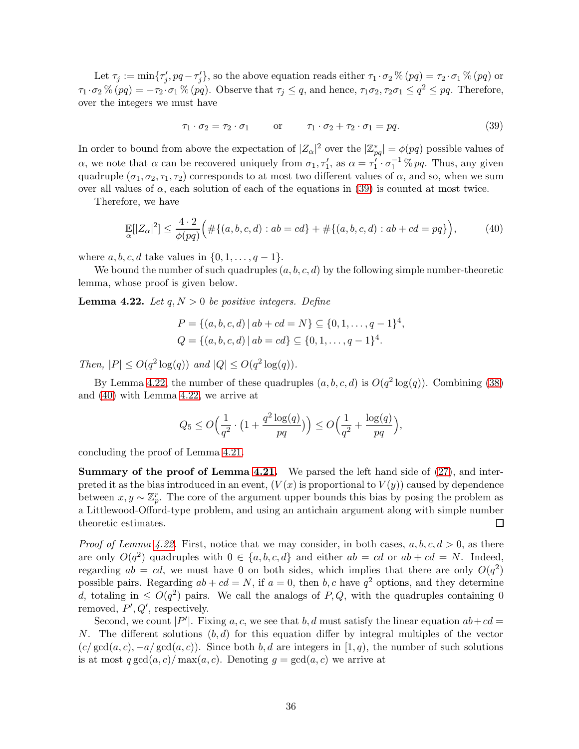Let  $\tau_j := \min\{\tau'_j, pq - \tau'_j\}$ , so the above equation reads either  $\tau_1 \cdot \sigma_2 \% (pq) = \tau_2 \cdot \sigma_1 \% (pq)$  or  $\tau_1 \cdot \sigma_2 \% (pq) = -\tau_2 \cdot \sigma_1 \% (pq)$ . Observe that  $\tau_j \leq q$ , and hence,  $\tau_1 \sigma_2, \tau_2 \sigma_1 \leq q^2 \leq pq$ . Therefore, over the integers we must have

<span id="page-36-0"></span>
$$
\tau_1 \cdot \sigma_2 = \tau_2 \cdot \sigma_1 \qquad \text{or} \qquad \tau_1 \cdot \sigma_2 + \tau_2 \cdot \sigma_1 = pq. \tag{39}
$$

In order to bound from above the expectation of  $|Z_{\alpha}|^2$  over the  $|\mathbb{Z}_{pq}^*| = \phi(pq)$  possible values of  $\alpha$ , we note that  $\alpha$  can be recovered uniquely from  $\sigma_1, \tau'_1$ , as  $\alpha = \tau'_1 \cdot \sigma_1^{-1} \mathcal{K} pq$ . Thus, any given quadruple  $(\sigma_1, \sigma_2, \tau_1, \tau_2)$  corresponds to at most two different values of  $\alpha$ , and so, when we sum over all values of  $\alpha$ , each solution of each of the equations in [\(39\)](#page-36-0) is counted at most twice.

Therefore, we have

<span id="page-36-2"></span>
$$
\mathbb{E}[|Z_{\alpha}|^2] \le \frac{4 \cdot 2}{\phi(pq)} \Big( \# \{ (a, b, c, d) : ab = cd \} + \# \{ (a, b, c, d) : ab + cd = pq \} \Big),\tag{40}
$$

where  $a, b, c, d$  take values in  $\{0, 1, \ldots, q-1\}.$ 

We bound the number of such quadruples  $(a, b, c, d)$  by the following simple number-theoretic lemma, whose proof is given below.

<span id="page-36-1"></span>**Lemma 4.22.** Let  $q, N > 0$  be positive integers. Define

$$
P = \{(a, b, c, d) | ab + cd = N\} \subseteq \{0, 1, ..., q - 1\}^{4},
$$
  

$$
Q = \{(a, b, c, d) | ab = cd\} \subseteq \{0, 1, ..., q - 1\}^{4}.
$$

Then,  $|P| \le O(q^2 \log(q))$  and  $|Q| \le O(q^2 \log(q)).$ 

By Lemma [4.22,](#page-36-1) the number of these quadruples  $(a, b, c, d)$  is  $O(q^2 \log(q))$ . Combining [\(38\)](#page-35-0) and [\(40\)](#page-36-2) with Lemma [4.22,](#page-36-1) we arrive at

$$
Q_5 \leq O\Big(\frac{1}{q^2}\cdot\big(1+\frac{q^2\log(q)}{pq}\big)\Big) \leq O\Big(\frac{1}{q^2}+\frac{\log(q)}{pq}\Big),
$$

concluding the proof of Lemma [4.21.](#page-32-0)

**Summary of the proof of Lemma [4.21.](#page-32-0)** We parsed the left hand side of  $(27)$ , and interpreted it as the bias introduced in an event,  $(V(x))$  is proportional to  $V(y)$  caused by dependence between  $x, y \sim \mathbb{Z}_p^r$ . The core of the argument upper bounds this bias by posing the problem as a Littlewood-Offord-type problem, and using an antichain argument along with simple number theoretic estimates.  $\Box$ 

*Proof of Lemma [4.22.](#page-36-1)* First, notice that we may consider, in both cases,  $a, b, c, d > 0$ , as there are only  $O(q^2)$  quadruples with  $0 \in \{a, b, c, d\}$  and either  $ab = cd$  or  $ab + cd = N$ . Indeed, regarding  $ab = cd$ , we must have 0 on both sides, which implies that there are only  $O(q^2)$ possible pairs. Regarding  $ab + cd = N$ , if  $a = 0$ , then  $b, c$  have  $q<sup>2</sup>$  options, and they determine d, totaling in  $\leq O(q^2)$  pairs. We call the analogs of P,Q, with the quadruples containing 0 removed,  $P', Q'$ , respectively.

Second, we count  $|P'|$ . Fixing a, c, we see that b, d must satisfy the linear equation  $ab + cd =$ N. The different solutions  $(b, d)$  for this equation differ by integral multiples of the vector  $(c/\gcd(a, c), -a/\gcd(a, c))$ . Since both b, d are integers in [1, q), the number of such solutions is at most  $q \gcd(a, c) / \max(a, c)$ . Denoting  $q = \gcd(a, c)$  we arrive at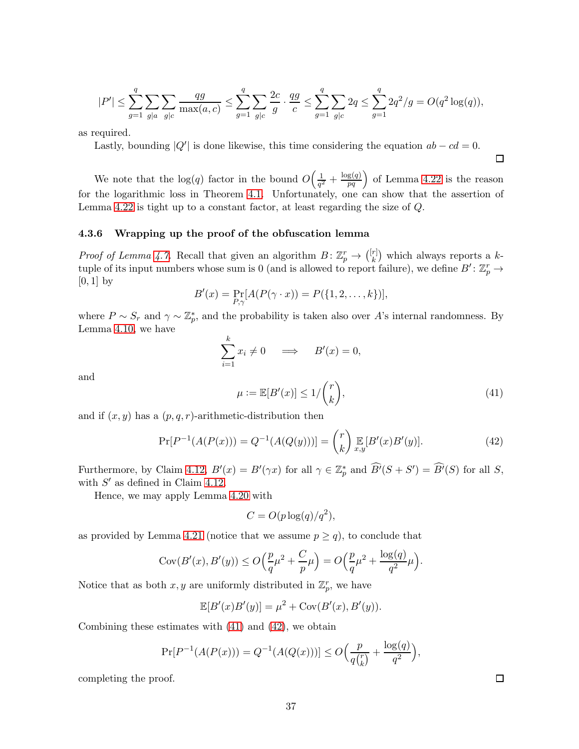$$
|P'| \leq \sum_{g=1}^q \sum_{g|a} \sum_{g|c} \frac{qg}{\max(a,c)} \leq \sum_{g=1}^q \sum_{g|c} \frac{2c}{g} \cdot \frac{qg}{c} \leq \sum_{g=1}^q \sum_{g|c} 2q \leq \sum_{g=1}^q 2q^2/g = O(q^2 \log(q)),
$$

as required.

Lastly, bounding  $|Q'|$  is done likewise, this time considering the equation  $ab - cd = 0$ .

We note that the  $log(q)$  factor in the bound  $O\left(\frac{1}{q}\right)$  $\frac{1}{q^2} + \frac{\log(q)}{pq}$  of Lemma [4.22](#page-36-1) is the reason for the logarithmic loss in Theorem [4.1.](#page-18-1) Unfortunately, one can show that the assertion of Lemma [4.22](#page-36-1) is tight up to a constant factor, at least regarding the size of Q.

### 4.3.6 Wrapping up the proof of the obfuscation lemma

*Proof of Lemma [4.7.](#page-22-1)* Recall that given an algorithm  $B: \mathbb{Z}_p^r \to \binom{[r]}{k}$  $\binom{r}{k}$  which always reports a ktuple of its input numbers whose sum is 0 (and is allowed to report failure), we define  $B' : \mathbb{Z}_p^r \to$  $[0, 1]$  by

$$
B'(x) = \Pr_{P,\gamma}[A(P(\gamma \cdot x)) = P(\{1, 2, ..., k\})],
$$

where  $P \sim S_r$  and  $\gamma \sim \mathbb{Z}_p^*$ , and the probability is taken also over A's internal randomness. By Lemma [4.10,](#page-26-1) we have

$$
\sum_{i=1}^{k} x_i \neq 0 \quad \implies \quad B'(x) = 0,
$$

<span id="page-37-0"></span>and

<span id="page-37-1"></span> $\mu := \mathbb{E}[B'(x)] \leq 1/$  $\sqrt{r}$ k  $\setminus$  $(41)$ 

and if  $(x, y)$  has a  $(p, q, r)$ -arithmetic-distribution then

$$
\Pr[P^{-1}(A(P(x))) = Q^{-1}(A(Q(y)))] = {r \choose k} \mathbb{E}[B'(x)B'(y)]. \tag{42}
$$

Furthermore, by Claim [4.12,](#page-26-2)  $B'(x) = B'(\gamma x)$  for all  $\gamma \in \mathbb{Z}_p^*$  and  $\widehat{B'}(S + S') = \widehat{B'}(S)$  for all S, with  $S'$  as defined in Claim [4.12.](#page-26-2)

Hence, we may apply Lemma [4.20](#page-31-0) with

$$
C = O(p \log(q)/q^2),
$$

as provided by Lemma [4.21](#page-32-0) (notice that we assume  $p \ge q$ ), to conclude that

$$
Cov(B'(x), B'(y)) \le O\left(\frac{p}{q}\mu^2 + \frac{C}{p}\mu\right) = O\left(\frac{p}{q}\mu^2 + \frac{\log(q)}{q^2}\mu\right).
$$

Notice that as both  $x, y$  are uniformly distributed in  $\mathbb{Z}_p^r$ , we have

$$
\mathbb{E}[B'(x)B'(y)] = \mu^{2} + \text{Cov}(B'(x), B'(y)).
$$

Combining these estimates with [\(41\)](#page-37-0) and [\(42\)](#page-37-1), we obtain

$$
\Pr[P^{-1}(A(P(x))) = Q^{-1}(A(Q(x)))] \le O\Big(\frac{p}{q {r \choose k}} + \frac{\log(q)}{q^2}\Big),
$$

completing the proof.

 $\Box$ 

 $\Box$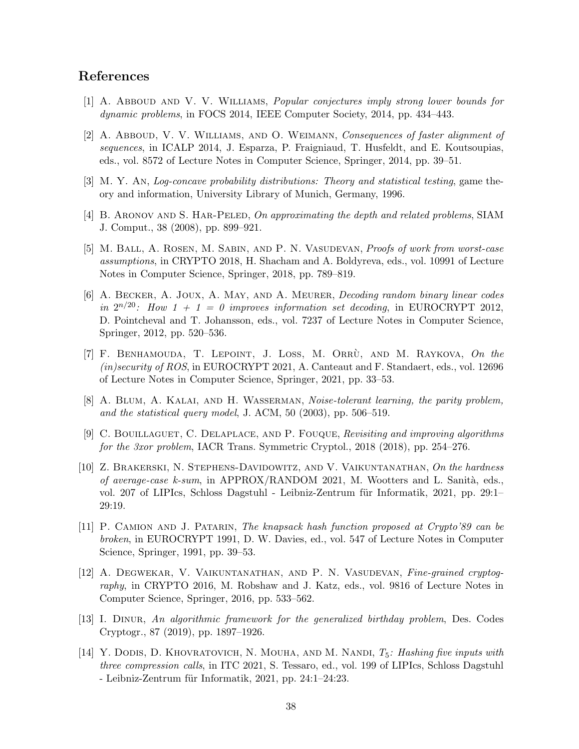### <span id="page-38-8"></span>References

- <span id="page-38-9"></span>[1] A. Abboud and V. V. Williams, Popular conjectures imply strong lower bounds for dynamic problems, in FOCS 2014, IEEE Computer Society, 2014, pp. 434–443.
- [2] A. Abboud, V. V. Williams, and O. Weimann, Consequences of faster alignment of sequences, in ICALP 2014, J. Esparza, P. Fraigniaud, T. Husfeldt, and E. Koutsoupias, eds., vol. 8572 of Lecture Notes in Computer Science, Springer, 2014, pp. 39–51.
- <span id="page-38-13"></span><span id="page-38-7"></span>[3] M. Y. An, Log-concave probability distributions: Theory and statistical testing, game theory and information, University Library of Munich, Germany, 1996.
- <span id="page-38-10"></span>[4] B. ARONOV AND S. HAR-PELED, On approximating the depth and related problems, SIAM J. Comput., 38 (2008), pp. 899–921.
- [5] M. Ball, A. Rosen, M. Sabin, and P. N. Vasudevan, Proofs of work from worst-case assumptions, in CRYPTO 2018, H. Shacham and A. Boldyreva, eds., vol. 10991 of Lecture Notes in Computer Science, Springer, 2018, pp. 789–819.
- <span id="page-38-3"></span>[6] A. Becker, A. Joux, A. May, and A. Meurer, Decoding random binary linear codes in  $2^{n/20}$ : How  $1 + 1 = 0$  improves information set decoding, in EUROCRYPT 2012, D. Pointcheval and T. Johansson, eds., vol. 7237 of Lecture Notes in Computer Science, Springer, 2012, pp. 520–536.
- <span id="page-38-2"></span>[7] F. BENHAMOUDA, T. LEPOINT, J. LOSS, M. ORRÙ, AND M. RAYKOVA, On the (in)security of ROS, in EUROCRYPT 2021, A. Canteaut and F. Standaert, eds., vol. 12696 of Lecture Notes in Computer Science, Springer, 2021, pp. 33–53.
- <span id="page-38-4"></span>[8] A. BLUM, A. KALAI, AND H. WASSERMAN, Noise-tolerant learning, the parity problem, and the statistical query model, J. ACM, 50 (2003), pp. 506–519.
- <span id="page-38-0"></span>[9] C. Bouillaguet, C. Delaplace, and P. Fouque, Revisiting and improving algorithms for the 3xor problem, IACR Trans. Symmetric Cryptol., 2018 (2018), pp. 254–276.
- <span id="page-38-12"></span>[10] Z. Brakerski, N. Stephens-Davidowitz, and V. Vaikuntanathan, On the hardness of average-case k-sum, in APPROX/RANDOM 2021, M. Wootters and L. Sanità, eds., vol. 207 of LIPIcs, Schloss Dagstuhl - Leibniz-Zentrum für Informatik, 2021, pp. 29:1– 29:19.
- <span id="page-38-6"></span>[11] P. Camion and J. Patarin, The knapsack hash function proposed at Crypto'89 can be broken, in EUROCRYPT 1991, D. W. Davies, ed., vol. 547 of Lecture Notes in Computer Science, Springer, 1991, pp. 39–53.
- <span id="page-38-11"></span>[12] A. Degwekar, V. Vaikuntanathan, and P. N. Vasudevan, Fine-grained cryptography, in CRYPTO 2016, M. Robshaw and J. Katz, eds., vol. 9816 of Lecture Notes in Computer Science, Springer, 2016, pp. 533–562.
- <span id="page-38-5"></span>[13] I. Dinur, An algorithmic framework for the generalized birthday problem, Des. Codes Cryptogr., 87 (2019), pp. 1897–1926.
- <span id="page-38-1"></span>[14] Y. DODIS, D. KHOVRATOVICH, N. MOUHA, AND M. NANDI,  $T_5$ : Hashing five inputs with three compression calls, in ITC 2021, S. Tessaro, ed., vol. 199 of LIPIcs, Schloss Dagstuhl - Leibniz-Zentrum für Informatik,  $2021$ , pp.  $24:1-24:23$ .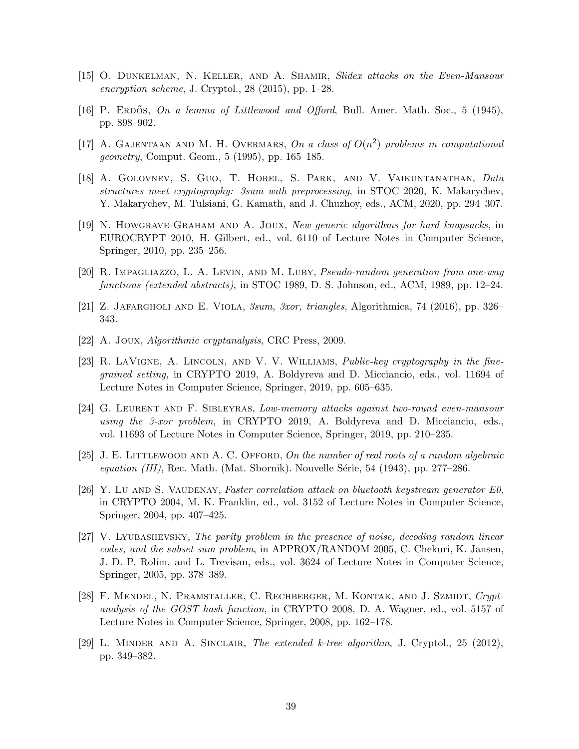- <span id="page-39-10"></span><span id="page-39-7"></span>[15] O. Dunkelman, N. Keller, and A. Shamir, Slidex attacks on the Even-Mansour encryption scheme, J. Cryptol., 28 (2015), pp. 1–28.
- <span id="page-39-0"></span>[16] P. ERDOS, On a lemma of Littlewood and Offord, Bull. Amer. Math. Soc., 5 (1945), pp. 898–902.
- [17] A. GAJENTAAN AND M. H. OVERMARS, On a class of  $O(n^2)$  problems in computational geometry, Comput. Geom., 5 (1995), pp. 165–185.
- <span id="page-39-12"></span>[18] A. Golovnev, S. Guo, T. Horel, S. Park, and V. Vaikuntanathan, Data structures meet cryptography: 3sum with preprocessing, in STOC 2020, K. Makarychev, Y. Makarychev, M. Tulsiani, G. Kamath, and J. Chuzhoy, eds., ACM, 2020, pp. 294–307.
- <span id="page-39-8"></span>[19] N. Howgrave-Graham and A. Joux, New generic algorithms for hard knapsacks, in EUROCRYPT 2010, H. Gilbert, ed., vol. 6110 of Lecture Notes in Computer Science, Springer, 2010, pp. 235–256.
- <span id="page-39-13"></span><span id="page-39-11"></span>[20] R. Impagliazzo, L. A. Levin, and M. Luby, Pseudo-random generation from one-way functions (extended abstracts), in STOC 1989, D. S. Johnson, ed., ACM, 1989, pp. 12–24.
- <span id="page-39-2"></span>[21] Z. Jafargholi and E. Viola, 3sum, 3xor, triangles, Algorithmica, 74 (2016), pp. 326– 343.
- <span id="page-39-1"></span>[22] A. Joux, Algorithmic cryptanalysis, CRC Press, 2009.
- [23] R. LaVigne, A. Lincoln, and V. V. Williams, Public-key cryptography in the finegrained setting, in CRYPTO 2019, A. Boldyreva and D. Micciancio, eds., vol. 11694 of Lecture Notes in Computer Science, Springer, 2019, pp. 605–635.
- <span id="page-39-3"></span>[24] G. Leurent and F. Sibleyras, Low-memory attacks against two-round even-mansour using the 3-xor problem, in CRYPTO 2019, A. Boldyreva and D. Micciancio, eds., vol. 11693 of Lecture Notes in Computer Science, Springer, 2019, pp. 210–235.
- <span id="page-39-14"></span><span id="page-39-6"></span>[25] J. E. LITTLEWOOD AND A. C. OFFORD, On the number of real roots of a random algebraic equation  $(III)$ , Rec. Math. (Mat. Sbornik). Nouvelle Série, 54 (1943), pp. 277–286.
- [26] Y. Lu AND S. VAUDENAY, Faster correlation attack on bluetooth keystream generator  $E_0$ , in CRYPTO 2004, M. K. Franklin, ed., vol. 3152 of Lecture Notes in Computer Science, Springer, 2004, pp. 407–425.
- <span id="page-39-9"></span>[27] V. Lyubashevsky, The parity problem in the presence of noise, decoding random linear codes, and the subset sum problem, in APPROX/RANDOM 2005, C. Chekuri, K. Jansen, J. D. P. Rolim, and L. Trevisan, eds., vol. 3624 of Lecture Notes in Computer Science, Springer, 2005, pp. 378–389.
- <span id="page-39-5"></span>[28] F. Mendel, N. Pramstaller, C. Rechberger, M. Kontak, and J. Szmidt, Cryptanalysis of the GOST hash function, in CRYPTO 2008, D. A. Wagner, ed., vol. 5157 of Lecture Notes in Computer Science, Springer, 2008, pp. 162–178.
- <span id="page-39-4"></span>[29] L. Minder and A. Sinclair, The extended k-tree algorithm, J. Cryptol., 25 (2012), pp. 349–382.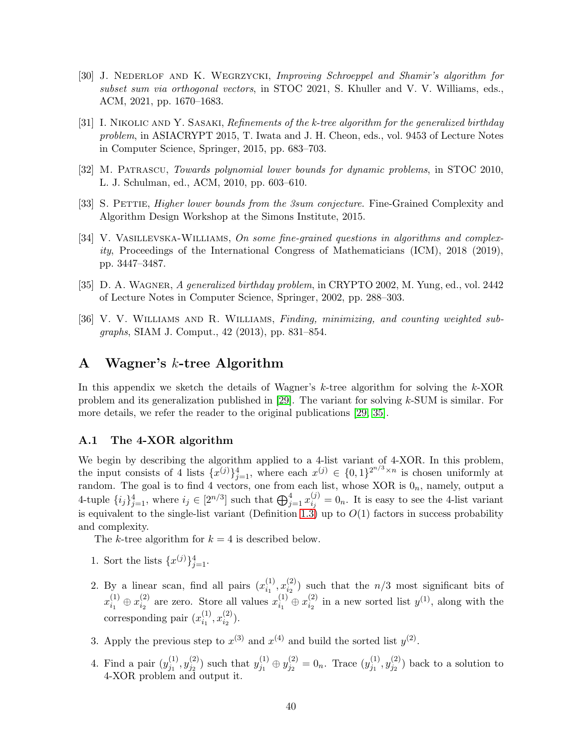- <span id="page-40-4"></span>[30] J. Nederlof and K. Wegrzycki, Improving Schroeppel and Shamir's algorithm for subset sum via orthogonal vectors, in STOC 2021, S. Khuller and V. V. Williams, eds., ACM, 2021, pp. 1670–1683.
- <span id="page-40-2"></span>[31] I. NIKOLIC AND Y. SASAKI, Refinements of the k-tree algorithm for the generalized birthday problem, in ASIACRYPT 2015, T. Iwata and J. H. Cheon, eds., vol. 9453 of Lecture Notes in Computer Science, Springer, 2015, pp. 683–703.
- <span id="page-40-6"></span><span id="page-40-0"></span>[32] M. Patrascu, Towards polynomial lower bounds for dynamic problems, in STOC 2010, L. J. Schulman, ed., ACM, 2010, pp. 603–610.
- <span id="page-40-5"></span>[33] S. PETTIE, *Higher lower bounds from the 3sum conjecture*. Fine-Grained Complexity and Algorithm Design Workshop at the Simons Institute, 2015.
- [34] V. VASILLEVSKA-WILLIAMS, On some fine-grained questions in algorithms and complex $ity$ , Proceedings of the International Congress of Mathematicians (ICM), 2018 (2019), pp. 3447–3487.
- <span id="page-40-7"></span><span id="page-40-1"></span>[35] D. A. Wagner, A generalized birthday problem, in CRYPTO 2002, M. Yung, ed., vol. 2442 of Lecture Notes in Computer Science, Springer, 2002, pp. 288–303.
- [36] V. V. WILLIAMS AND R. WILLIAMS, Finding, minimizing, and counting weighted subgraphs, SIAM J. Comput., 42 (2013), pp. 831–854.

## <span id="page-40-3"></span>A Wagner's k-tree Algorithm

In this appendix we sketch the details of Wagner's  $k$ -tree algorithm for solving the  $k$ -XOR problem and its generalization published in  $[29]$ . The variant for solving k-SUM is similar. For more details, we refer the reader to the original publications [\[29,](#page-39-4) [35\]](#page-40-1).

### A.1 The 4-XOR algorithm

We begin by describing the algorithm applied to a 4-list variant of 4-XOR. In this problem, the input consists of 4 lists  $\{x^{(j)}\}_{j=1}^4$ , where each  $x^{(j)} \in \{0,1\}^{2^{n/3} \times n}$  is chosen uniformly at random. The goal is to find 4 vectors, one from each list, whose XOR is  $0<sub>n</sub>$ , namely, output a 4-tuple  $\{i_j\}_{j=1}^4$ , where  $i_j \in [2^{n/3}]$  such that  $\bigoplus_{j=1}^4 x_{i_j}^{(j)}$  $\zeta_{i,j}^{(j)}=0_n$ . It is easy to see the 4-list variant is equivalent to the single-list variant (Definition [1.3\)](#page-1-3) up to  $O(1)$  factors in success probability and complexity.

The k-tree algorithm for  $k = 4$  is described below.

- 1. Sort the lists  $\{x^{(j)}\}_{j=1}^4$ .
- 2. By a linear scan, find all pairs  $(x_i^{(1)})$  $\binom{(1)}{i_1}, x_{i_2}^{(2)}$  $i_2^{(2)}$ ) such that the  $n/3$  most significant bits of  $x_{i_1}^{(1)}$  $\stackrel{(1)}{_{i_1}}\oplus\stackrel{(2)}{x_{i_2}^{(2)}}$  $\binom{2}{i_2}$  are zero. Store all values  $x_{i_1}^{(1)}$  $\stackrel{(1)}{i_1} \oplus x_{i_2}^{(2)}$  $i_2^{(2)}$  in a new sorted list  $y^{(1)}$ , along with the corresponding pair  $(x_{i_1}^{(1)})$  $\binom{(1)}{i_1}, x_{i_2}^{(2)}$  $\binom{2}{i_2}$ .
- 3. Apply the previous step to  $x^{(3)}$  and  $x^{(4)}$  and build the sorted list  $y^{(2)}$ .
- 4. Find a pair  $(y_{j_1}^{(1)})$  $\overset{(1)}{j_1}, \overset{(2)}{y^{(2)}_{j_2}}$  $y_{j_2}^{(2)}$ ) such that  $y_{j_1}^{(1)}$  $\stackrel{(1)}{j_1} \oplus \stackrel{(2)}{y_{j_2}^{\left( 2\right) }}$  $j_2^{(2)} = 0_n$ . Trace  $(y_{j_1}^{(1)})$  $\overset{(1)}{j_1}, \overset{(2)}{y^{(2)}_{j_2}}$  $j_2^{(2)}$ ) back to a solution to 4-XOR problem and output it.